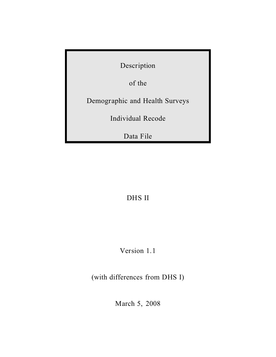Description

of the

Demographic and Health Surveys

Individual Recode

Data File

DHS II

Version 1.1

(with differences from DHS I)

March 5, 2008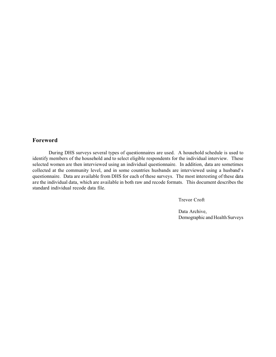# **Foreword**

During DHS surveys several types of questionnaires are used. A household schedule is used to identify members of the household and to select eligible respondents for the individual interview. These selected women are then interviewed using an individual questionnaire. In addition, data are sometimes collected at the community level, and in some countries husbands are interviewed using a husband's questionnaire. Data are available from DHS for each of these surveys. The most interesting of these data are the individual data, which are available in both raw and recode formats. This document describes the standard individual recode data file.

Trevor Croft

Data Archive, Demographic and Health Surveys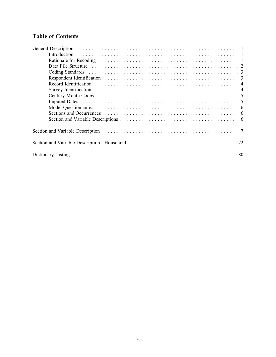# **Table of Contents**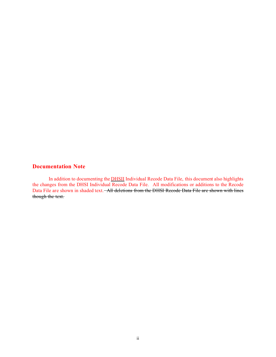# **Documentation Note**

In addition to documenting the DHSII Individual Recode Data File, this document also highlights the changes from the DHSI Individual Recode Data File. All modifications or additions to the Recode Data File are shown in shaded text. All deletions from the DHSI Recode Data File are shown with lines though the text.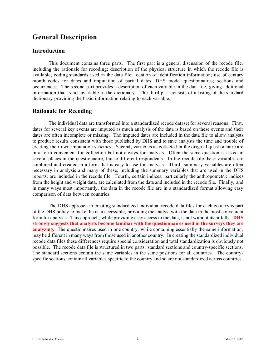# **General Description**

### **Introduction**

This document contains three parts. The first part is a general discussion of the recode file, including the rationale for recoding; description of the physical structure in which the recode file is available; coding standards used in the data file; location of identification information; use of century month codes for dates and imputation of partial dates; DHS model questionnaires; sections and occurrences. The second part provides a description of each variable in the data file, giving additional information that is not available in the dictionary. The third part consists of a listing of the standard dictionary providing the basic information relating to each variable.

# **Rationale for Recoding**

The individual data are transformed into a standardized recode dataset for several reasons. First, dates for several key events are imputed as much analysis of the data is based on these events and their dates are often incomplete or missing. The imputed dates are included in the data file to allow analysts to produce results consistent with those published by DHS and to save analysts the time and trouble of creating their own imputation schemes. Second, variables as collected in the original questionnaire are in a form convenient for collection but not always for analysis. Often the same question is asked in several places in the questionnaire, but to different respondents. In the recode file these variables are combined and created in a form that is easy to use for analysis. Third, summary variables are often necessary in analysis and many of these, including the summary variables that are used in the DHS reports, are included in the recode file. Fourth, certain indices, particularly the anthropometric indices from the height and weight data, are calculated from the data and included in the recode file. Finally, and in many ways most importantly, the data in the recode file are in a standardized format allowing easy comparison of data between countries.

The DHS approach to creating standardized individual recode data files for each country is part of the DHS policy to make the data accessible, providing the analyst with the data in the most convenient form for analysis. This approach, while providing easy access to the data, is not without its pitfalls. **DHS strongly suggests that analysts become familiar with the questionnaires used in the surveys they are analyzing.** The questionnaires used in one country, while containing essentially the same information, may be different in many ways from those used in another country. In creating the standardized individual recode data files these differences require special consideration and total standardization is obviously not possible. The recode data file is structured in two parts, standard sections and country-specific sections. The standard sections contain the same variables in the same positions for all countries. The countryspecific sections contain all variables specific to the country and so are not standardized across countries.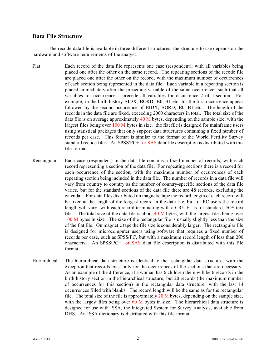### **Data File Structure**

The recode data file is available in three different structures; the structure to use depends on the hardware and software requirements of the analyst:

- Flat Each record of the data file represents one case (respondent), with all variables being placed one after the other on the same record. The repeating sections of the recode file are placed one after the other on the record, with the maximum number of occurrences of each section being represented in the data file. Each variable in a repeating section is placed immediately after the preceding variable of the same occurrence, such that all variables for occurrence 1 precede all variables for occurrence 2 of a section. For example, in the birth history BIDX, BORD, B0, B1 etc. for the first occurrence appear followed by the second occurrence of BIDX, BORD, B0, B1 etc. The length of the records in the data file are fixed, exceeding 2000 characters in total. The total size of the data file is on average approximately 40 M bytes, depending on the sample size, with the largest files being over  $100 \text{ M}$  bytes in size. the flat file is designed for mainframe users using statistical packages that only support data structures containing a fixed number of records per case. This format is similar to the format of the World Fertility Survey standard recode files. An SPSS/PC+ or SAS data file description is distributed with this file format.
- Rectangular Each case (respondent) in the data file contains a fixed number of records, with each record representing a section of the data file. For repeating sections there is a record for each occurrence of the section, with the maximum number of occurrences of each repeating section being included in the data file. The number of records in a data file will vary from country to country as the number of country-specific sections of the data file varies, but for the standard sections of the data file there are 48 records, excluding the calendar. For data files distributed on magnetic tape the record length of each record will be fixed at the length of the longest record in the data file, but for PC users the record length will vary, with each record terminating with a CR/LF, as for standard DOS text files. The total size of the data file is about 40 M bytes, with the largest files being over 100 M bytes in size. The size of the rectangular file is usually slightly less than the size of the flat file. On magnetic tape the file size is considerably larger. The rectangular file is designed for microcomputer users using software that requires a fixed number of records per case, such as SPSS/PC, but with a maximum record length of less than 200 characters. An SPSS/PC+ or SAS data file description is distributed with this file format.
- Hierarchical The hierarchical data structure is identical to the rectangular data structure, with the exception that records exist only for the occurrences of the sections that are necessary. As an example of the difference, if a woman has 6 children there will be 6 records in the birth history section in the hierarchical structure, but 20 records (the maximum number of occurrences for this section) in the rectangular data structure, with the last 14 occurrences filled with blanks. The record length will be the same as for the rectangular file. The total size of the file is approximately  $20 \text{ M}$  bytes, depending on the sample size, with the largest files being over  $60$  M bytes in size. The hierarchical data structure is designed for use with ISSA, the Integrated System for Survey Analysis, available from DHS. An ISSA dictionary is distributed with this file format.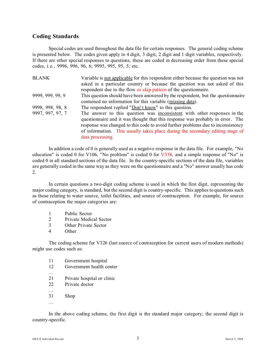# **Coding Standards**

Special codes are used throughout the data file for certain responses. The general coding scheme is presented below. The codes given apply to 4 digit, 3 digit, 2 digit and 1 digit variables, respectively. If there are other special responses to questions, these are coded in decreasing order from these special codes, i.e., 9996, 996, 96, 6; 9995, 995, 95, 5; etc.

| <b>BLANK</b>     | Variable is not applicable for this respondent either because the question was not                                                                                                                                                                                                                                                                   |
|------------------|------------------------------------------------------------------------------------------------------------------------------------------------------------------------------------------------------------------------------------------------------------------------------------------------------------------------------------------------------|
|                  | asked in a particular country or because the question was not asked of this<br>respondent due to the flow or skip pattern of the questionnaire.                                                                                                                                                                                                      |
| 9999, 999, 99, 9 | This question should have been answered by the respondent, but the questionnaire                                                                                                                                                                                                                                                                     |
|                  | contained no information for this variable (missing data).                                                                                                                                                                                                                                                                                           |
| 9998, 998, 98, 8 | The respondent replied "Don't know" to this question.                                                                                                                                                                                                                                                                                                |
| 9997, 997, 97, 7 | The answer to this question was inconsistent with other responses in the<br>questionnaire and it was thought that this response was probably in error. The<br>response was changed to this code to avoid further problems due to inconsistency<br>of information. This usually takes place during the secondary editing stage of<br>data processing. |

In addition a code of 0 is generally used as a negative response in the data file. For example, "No education" is coded 0 for V106, "No problem" is coded 0 for V338, and a simple response of "No" is coded 0 in all standard sections of the data file. In the country-specific sections of the data file, variables are generally coded in the same way as they were on the questionnaire and a "No" answer usually has code 2.

In certain questions a two-digit coding scheme is used in which the first digit, representing the major coding category, is standard, but the second digit is country-specific. This applies to questions such as those relating to water source, toilet facilities, and source of contraception. For example, for source of contraception the major categories are:

- 1 Public Sector
- 2 Private Medical Sector
- 3 Other Private Sector
- 4 Other

The coding scheme for V326 (last source of contraception for current users of modern methods) might use codes such as:

- 11 Government hospital
- 12 Government health center
- 21 Private hospital or clinic
- 22 Private doctor
- ... 31 Shop
- ...

...

In the above coding scheme, the first digit is the standard major category; the second digit is country-specific.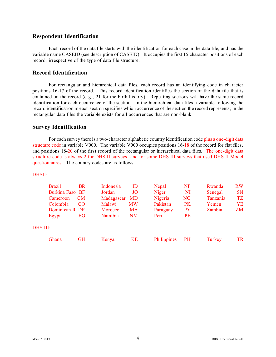## **Respondent Identification**

Each record of the data file starts with the identification for each case in the data file, and has the variable name CASEID (see description of CASEID). It occupies the first 15 character positions of each record, irrespective of the type of data file structure.

# **Record Identification**

For rectangular and hierarchical data files, each record has an identifying code in character positions 16-17 of the record. This record identification identifies the section of the data file that is contained on the record (e.g., 21 for the birth history). Repeating sections will have the same record identification for each occurrence of the section. In the hierarchical data files a variable following the record identification in each section specifies which occurrence of the section the record represents; in the rectangular data files the variable exists for all occurrences that are non-blank.

### **Survey Identification**

For each survey there is a two-character alphabetic country identification code plus a one-digit data structure code in variable V000. The variable V000 occupies positions 16-18 of the record for flat files, and positions 18-20 of the first record of the rectangular or hierarchical data files. The one-digit data structure code is always 2 for DHS II surveys, and for some DHS III surveys that used DHS II Model questionnaires. The country codes are as follows:

### DHSII:

DHS

| <b>Brazil</b>   | <b>BR</b> | Indonesia  | ID        | Nepal       | <b>NP</b> | Rwanda   | <b>RW</b> |
|-----------------|-----------|------------|-----------|-------------|-----------|----------|-----------|
| Burkina Faso BF |           | Jordan     | JO        | Niger       | NI        | Senegal  | <b>SN</b> |
| Cameroon        | <b>CM</b> | Madagascar | <b>MD</b> | Nigeria     | <b>NG</b> | Tanzania | <b>TZ</b> |
| Colombia        | CO.       | Malawi     | <b>MW</b> | Pakistan    | <b>PK</b> | Yemen    | YE        |
| Dominican R. DR |           | Morocco    | MA        | Paraguay    | <b>PY</b> | Zambia   | ZM        |
| Egypt           | EG        | Namibia    | NM        | Peru        | <b>PE</b> |          |           |
| III:            |           |            |           |             |           |          |           |
| Ghana           | GH        | Kenya      | KE        | Philippines | <b>PH</b> | Turkey   | TR.       |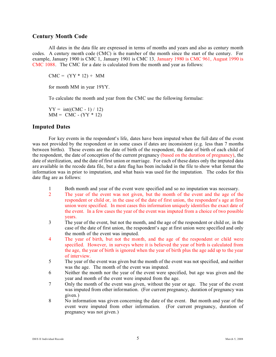### **Century Month Code**

All dates in the data file are expressed in terms of months and years and also as century month codes. A century month code (CMC) is the number of the month since the start of the century. For example, January 1900 is CMC 1, January 1901 is CMC 13, January 1980 is CMC 961, August 1990 is CMC 1088. The CMC for a date is calculated from the month and year as follows:

 $CMC = (YY * 12) + MM$ 

for month MM in year 19YY.

To calculate the month and year from the CMC use the following formulae:

 $YY = int((CMC - 1) / 12)$  $MM = CMC - (YY * 12)$ 

### **Imputed Dates**

For key events in the respondent's life, dates have been imputed when the full date of the event was not provided by the respondent or in some cases if dates are inconsistent (e.g. less than 7 months between births). These events are the date of birth of the respondent, the date of birth of each child of the respondent, the date of conception of the current pregnancy (based on the duration of pregnancy), the date of sterilization, and the date of first union or marriage. For each of these dates only the imputed data are available in the recode data file, but a date flag has been included in the file to show what format the information was in prior to imputation, and what basis was used for the imputation. The codes for this date flag are as follows:

- 1 Both month and year of the event were specified and so no imputation was necessary.
- 2 The year of the event was not given, but the month of the event and the age of the respondent or child or, in the case of the date of first union, the respondent's age at first union were specified. In most cases this information uniquely identifies the exact date of the event. In a few cases the year of the event was imputed from a choice of two possible years.
- 3 The year of the event, but not the month, and the age of the respondent or child or, in the case of the date of first union, the respondent's age at first union were specified and only the month of the event was imputed.
- 4 The year of birth, but not the month, and the age of the respondent or child were specified. However, in surveys where it is believed the year of birth is calculated from the age, the year of birth is ignored when the year of birth plus the age add up to the year of interview.
- 5 The year of the event was given but the month of the event was not specified, and neither was the age. The month of the event was imputed.
- 6 Neither the month nor the year of the event were specified, but age was given and the year and month of the event were imputed from the age.
- 7 Only the month of the event was given, without the year or age. The year of the event was imputed from other information. (For current pregnancy, duration of pregnancy was given.)
- 8 No information was given concerning the date of the event. But month and year of the event were imputed from other information. (For current pregnancy, duration of pregnancy was not given.)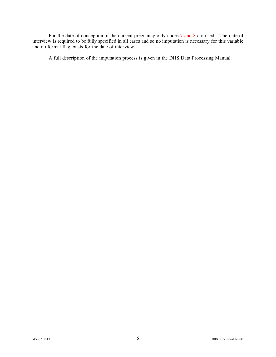For the date of conception of the current pregnancy only codes 7 and 8 are used. The date of interview is required to be fully specified in all cases and so no imputation is necessary for this variable and no format flag exists for the date of interview.

A full description of the imputation process is given in the DHS Data Processing Manual.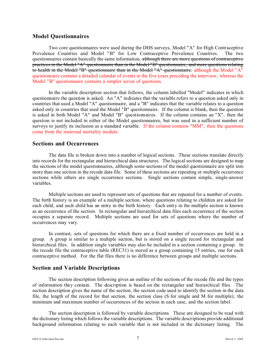### **Model Questionnaires**

Two core questionnaires were used during the DHS surveys, Model "A" for High Contraceptive Prevalence Countries and Model "B" for Low Contraceptive Prevalence Countries. The two questionnaires contain basically the same information, although there are more questions of contraceptive practices in the Model "A" questionnaire than in the Model "B" questionnaire, and more questions relating to health in the Model "B" questionnaire than in the Model "A" questionnaire. although the Model "A" questionnaire contains a detailed calendar of events in the five years preceding the interview, whereas the Model "B" questionnaire contains a simpler series of questions.

In the variable description section that follows, the column labelled "Model" indicates in which questionnaire the question is asked. An "A" indicates that the variable refers to a question asked only in countries that used a Model "A" questionnaire, and a "B" indicates that the variable relates to a question asked only in countries that used the Model "B" questionnaire. If the column is blank, then the question is asked in both Model "A" and Model "B" questionnaires. If the column contains an "X", then the question is not included in either of the Model questionnaires, but was used in a sufficient number of surveys to justify its inclusion as a standard variable. If the column contains "MM", then the questions come from the maternal mortality module.

### **Sections and Occurrences**

The data file is broken down into a number of logical sections. These sections translate directly into records for the rectangular and hierarchical data structures. The logical sections are designed to map the sections of the model questionnaires, although some sections of the model questionnaire are split into more than one section in the recode data file. Some of these sections are repeating or multiple occurrence sections while others are single occurrence sections. Single sections contain simple, single-answer variables.

Multiple sections are used to represent sets of questions that are repeated for a number of events. The birth history is an example of a multiple section, where questions relating to children are asked for each child, and each child has an entry in the birth history. Each entry in the multiple section is known as an occurrence of the section. In rectangular and hierarchical data files each occurrence of the section occupies a separate record. Multiple sections are used for sets of questions where the number of occurrences may vary.

In contrast, sets of questions for which there are a fixed number of occurrences are held in a group. A group is similar to a multiple section, but is stored on a single record for rectangular and hierarchical files. In addition single variables may also be included in a section containing a group. In the recode file the contraceptive table (REC31) is stored as a group containing 15 entries, one for each contraceptive method. For the flat files there is no difference between groups and multiple sections.

### **Section and Variable Descriptions**

The section description following gives an outline of the sections of the recode file and the types of information they contain. The description is based on the rectangular and hierarchical files. The section description gives the name of the section, the section code used to identify the section in the data file, the length of the record for that section, the section class (S for single and M for multiple), the minimum and maximum number of occurrences of the section in each case, and the section label.

The section description is followed by variable descriptions. These are designed to be read with the dictionary listing which follows the variable descriptions. The variable descriptions provide additional background information relating to each variable that is not included in the dictionary listing. The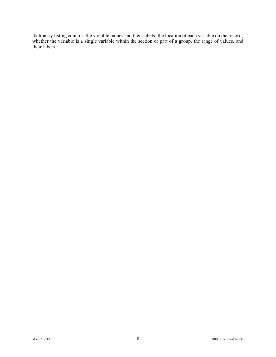dictionary listing contains the variable names and their labels, the location of each variable on the record, whether the variable is a single variable within the section or part of a group, the range of values, and their labels.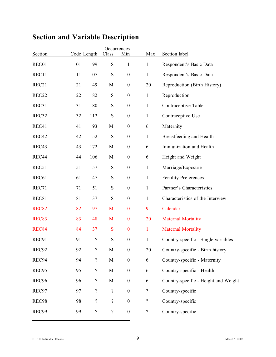|                   |    |                          | Occurrences    |                  |                          |                                      |
|-------------------|----|--------------------------|----------------|------------------|--------------------------|--------------------------------------|
| Section           |    | Code Length              | Class          | Min              | Max                      | Section label                        |
| REC01             | 01 | 99                       | ${\bf S}$      | $\mathbf{1}$     | $\mathbf{1}$             | Respondent's Basic Data              |
| REC11             | 11 | 107                      | ${\bf S}$      | $\boldsymbol{0}$ | $\mathbf{1}$             | Respondent's Basic Data              |
| REC21             | 21 | 49                       | M              | $\boldsymbol{0}$ | 20                       | Reproduction (Birth History)         |
| REC <sub>22</sub> | 22 | 82                       | ${\bf S}$      | $\boldsymbol{0}$ | $\mathbf{1}$             | Reproduction                         |
| REC31             | 31 | 80                       | ${\bf S}$      | $\boldsymbol{0}$ | $\mathbf{1}$             | Contraceptive Table                  |
| REC32             | 32 | 112                      | ${\bf S}$      | $\boldsymbol{0}$ | $\mathbf{1}$             | Contraceptive Use                    |
| REC41             | 41 | 93                       | $\mathbf M$    | $\boldsymbol{0}$ | 6                        | Maternity                            |
| REC42             | 42 | 152                      | ${\bf S}$      | $\boldsymbol{0}$ | $\mathbf{1}$             | Breastfeeding and Health             |
| REC43             | 43 | 172                      | M              | $\boldsymbol{0}$ | 6                        | Immunization and Health              |
| REC44             | 44 | 106                      | $\mathbf M$    | $\boldsymbol{0}$ | 6                        | Height and Weight                    |
| REC51             | 51 | 57                       | ${\bf S}$      | $\boldsymbol{0}$ | $\mathbf{1}$             | Marriage/Exposure                    |
| REC61             | 61 | 47                       | ${\bf S}$      | $\boldsymbol{0}$ | $\mathbf{1}$             | <b>Fertility Preferences</b>         |
| REC71             | 71 | 51                       | ${\bf S}$      | $\boldsymbol{0}$ | $\mathbf{1}$             | Partner's Characteristics            |
| REC81             | 81 | 37                       | ${\bf S}$      | $\boldsymbol{0}$ | $\mathbf{1}$             | Characteristics of the Interview     |
| <b>REC82</b>      | 82 | 97                       | M              | $\boldsymbol{0}$ | 9                        | Calendar                             |
| <b>REC83</b>      | 83 | 48                       | M              | $\boldsymbol{0}$ | 20                       | <b>Maternal Mortality</b>            |
| REC84             | 84 | 37                       | ${\bf S}$      | $\boldsymbol{0}$ | $\mathbf{1}$             | <b>Maternal Mortality</b>            |
| REC91             | 91 | $\overline{\cdot}$       | ${\bf S}$      | $\boldsymbol{0}$ | $\mathbf{1}$             | Country-specific - Single variables  |
| REC92             | 92 | $\boldsymbol{?}$         | $\mathbf M$    | $\boldsymbol{0}$ | 20                       | Country-specific - Birth history     |
| REC94             | 94 | $\overline{\mathcal{L}}$ | $\mathbf M$    | $\boldsymbol{0}$ | 6                        | Country-specific - Maternity         |
| REC95             | 95 | $\overline{?}$           | $\mathbf M$    | $\boldsymbol{0}$ | 6                        | Country-specific - Health            |
| REC96             | 96 | $\overline{?}$           | $\mathbf M$    | $\boldsymbol{0}$ | 6                        | Country-specific - Height and Weight |
| REC97             | 97 | $\boldsymbol{?}$         | $\overline{?}$ | $\boldsymbol{0}$ | $\overline{\mathcal{L}}$ | Country-specific                     |
| REC98             | 98 | $\overline{\mathcal{L}}$ | $\overline{?}$ | $\boldsymbol{0}$ | $\overline{?}$           | Country-specific                     |
| REC99             | 99 | $\overline{\mathcal{L}}$ | $\overline{?}$ | $\boldsymbol{0}$ | $\overline{?}$           | Country-specific                     |
|                   |    |                          |                |                  |                          |                                      |

# **Section and Variable Description**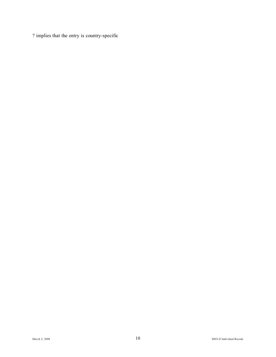? implies that the entry is country-specific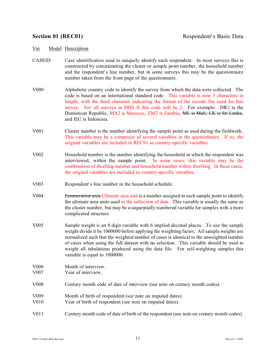- CASEID Case identification used to uniquely identify each respondent. In most surveys this is constructed by concatenating the cluster or sample point number, the household number and the respondent's line number, but in some surveys this may be the questionnaire number taken from the front page of the questionnaire.
- V000 Alphabetic country code to identify the survey from which the data were collected. The code is based on an international standard code. This variable is now 3 characters in length, with the third character indicating the format of the recode file used for this survey. For all surveys in DHS II this code will be 2. For example: DR2 is the Dominican Republic, MA2 is Morocco, ZM2 is Zambia, ML is Mali, LK is Sri Lanka, and ID2 is Indonesia.
- V001 Cluster number is the number identifying the sample point as used during the fieldwork. This variable may be a composite of several variables in the questionnaire. If so, the original variables are included in REC91 as country-specific variables.
- V002 Household number is the number identifying the household in which the respondent was interviewed, within the sample point. In some cases, this variable may be the combination of dwelling number and household number within dwelling. In these cases, the original variables are included as country-specific variables.
- V003 Respondent's line number in the household schedule.
- V004 Enumeration area Ultimate area unit is a number assigned to each sample point to identify the ultimate area units used in the collection of data. This variable is usually the same as the cluster number, but may be a sequentially numbered variable for samples with a more complicated structure.
- V005 Sample weight is an 8 digit variable with 6 implied decimal places. To use the sample weight divide it by 1000000 before applying the weighting factor. All sample weights are normalized such that the weighted number of cases is identical to the unweighted number of cases when using the full dataset with no selection. This variable should be used to weight all tabulations produced using the data file. For self-weighting samples this variable is equal to 1000000.
- V006 Month of interview.
- V007 Year of interview.
- V008 Century month code of date of interview (see note on century month codes).
- V009 Month of birth of respondent (see note on imputed dates).
- V010 Year of birth of respondent (see note on imputed dates).
- V011 Century month code of date of birth of the respondent (see note on century month codes).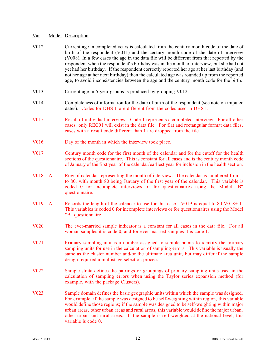| V012                              | Current age in completed years is calculated from the century month code of the date of<br>birth of the respondent (V011) and the century month code of the date of interview<br>(V008). In a few cases the age in the data file will be different from that reported by the<br>respondent when the respondent's birthday was in the month of interview, but she had not<br>yet had her birthday. If the respondent correctly reported her age at her last birthday (and<br>not her age at her next birthday) then the calculated age was rounded up from the reported<br>age, to avoid inconsistencies between the age and the century month code for the birth. |
|-----------------------------------|-------------------------------------------------------------------------------------------------------------------------------------------------------------------------------------------------------------------------------------------------------------------------------------------------------------------------------------------------------------------------------------------------------------------------------------------------------------------------------------------------------------------------------------------------------------------------------------------------------------------------------------------------------------------|
| V013                              | Current age in 5-year groups is produced by grouping V012.                                                                                                                                                                                                                                                                                                                                                                                                                                                                                                                                                                                                        |
| V014                              | Completeness of information for the date of birth of the respondent (see note on imputed<br>dates). Codes for DHS II are different from the codes used in DHS I.                                                                                                                                                                                                                                                                                                                                                                                                                                                                                                  |
| V015                              | Result of individual interview. Code 1 represents a completed interview. For all other<br>cases, only REC01 will exist in the data file. For flat and rectangular format data files,<br>cases with a result code different than 1 are dropped from the file.                                                                                                                                                                                                                                                                                                                                                                                                      |
| V016                              | Day of the month in which the interview took place.                                                                                                                                                                                                                                                                                                                                                                                                                                                                                                                                                                                                               |
| V017                              | Century month code for the first month of the calendar and for the cutoff for the health<br>sections of the questionnaire. This is constant for all cases and is the century month code<br>of January of the first year of the calendar/earliest year for inclusion in the health section.                                                                                                                                                                                                                                                                                                                                                                        |
| V018 A                            | Row of calendar representing the month of interview. The calendar is numbered from 1<br>to 80, with month 80 being January of the first year of the calendar. This variable is<br>coded 0 for incomplete interviews or for questionnaires using the Model "B"<br>questionnaire.                                                                                                                                                                                                                                                                                                                                                                                   |
| V <sub>0</sub> 19<br>$\mathbf{A}$ | Records the length of the calendar to use for this case. V019 is equal to 80-V018+1.<br>This variables is coded 0 for incomplete interviews or for questionnaires using the Model<br>"B" questionnaire.                                                                                                                                                                                                                                                                                                                                                                                                                                                           |
| <b>V020</b>                       | The ever-married sample indicator is a constant for all cases in the data file. For all<br>woman samples it is code 0, and for ever married samples it is code 1.                                                                                                                                                                                                                                                                                                                                                                                                                                                                                                 |
| V <sub>021</sub>                  | Primary sampling unit is a number assigned to sample points to identify the primary<br>sampling units for use in the calculation of sampling errors. This variable is usually the<br>same as the cluster number and/or the ultimate area unit, but may differ if the sample<br>design required a multistage selection process.                                                                                                                                                                                                                                                                                                                                    |
| V <sub>0</sub> 22                 | Sample strata defines the pairings or groupings of primary sampling units used in the<br>calculation of sampling errors when using the Taylor series expansion method (for<br>example, with the package Clusters).                                                                                                                                                                                                                                                                                                                                                                                                                                                |
| V <sub>0</sub> 23                 | Sample domain defines the basic geographic units within which the sample was designed.<br>For example, if the sample was designed to be self-weighting within region, this variable<br>would define those regions; if the sample was designed to be self-weighting within major<br>urban areas, other urban areas and rural areas, this variable would define the major urban,<br>other urban and rural areas. If the sample is self-weighted at the national level, this<br>variable is code 0.                                                                                                                                                                  |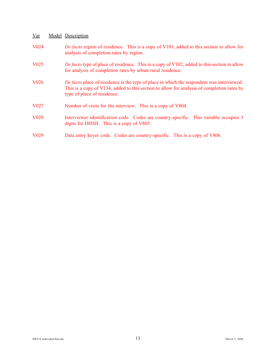- V024 *De facto* region of residence. This is a copy of V101, added to this section to allow for analysis of completion rates by region.
- V025 *De facto* type of place of residence. This is a copy of V102, added to this section to allow for analysis of completion rates by urban/rural residence.
- V026 *De facto* place of residence is the type of place in which the respondent was interviewed. This is a copy of V134, added to this section to allow for analysis of completion rates by type of place of residence.
- V027 Number of visits for the interview. This is a copy of V804.
- V028 Interviewer identification code. Codes are country-specific. This variable occupies 3 digits for DHSII. This is a copy of V805.
- V029 Data entry keyer code. Codes are country-specific. This is a copy of V806.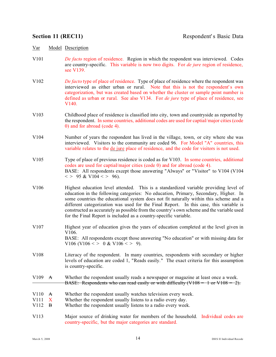- V101 *De facto* region of residence. Region in which the respondent was interviewed. Codes are country-specific. This variable is now two digits. For *de jure* region of residence, see V139.
- V102 *De facto* type of place of residence. Type of place of residence where the respondent was interviewed as either urban or rural. Note that this is not the respondent's own categorization, but was created based on whether the cluster or sample point number is defined as urban or rural. See also V134. For *de jure* type of place of residence, see V140.
- V103 Childhood place of residence is classified into city, town and countryside as reported by the respondent. In some countries, additional codes are used for captial/major cities (code 0) and for abroad (code 4).
- V104 Number of years the respondent has lived in the village, town, or city where she was interviewed. Visitors to the community are coded 96. For Model "A" countries, this variable relates to the de jure place of residence, and the code for visitors is not used.
- V105 Type of place of previous residence is coded as for V103. In some countries, additional codes are used for captial/major cities (code 0) and for abroad (code 4). BASE: All respondents except those answering "Always" or "Visitor" to V104 (V104  $\langle$  > 95 & V104 $\langle$  > 96).
- V106 Highest education level attended. This is a standardized variable providing level of education in the following categories: No education, Primary, Secondary, Higher. In some countries the educational system does not fit naturally within this scheme and a different categorization was used for the Final Report. In this case, this variable is constructed as accurately as possible from the country's own scheme and the variable used for the Final Report is included as a country-specific variable.
- V107 Highest year of education gives the years of education completed at the level given in V106. BASE: All respondents except those answering "No education" or with missing data for V106 (V106 < > 0 & V106 < > 9).
- V108 Literacy of the respondent. In many countries, respondents with secondary or higher levels of education are coded 1, "Reads easily." The exact criteria for this assumption is country-specific.
- V109 A Whether the respondent usually reads a newspaper or magazine at least once a week. BASE: Respondents who can read easily or with difficulty  $(V108 = 1$  or  $V108 = 2)$ .
- V110 A Whether the respondent usually watches television every week.<br>V111 X Whether the respondent usually listens to a radio every day.
- Whether the respondent usually listens to a radio every day.
- V112 B Whether the respondent usually listens to a radio every week.
- V113 Major source of drinking water for members of the household. Individual codes are country-specific, but the major categories are standard.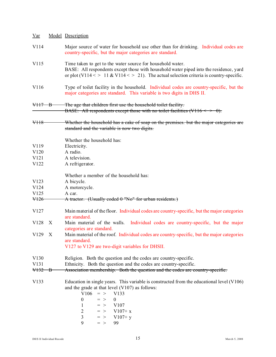| <u>Var</u>        |                           | Model Description                                                                                                                                                                                                                                                                                                                 |
|-------------------|---------------------------|-----------------------------------------------------------------------------------------------------------------------------------------------------------------------------------------------------------------------------------------------------------------------------------------------------------------------------------|
| V114              |                           | Major source of water for household use other than for drinking. Individual codes are<br>country-specific, but the major categories are standard.                                                                                                                                                                                 |
| V115              |                           | Time taken to get to the water source for household water.<br>BASE: All respondents except those with household water piped into the residence, yard<br>or plot (V114 < > 11 & V114 < > 21). The actual selection criteria is country-specific.                                                                                   |
| V116              |                           | Type of toilet facility in the household. Individual codes are country-specific, but the<br>major categories are standard. This variable is two digits in DHS II.                                                                                                                                                                 |
| <del>V117 B</del> |                           | The age that children first use the household toilet facility.                                                                                                                                                                                                                                                                    |
|                   |                           | BASE: All respondents except those with no toilet facilities (V116 $\le$ $\rightarrow$ 0).                                                                                                                                                                                                                                        |
| <del>V118</del>   |                           | Whether the household has a cake of soap on the premises, but the major categories are<br>standard and the variable is now two digits.                                                                                                                                                                                            |
|                   |                           | Whether the household has:                                                                                                                                                                                                                                                                                                        |
| V119              |                           | Electricity.                                                                                                                                                                                                                                                                                                                      |
| V120              |                           | A radio.                                                                                                                                                                                                                                                                                                                          |
| V121              |                           | A television.                                                                                                                                                                                                                                                                                                                     |
| V122              |                           | A refrigerator.                                                                                                                                                                                                                                                                                                                   |
|                   |                           | Whether a member of the household has:                                                                                                                                                                                                                                                                                            |
| V123              |                           | A bicycle.                                                                                                                                                                                                                                                                                                                        |
| V124              |                           | A motorcycle.                                                                                                                                                                                                                                                                                                                     |
| V125              |                           | A car.                                                                                                                                                                                                                                                                                                                            |
| V <sub>126</sub>  |                           | A tractor. (Usually coded 0 "No" for urban residents.)                                                                                                                                                                                                                                                                            |
| V127              |                           | Main material of the floor. Individual codes are country-specific, but the major categories<br>are standard.                                                                                                                                                                                                                      |
| V128              | $\boldsymbol{\mathrm{X}}$ | Main material of the walls.<br>Individual codes are country-specific, but the major<br>categories are standard.                                                                                                                                                                                                                   |
| V129              | $\mathbf{X}$              | Main material of the roof. Individual codes are country-specific, but the major categories<br>are standard.<br>V127 to V129 are two-digit variables for DHSII.                                                                                                                                                                    |
|                   |                           |                                                                                                                                                                                                                                                                                                                                   |
| V130              |                           | Religion. Both the question and the codes are country-specific.                                                                                                                                                                                                                                                                   |
| V131              |                           | Ethnicity. Both the question and the codes are country-specific.                                                                                                                                                                                                                                                                  |
| $\sqrt{132}$ B    |                           | Association membership. Both the question and the codes are country-specific.                                                                                                                                                                                                                                                     |
| V133              |                           | Education in single years. This variable is constructed from the educational level (V106)<br>and the grade at that level (V107) as follows:<br>V <sub>106</sub><br>V133<br>$=$ ><br>$\boldsymbol{0}$<br>$\boldsymbol{0}$<br>$=$ ><br>1<br>$=$ > V107<br>$\overline{2}$<br>$=$ > V107+ x<br>3<br>$=$ > V107+ y<br>9<br>99<br>$=$ > |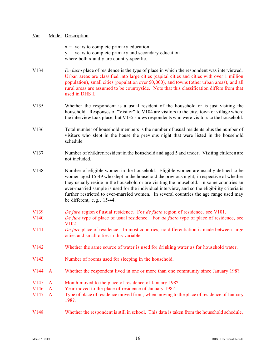|                                              |                                              | $x =$ years to complete primary education<br>$y =$ years to complete primary and secondary education<br>where both x and y are country-specific.                                                                                                                                                                                                                                                                                                                                                    |
|----------------------------------------------|----------------------------------------------|-----------------------------------------------------------------------------------------------------------------------------------------------------------------------------------------------------------------------------------------------------------------------------------------------------------------------------------------------------------------------------------------------------------------------------------------------------------------------------------------------------|
| V134                                         |                                              | De facto place of residence is the type of place in which the respondent was interviewed.<br>Urban areas are classified into large cities (capital cities and cities with over 1 million<br>population), small cities (population over 50,000), and towns (other urban areas), and all<br>rural areas are assumed to be countryside. Note that this classification differs from that<br>used in DHS I.                                                                                              |
| V135                                         |                                              | Whether the respondent is a usual resident of the household or is just visiting the<br>household. Responses of "Visitor" to V104 are visitors to the city, town or village where<br>the interview took place, but V135 shows respondents who were visitors to the household.                                                                                                                                                                                                                        |
| V136                                         |                                              | Total number of household members is the number of usual residents plus the number of<br>visitors who slept in the house the previous night that were listed in the household<br>schedule.                                                                                                                                                                                                                                                                                                          |
| V137                                         |                                              | Number of children resident in the household and aged 5 and under. Visiting children are<br>not included.                                                                                                                                                                                                                                                                                                                                                                                           |
| V138                                         |                                              | Number of eligible women in the household. Eligible women are usually defined to be<br>women aged 15-49 who slept in the household the previous night, irrespective of whether<br>they usually reside in the household or are visiting the household. In some countries an<br>ever-married sample is used for the individual interview, and so the eligibility criteria is<br>further restricted to ever-married women. In several countries the age range used may<br>be different, $e.g., 15-44.$ |
| V139<br>V140                                 |                                              | De jure region of usual residence. For <i>de facto</i> region of residence, see V101.<br>De jure type of place of usual residence. For <i>de facto</i> type of place of residence, see                                                                                                                                                                                                                                                                                                              |
| V141                                         |                                              | V102.<br>De jure place of residence. In most countries, no differentiation is made between large<br>cities and small cities in this variable.                                                                                                                                                                                                                                                                                                                                                       |
| V <sub>142</sub>                             |                                              | Whether the same source of water is used for drinking water as for household water.                                                                                                                                                                                                                                                                                                                                                                                                                 |
| V143                                         |                                              | Number of rooms used for sleeping in the household.                                                                                                                                                                                                                                                                                                                                                                                                                                                 |
| V144                                         | $\mathbf{A}$                                 | Whether the respondent lived in one or more than one community since January 198?.                                                                                                                                                                                                                                                                                                                                                                                                                  |
| V145<br>V <sub>146</sub><br>V <sub>147</sub> | $\mathbf{A}$<br>$\mathbf{A}$<br>$\mathbf{A}$ | Month moved to the place of residence of January 198?.<br>Year moved to the place of residence of January 198?.<br>Type of place of residence moved from, when moving to the place of residence of January<br>198?.                                                                                                                                                                                                                                                                                 |
| V148                                         |                                              | Whether the respondent is still in school. This data is taken from the household schedule.                                                                                                                                                                                                                                                                                                                                                                                                          |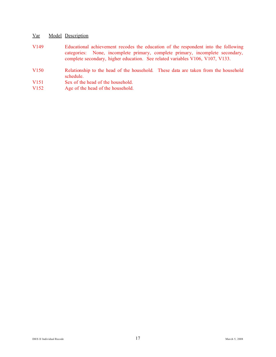- V149 Educational achievement recodes the education of the respondent into the following categories: None, incomplete primary, complete primary, incomplete secondary, complete secondary, higher education. See related variables V106, V107, V133.
- V150 Relationship to the head of the household. These data are taken from the household schedule.
- V151 Sex of the head of the household.<br>V152 Age of the head of the household.
- Age of the head of the household.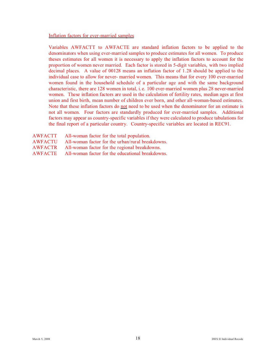Inflation factors for ever-married samples

Variables AWFACTT to AWFACTE are standard inflation factors to be applied to the denominators when using ever-married samples to produce estimates for all women. To produce theses estimates for all women it is necessary to apply the inflation factors to account for the proportion of women never married. Each factor is stored in 5-digit variables, with two implied decimal places. A value of 00128 means an inflation factor of 1.28 should be applied to the individual case to allow for never- married women. This means that for every 100 ever-married women found in the household schedule of a particular age and with the same background characteristic, there are 128 women in total, i. e. 100 ever-married women plus 28 never-married women. These inflation factors are used in the calculation of fertility rates, median ages at first union and first birth, mean number of children ever born, and other all-woman-based estimates. Note that these inflation factors do not need to be used when the denominator for an estimate is not all women. Four factors are standardly produced for ever-married samples. Additional factors may appear as country-specific variables if they were calculated to produce tabulations for the final report of a particular country. Country-specific variables are located in REC91.

| <b>AWFACTT</b> | All-woman factor for the total population.       |
|----------------|--------------------------------------------------|
| AWFACTU        | All-woman factor for the urban/rural breakdowns. |
| <b>AWFACTR</b> | All-woman factor for the regional breakdowns.    |
| <b>AWFACTE</b> | All-woman factor for the educational breakdowns. |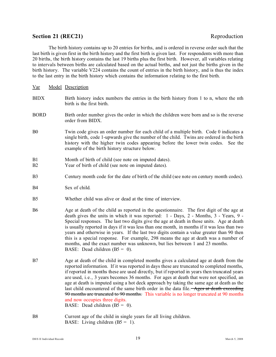### **Section 21 (REC21)** Reproduction

The birth history contains up to 20 entries for births, and is ordered in reverse order such that the last birth is given first in the birth history and the first birth is given last. For respondents with more than 20 births, the birth history contains the last 19 births plus the first birth. However, all variables relating to intervals between births are calculated based on the actual births, and not just the births given in the birth history. The variable V224 contains the count of entries in the birth history, and is thus the index to the last entry in the birth history which contains the information relating to the first birth.

Var Model Description BIDX Birth history index numbers the entries in the birth history from 1 to n, where the nth birth is the first birth. BORD Birth order number gives the order in which the children were born and so is the reverse order from BIDX. B0 Twin code gives an order number for each child of a multiple birth. Code 0 indicates a single birth, code 1-upwards give the number of the child. Twins are ordered in the birth history with the higher twin codes appearing before the lower twin codes. See the example of the birth history structure below. B1 Month of birth of child (see note on imputed dates). B2 Year of birth of child (see note on imputed dates). B3 Century month code for the date of birth of the child (see note on century month codes). B<sub>4</sub> Sex of child. B5 Whether child was alive or dead at the time of interview. B6 Age at death of the child as reported in the questionnaire. The first digit of the age at death gives the units in which it was reported: 1 - Days, 2 - Months, 3 - Years, 9 - Special responses. The last two digits give the age at death in those units. Age at death is usually reported in days if it was less than one month, in months if it was less than two years and otherwise in years. If the last two digits contain a value greater than 90 then this is a special response. For example, 298 means the age at death was a number of months, and the exact number was unknown, but lies between 1 and 23 months. BASE: Dead children  $(B5 = 0)$ . B7 Age at death of the child in completed months gives a calculated age at death from the reported information. If it was reported in days these are truncated to completed months, if reported in months these are used directly, but if reported in years then truncated years are used, i.e., 3 years becomes 36 months. For ages at death that were not specified, an age at death is imputed using a hot deck approach by taking the same age at death as the last child encountered of the same birth order in the data file.  $\overrightarrow{Ages}$  at death exceeding 90 months are truncated to 90 months. This variable is no longer truncated at 90 months and now occupies three digits.

BASE: Dead children  $(B5 = 0)$ .

B8 Current age of the child in single years for all living children. BASE: Living children  $(B5 = 1)$ .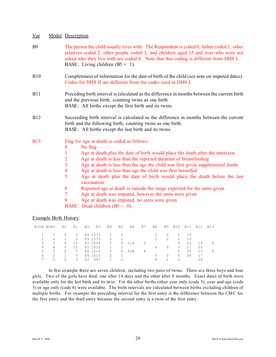- B9 The person the child usually lives with. The Respondent is coded 0, father coded 1, other relatives coded 2, other people coded 3, and children aged 15 and over who were not asked who they live with are coded 4. Note that this coding is different from DHS I. BASE: Living children  $(B5 = 1)$ .
- B10 Completeness of information for the date of birth of the child (see note on imputed dates). Codes for DHS II are different from the codes used in DHS I.
- B11 Preceding birth interval is calculated as the difference in months between the current birth and the previous birth, counting twins as one birth. BASE: All births except the first birth and its twins.
- B12 Succeeding birth interval is calculated as the difference in months between the current birth and the following birth, counting twins as one birth. BASE: All births except the last birth and its twins.

### B13 Flag for age at death is coded as follows:

- 0 No flag
	- 1 Age at death plus the date of birth would place the death after the interview
	- 2 Age at death is less than the reported duration of breastfeeding
	- 3 Age at death is less than the age the child was first given supplemental foods
	- 4 Age at death is less than age the child was first breastfed
	- 5 Age at death plus the date of birth would place the death before the last vaccination
	- 6 Reported age at death is outside the range expected for the units given
	- 7 Age at death was imputed, however the units were given
	- 8 Age at death was imputed, no units were given
	- BASE: Dead children  $(B5 = 0)$ .

### Example Birth History:

|               | BIDX BORD | B0 | <b>B1</b> | B2 | B 3     | <b>B4</b>     | B5             | B6  | B7       | B8 |          |              |    | B9 B10 B11 B12 | B13    |
|---------------|-----------|----|-----------|----|---------|---------------|----------------|-----|----------|----|----------|--------------|----|----------------|--------|
|               |           | 2  | .5        |    | 89 1073 | $1 \quad 1$   |                |     |          |    | $\Omega$ | $\mathbf{1}$ | 19 |                |        |
| $\mathcal{L}$ | 6         |    | 5         |    | 89 1073 | 2             | $\overline{1}$ |     |          |    | $\Omega$ | $\mathbf{1}$ | 19 |                |        |
| 3             | 5.        | 0  | 10        |    | 87 1054 | $\mathcal{L}$ | $\Omega$       | 114 | $\Omega$ |    |          | 5.           | 22 | 19             | $\cap$ |
| 4             | 4         | 0  | 12.       |    | 85 1032 |               |                |     |          | 4  | $\Box$   | 3            | 17 | 22             |        |
| 5             | 3         | 2  | 7         |    | 84 1015 | $\mathcal{L}$ | $\Omega$       | 208 | 8        |    |          | 5.           | 28 | 17             | $\Box$ |
| 6             | 2         |    | 7         |    | 84 1015 | $\mathcal{L}$ | 1.             |     |          | 5. | $\Omega$ | 5.           | 28 | 17             |        |
|               |           | 0  | 3         | 82 | 987     |               |                |     |          | 8  |          | h            |    | 28             |        |
|               |           |    |           |    |         |               |                |     |          |    |          |              |    |                |        |

In this example there are seven children, including two pairs of twins. There are three boys and four girls. Two of the girls have died, one after 14 days and the other after 8 months. Exact dates of birth were available only for the last birth and its twin. For the other births either year only (code 5), year and age (code 3) or age only (code 6) were available. The birth intervals are calculated between births excluding children of multiple births. For example the preceding interval for the first entry is the difference between the CMC for the first entry and the third entry because the second entry is a twin of the first entry.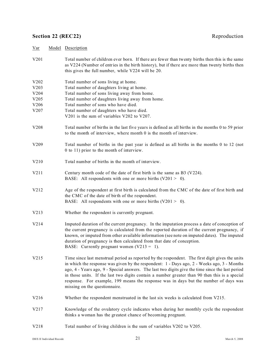# **Section 22 (REC22)** Reproduction

| Var                                          | Model Description                                                                                                                                                                                                                                                                                                                                                                                                                                                                                                                  |
|----------------------------------------------|------------------------------------------------------------------------------------------------------------------------------------------------------------------------------------------------------------------------------------------------------------------------------------------------------------------------------------------------------------------------------------------------------------------------------------------------------------------------------------------------------------------------------------|
| V <sub>201</sub>                             | Total number of children ever born. If there are fewer than twenty births then this is the same<br>as V224 (Number of entries in the birth history), but if there are more than twenty births then<br>this gives the full number, while V224 will be 20.                                                                                                                                                                                                                                                                           |
| V202<br>V203<br>V204<br>V205<br>V206<br>V207 | Total number of sons living at home.<br>Total number of daughters living at home.<br>Total number of sons living away from home.<br>Total number of daughters living away from home.<br>Total number of sons who have died.<br>Total number of daughters who have died.<br>V201 is the sum of variables V202 to V207.                                                                                                                                                                                                              |
| V208                                         | Total number of births in the last five years is defined as all births in the months 0 to 59 prior<br>to the month of interview, where month 0 is the month of interview.                                                                                                                                                                                                                                                                                                                                                          |
| V209                                         | Total number of births in the past year is defined as all births in the months 0 to 12 (not<br>0 to 11) prior to the month of interview.                                                                                                                                                                                                                                                                                                                                                                                           |
| V210                                         | Total number of births in the month of interview.                                                                                                                                                                                                                                                                                                                                                                                                                                                                                  |
| V211                                         | Century month code of the date of first birth is the same as B3 (V224).<br>BASE: All respondents with one or more births $(V201 > 0)$ .                                                                                                                                                                                                                                                                                                                                                                                            |
| V212                                         | Age of the respondent at first birth is calculated from the CMC of the date of first birth and<br>the CMC of the date of birth of the respondent.<br>BASE: All respondents with one or more births $(V201 > 0)$ .                                                                                                                                                                                                                                                                                                                  |
| V213                                         | Whether the respondent is currently pregnant.                                                                                                                                                                                                                                                                                                                                                                                                                                                                                      |
| V214                                         | Imputed duration of the current pregnancy. In the imputation process a date of conception of<br>the current pregnancy is calculated from the reported duration of the current pregnancy, if<br>known, or imputed from other available information (see note on imputed dates). The imputed<br>duration of pregnancy is then calculated from that date of conception.<br>BASE: Currently pregnant women $(V213 = 1)$ .                                                                                                              |
| V215                                         | Time since last menstrual period as reported by the respondent. The first digit gives the units<br>in which the response was given by the respondent: $1 -$ Days ago, $2 -$ Weeks ago, $3 -$ Months<br>ago, 4 - Years ago, 9 - Special answers. The last two digits give the time since the last period<br>in those units. If the last two digits contain a number greater than 90 then this is a special<br>response. For example, 199 means the response was in days but the number of days was<br>missing on the questionnaire. |
| V216                                         | Whether the respondent menstruated in the last six weeks is calculated from V215.                                                                                                                                                                                                                                                                                                                                                                                                                                                  |
| V217                                         | Knowledge of the ovulatory cycle indicates when during her monthly cycle the respondent<br>thinks a woman has the greatest chance of becoming pregnant.                                                                                                                                                                                                                                                                                                                                                                            |
| V218                                         | Total number of living children is the sum of variables V202 to V205.                                                                                                                                                                                                                                                                                                                                                                                                                                                              |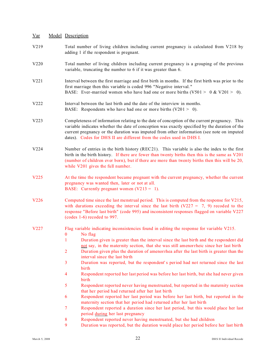- V219 Total number of living children including current pregnancy is calculated from V218 by adding 1 if the respondent is pregnant.
- V220 Total number of living children including current pregnancy is a grouping of the previous variable, truncating the number to 6 if it was greater than 6.
- V221 Interval between the first marriage and first birth in months. If the first birth was prior to the first marriage then this variable is coded 996 "Negative interval. " BASE: Ever-married women who have had one or more births  $(V501 > 0 \& V201 > 0)$ .
- V222 Interval between the last birth and the date of the interview in months. BASE: Respondents who have had one or more births  $(V201 > 0)$ .
- V223 Completeness of information relating to the date of conception of the current pregnancy. This variable indicates whether the date of conception was exactly specified by the duration of the current pregnancy or the duration was imputed from other information (see note on imputed dates). Codes for DHS II are different from the codes used in DHS I.
- V224 Number of entries in the birth history (REC21). This variable is also the index to the first birth in the birth history. If there are fewer than twenty births then this is the same as V201 (number of children ever born), but if there are more than twenty births then this will be 20, while V201 gives the full number.
- V225 At the time the respondent became pregnant with the current pregnancy, whether the current pregnancy was wanted then, later or not at all. BASE: Currently pregnant women  $(V213 = 1)$ .
- V226 Computed time since the last menstrual period. This is computed from the response for V215, with durations exceeding the interval since the last birth  $(V227 = 7, 9)$  recoded to the response "Before last birth" (code 995) and inconsistent responses flagged on variable V227 (codes 1-6) recoded to 997.
- V227 Flag variable indicating inconsistencies found in editing the response for variable V215.
	- 0 No flag
	- 1 Duration given is greater than the interval since the last birth and the respondent did not say, in the maternity section, that she was still amenorrheic since her last birth
	- 2 Duration given plus the duration of amenorrhea after the last birth is greater than the interval since the last birth
	- 3 Duration was reported, but the respondent' s period had not returned since the last birth
	- 4 Respondent reported her last period was before her last birth, but she had never given birth
	- 5 Respondent reported never having menstruated, but reported in the maternity section that her period had returned after her last birth
	- 6 Respondent reported her last period was before her last birth, but reported in the maternity section that her period had returned after her last birth
	- 7 Respondent reported a duration since her last period, but this would place her last period during her last pregnancy
	- 8 Respondent reported never having menstruated, but she had children
	- 9 Duration was reported, but the duration would place her period before her last birth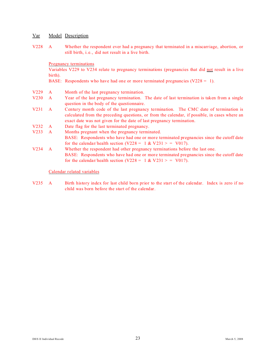V228 A Whether the respondent ever had a pregnancy that terminated in a miscarriage, abortion, or still birth, i. e., did not result in a live birth.

Pregnancy terminations

Variables V229 to V234 relate to pregnancy terminations (pregnancies that did not result in a live birth).

BASE: Respondents who have had one or more terminated pregnancies ( $V228 = 1$ ).

- V229 A Month of the last pregnancy termination.
- V230 A Year of the last pregnancy termination. The date of last termination is taken from a single question in the body of the questionnaire.
- V231 A Century month code of the last pregnancy termination. The CMC date of termination is calculated from the preceding questions, or from the calendar, if possible, in cases where an exact date was not given for the date of last pregnancy termination.
- V232 A Date flag for the last terminated pregnancy.
- V233 A Months pregnant when the pregnancy terminated. BASE: Respondents who have had one or more terminated pregnancies since the cutoff date for the calendar/health section (V228 =  $1 \& V231$  > = V017).
- V234 A Whether the respondent had other pregnancy terminations before the last one. BASE: Respondents who have had one or more terminated pregnancies since the cutoff date for the calendar/health section (V228 = 1 & V231 > = V017).

Calendar related variables

V235 A Birth history index for last child born prior to the start of the calendar. Index is zero if no child was born before the start of the calendar.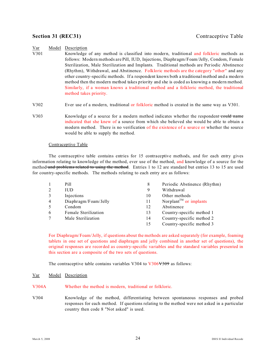### **Section 31 (REC31)** Contraceptive Table

### Var Model Description

- V301 Knowledge of any method is classified into modern, traditional and folkloric methods as follows: Modern methods are Pill, IUD, Injections, Diaphragm/Foam/Jelly, Condom, Female Sterilization, Male Sterilization and Implants. Traditional methods are Periodic Abstinence (Rhythm), Withdrawal, and Abstinence. Folkloric methods are the category "other" and any other country-specific methods. If a respondent knows both a traditional method and a modern method then the modern method takes priority and she is coded as knowing a modern method. Similarly, if a woman knows a traditional method and a folkloric method, the traditional method takes priority.
- V302 Ever use of a modern, traditional or folkloric method is created in the same way as V301.
- V303 Knowledge of a source for a modern method indicates whether the respondent could name indicated that she knew of a source from which she believed she would be able to obtain a modern method. There is no verification of the existence of a source or whether the source would be able to supply the method.

### Contraceptive Table

The contraceptive table contains entries for 15 contraceptive methods, and for each entry gives information relating to knowledge of the method, ever use of the method, and knowledge of a source for the method and problems related to using the method. Entries 1 to 12 are standard but entries 13 to 15 are used for country-specific methods. The methods relating to each entry are as follows:

|   | Pill                 | 8  | Periodic Abstinence (Rhythm)                    |
|---|----------------------|----|-------------------------------------------------|
| 2 | <b>IUD</b>           | 9  | Withdrawal                                      |
| 3 | Injections           | 10 | Other methods                                   |
| 4 | Diaphragm/Foam/Jelly | 11 | Norplant <sup><math>TM</math> or implants</sup> |
| 5 | Condom               | 12 | Abstinence                                      |
| 6 | Female Sterilization | 13 | Country-specific method 1                       |
| 7 | Male Sterilization   | 14 | Country-specific method 2                       |
|   |                      | 15 | Country-specific method 3                       |

For Diaphragm/Foam/Jelly, if questions about the methods are asked separately (for example, foaming tablets in one set of questions and diaphragm and jelly combined in another set of questions), the original responses are recorded as country-specific variables and the standard variables presented in this section are a composite of the two sets of questions.

The contraceptive table contains variables V304 to V306V309 as follows:

- V304A Whether the method is modern, traditional or folkloric.
- V304 Knowledge of the method, differentiating between spontaneous responses and probed responses for each method. If questions relating to the method were not asked in a particular country then code 8 "Not asked" is used.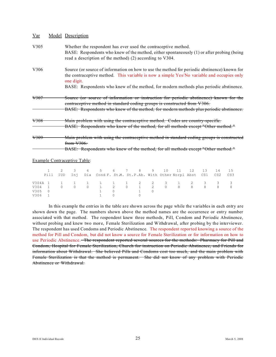| Model Description                                                                                                                                                                                                                                                                                 |
|---------------------------------------------------------------------------------------------------------------------------------------------------------------------------------------------------------------------------------------------------------------------------------------------------|
| Whether the respondent has ever used the contraceptive method.<br>BASE: Respondents who knew of the method, either spontaneously (1) or after probing (being<br>read a description of the method) (2) according to V304.                                                                          |
| Source (or source of information on how to use the method for periodic abstinence) known for<br>the contraceptive method. This variable is now a simple Yes/No variable and occupies only<br>one digit.<br>BASE: Respondents who knew of the method, for modern methods plus periodic abstinence. |
| Source (or source of information or instruction for periodic abstinence) known for the<br>contraceptive method in standard coding groups is constructed from V306.<br>BASE: Respondents who knew of the method, for modern methods plus periodic abstinence.                                      |
| Main problem with using the contraceptive method. Codes are country-specific.<br>BASE: Respondents who knew of the method, for all methods except "Other method."                                                                                                                                 |
| Main problem with using the contraceptive method in standard coding groups is constructed<br>from $V306$ .<br>BASE: Respondents who knew of the method, for all methods except "Other method."                                                                                                    |
|                                                                                                                                                                                                                                                                                                   |

Example Contraceptive Table:

|        |  |  | 2 3 4 5 6 7 8 9 10 11 12 13 14                                            |  |                             |  |  |     | 15    |
|--------|--|--|---------------------------------------------------------------------------|--|-----------------------------|--|--|-----|-------|
|        |  |  | Pill IUD Inj Dia Cond F. St.M. St.P.Ab. With Other Norpl Abst CS1 CS2 CS3 |  |                             |  |  |     |       |
|        |  |  | V304A 1 1 1 1 1 1 1 1 2 2 3 1 2 3 3 3                                     |  |                             |  |  |     |       |
| V304 1 |  |  | 0 0 0 1 2 0 1 2 0 8 8 8                                                   |  |                             |  |  | - 8 | - 8 - |
| V305 0 |  |  |                                                                           |  | $1 \quad 0 \quad 1 \quad 0$ |  |  |     |       |
| V306 1 |  |  | $\begin{array}{ccc} 1 & & 0 \end{array}$                                  |  |                             |  |  |     |       |

In this example the entries in the table are shown across the page while the variables in each entry are shown down the page. The numbers shown above the method names are the occurrence or entry number associated with that method. The respondent knew three methods, Pill, Condom and Periodic Abstinence, without probing and knew two more, Female Sterilization and Withdrawal, after probing by the interviewer. The respondent has used Condoms and Periodic Abstinence. The respondent reported knowing a source of the method for Pill and Condom, but did not know a source for Female Sterilization or for information on how to use Periodic Abstinence. The respondent reported several sources for the methods: Pharmacy for Pill and Condom, Hospital for Female Sterilization, Church for instruction on Periodic Abstinence, and Friends for information about Withdrawal. She believed Pills and Condoms cost too much, and the main problem with Female Sterilization is that the method is permanent. She did not know of any problem with Periodic Abstinence or Withdrawal.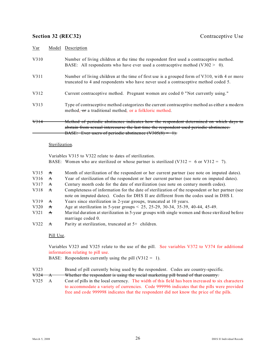### **Section 32 (REC32)** Contraceptive Use

| Var  | Model Description                                                                                                                                                                                                                             |
|------|-----------------------------------------------------------------------------------------------------------------------------------------------------------------------------------------------------------------------------------------------|
| V310 | Number of living children at the time the respondent first used a contraceptive method.<br>BASE: All respondents who have ever used a contraceptive method $(V302 > 0)$ .                                                                     |
| V311 | Number of living children at the time of first use is a grouped form of V310, with 4 or more<br>truncated to 4 and respondents who have never used a contraceptive method coded 5.                                                            |
| V312 | Current contraceptive method. Pregnant women are coded 0 "Not currently using."                                                                                                                                                               |
| V313 | Type of contraceptive method categorizes the current contraceptive method as either a modern<br>method, or a traditional method, or a folkloric method.                                                                                       |
| V314 | Method of periodic abstinence indicates how the respondent determined on which days to<br>abstain from sexual intercourse the last time the respondent used periodic abstinence.<br>BASE: Ever users of periodic abstinence $(V305(8) = 1)$ . |

### Sterilization.

Variables V315 to V322 relate to dates of sterilization. BASE: Women who are sterilized or whose partner is sterilized  $(V312 = 6$  or  $V312 = 7)$ .

- V315  $\star$  Month of sterilization of the respondent or her current partner (see note on imputed dates).
- V316 A Year of sterilization of the respondent or her current partner (see note on imputed dates).
- V317  $\pm$  Century month code for the date of sterilization (see note on century month codes).
- V318 A Completeness of information for the date of sterilization of the respondent or her partner (see note on imputed dates). Codes for DHS II are different from the codes used in DHS I.
- V319  $\rightarrow$  Years since sterilization in 2-year groups, truncated at 10 years.
- V320 A Age at sterilization in 5-year groups < 25, 25-29, 30-34, 35-39, 40-44, 45-49.
- V321  $\rightarrow$  Marital duration at sterilization in 5-year groups with single women and those sterilized before marriage coded 0.
- V322  $\overrightarrow{A}$  Parity at sterilization, truncated at 5+ children.

### Pill Use.

Variables V323 and V325 relate to the use of the pill. See variables V372 to V374 for additional information relating to pill use.

BASE: Respondents currently using the pill  $(V312 = 1)$ .

- V323 Brand of pill currently being used by the respondent. Codes are country-specific.
- V324 A Whether the respondent is using the social marketing pill brand of that country.
- V325 A Cost of pills in the local currency. The width of this field has been increased to six characters to accommodate a variety of currencies. Code 999996 indicates that the pills were provided free and code 999998 indicates that the respondent did not know the price of the pills.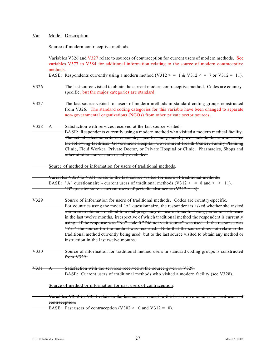### Source of modern contraceptive methods.

Variables V326 and V327 relate to sources of contraception for current users of modern methods. See variables V377 to V384 for additional information relating to the source of modern contraceptive methods. BASE: Respondents currently using a modern method  $(V312 > = 1 \& V312 < = 7$  or V312 = 11). V326 The last source visited to obtain the current modern contraceptive method. Codes are countryspecific, but the major categories are standard. V327 The last source visited for users of modern methods in standard coding groups constructed from V326. The standard coding categories for this variable have been changed to separate non-governmental organizations (NGOs) from other private sector sources. V328 A Satisfaction with services received at the last source visited. BASE: Respondents currently using a modern method who visited a modern medical facility. The actual selection criteria is country-specific, but generally will include those who visited the following facilities: Government Hospital, Government Health Center, Family Planning Clinic, Field Worker, Private Doctor, or Private Hospital or Clinic. Pharmacies, Shops and other similar sources are usually excluded. Source of method or information for users of traditional methods. Variables V329 to V331 relate to the last source visited for users of traditional methods. BASE: "A" questionnaire - current users of traditional methods (V312 > = 8 and  $\leq$  > 11). "B" questionnaire - current users of periodic abstinence  $(\sqrt{312} = 8)$ . V329 Source of information for users of traditional methods. Codes are country-specific. For countries using the model "A" questionnaire, the respondent is asked whether she visited a source to obtain a method to avoid pregnancy or instructions for using periodic abstinence in the last twelve months, irr espective of which traditional method the respondent is currently using. If the response was "No" code  $\theta$  "Did not visit source" was used. If the response was "Yes" the source for the method was recorded. Note that the source does not relate to the traditional method currently being used, but to the last source visited to obtain any method or instruction in the last twelve months. V330 Source of information for traditional method users in standard coding groups is constructed from V329. V331 A Satisfaction with the services received at the source given in V329. BASE: Current users of traditional methods who visited a modern facility (see V328). Source of method or information for past users of contraception. Variables V332 to V334 relate to the last source visited in the last twelve months for past users of contraception. BASE: Past users of contraception (V302  $>$  0 and V312 = 0).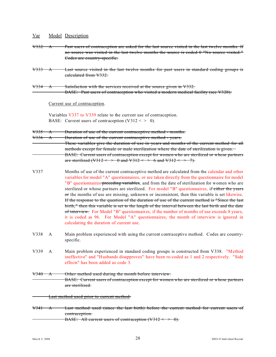| <u>Var</u>                             |                                                  | Model Description                                                                                                                                                                                                                                                                                                                                                                                                                                                                                                                                                                                                                                                                                                                                                                                                                                                                                                                                |  |
|----------------------------------------|--------------------------------------------------|--------------------------------------------------------------------------------------------------------------------------------------------------------------------------------------------------------------------------------------------------------------------------------------------------------------------------------------------------------------------------------------------------------------------------------------------------------------------------------------------------------------------------------------------------------------------------------------------------------------------------------------------------------------------------------------------------------------------------------------------------------------------------------------------------------------------------------------------------------------------------------------------------------------------------------------------------|--|
| <del>V332</del>                        | $\rightarrow$                                    | Past users of contraception are asked for the last source visited in the last twelve months. If<br>no source was visited in the last twelve months the source is coded 0 "No source visited."<br>Codes are country-specific.                                                                                                                                                                                                                                                                                                                                                                                                                                                                                                                                                                                                                                                                                                                     |  |
| <del>V333</del>                        | $\bm{\lambda}$                                   | Last source visited in the last twelve months for past users in standard coding groups is<br>calculated from V332.                                                                                                                                                                                                                                                                                                                                                                                                                                                                                                                                                                                                                                                                                                                                                                                                                               |  |
| <del>V334</del>                        | $\bm{\mathsf{A}}$                                | Satisfaction with the services received at the source given in V332.<br>BASE: Past users of contraception who visited a modern medical facility (see V328).                                                                                                                                                                                                                                                                                                                                                                                                                                                                                                                                                                                                                                                                                                                                                                                      |  |
|                                        |                                                  | Current use of contraception.                                                                                                                                                                                                                                                                                                                                                                                                                                                                                                                                                                                                                                                                                                                                                                                                                                                                                                                    |  |
|                                        |                                                  | Variables V337 to V339 relate to the current use of contraception.<br>BASE: Current users of contraception $(V312 < > 0)$ .                                                                                                                                                                                                                                                                                                                                                                                                                                                                                                                                                                                                                                                                                                                                                                                                                      |  |
| <del>V335 A</del><br><del>V336 A</del> |                                                  | Duration of use of the current contraceptive method - months.<br>Duration of use of the current contraceptive method - years.<br>These variables give the duration of use in years and months of the current method for all<br>methods except for female or male sterilization where the date of sterilization is given.                                                                                                                                                                                                                                                                                                                                                                                                                                                                                                                                                                                                                         |  |
|                                        |                                                  | BASE: Current users of contraception except for women who are sterilized or whose partners<br>are sterilized (V312 $\leq$ > 0 and V312 $\leq$ > 6 and V312 $\leq$ > 7).                                                                                                                                                                                                                                                                                                                                                                                                                                                                                                                                                                                                                                                                                                                                                                          |  |
| V337                                   |                                                  | Months of use of the current contraceptive method are calculated from the calendar and other<br>variables for model "A" questionnaires, or are taken directly from the questionnaire for model<br>"B" questionnaires preceding variables, and from the date of sterilization for women who are<br>sterilized or whose partners are sterilized. For model "B" questionnaires, if either the years<br>or the months of use are missing, unknown or inconsistent, then this variable is set likewise.<br>If the response to the question of the duration of use of the current method is "Since the last<br>birth," then this variable is set to the length of the interval between the last birth and the date<br>of interview. For Model "B" questionnaires, if the number of months of use exceeds 8 years,<br>it is coded as 96. For Model "A" questionnaires, the month of interview is ignored in<br>calculating the duration of current use. |  |
| V338                                   | A                                                | Main problem experienced with using the current contraceptive method. Codes are country-<br>specific.                                                                                                                                                                                                                                                                                                                                                                                                                                                                                                                                                                                                                                                                                                                                                                                                                                            |  |
| V339                                   | A                                                | Main problem experienced in standard coding groups is constructed from V338. "Method<br>ineffective" and "Husbands disapproves" have been re-coded as 1 and 2 respectively. "Side<br>effects" has been added as code 3.                                                                                                                                                                                                                                                                                                                                                                                                                                                                                                                                                                                                                                                                                                                          |  |
| $V340 - A$                             |                                                  | Other method used during the month before interview.<br><b>BASE:</b> Current users of contraception except for women who are sterilized or whose partners<br>are sterilized.                                                                                                                                                                                                                                                                                                                                                                                                                                                                                                                                                                                                                                                                                                                                                                     |  |
|                                        | <b>Last method used prior to current method.</b> |                                                                                                                                                                                                                                                                                                                                                                                                                                                                                                                                                                                                                                                                                                                                                                                                                                                                                                                                                  |  |
| $\sqrt{341-A}$                         |                                                  | Last method used (since the last birth) before the current method for current users of<br>contraception.<br>BASE: All current users of contraception $(\forall 312 \leq 9)$ .                                                                                                                                                                                                                                                                                                                                                                                                                                                                                                                                                                                                                                                                                                                                                                    |  |
|                                        |                                                  |                                                                                                                                                                                                                                                                                                                                                                                                                                                                                                                                                                                                                                                                                                                                                                                                                                                                                                                                                  |  |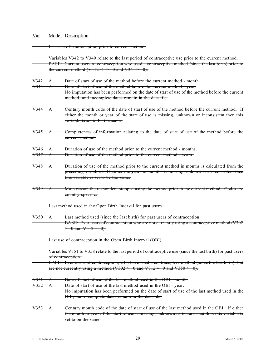Last use of contraception prior to current method.

- Variables V342 to V349 relate to the last period of contraceptive use prior to the current method. BASE: Current users of contraception who used a contraceptive method (since the last birth) prior to the current method (V312  $\leq$  > 0 and V341 > 0).
- V342 A Date of start of use of the method before the current method month.

V343 A Date of start of use of the method before the current method - year.

- No imputation has been performed on the date of start of use of the method before the current method, and incomplete dates remain in the data file.
- V344 A Century month code of the date of start of use of the method before the current method. If either the month or year of the start of use is missing, unknown or inconsistent then this variable is set to be the same.
- V345 A Completeness of information relating to the date of start of use of the method before the current method.
- V346 A Duration of use of the method prior to the current method months.
- V347 A Duration of use of the method prior to the current method years.
- V348 A Duration of use of the method prior to the current method in months is calculated from the preceding variables. If either the years or months is missing, unknown or inconsistent then this variable is set to be the same.
- $V349 \rightarrow A$  Main reason the respondent stopped using the method prior to the current method. Codes are country-specific.
	- Last method used in the Open Birth Interval for past users.
- V350 A Last method used (since the last birth) for past users of contraception. BASE: Ever users of contraception who are not currently using a contraceptive method (V302  $> 0$  and  $\sqrt{312} = 0$ .
- Last use of contraception in the Open Birth Interval (OBI).
- Variables V351 to V358 relate to the last period of contraceptive use (since the last birth) for past users of contraception.
- BASE: Ever users of contraception, who have used a contraceptive method (since the last birth), but are not currently using a method  $(\sqrt{302} > 0$  and  $(\sqrt{312} = 0)$  and  $(\sqrt{350} > 0)$ .
- V351 A Date of start of use of the last method used in the OBI month.
- V352 A Date of start of use of the last method used in the OBI year.
- No imputation has been performed on the date of start of use of the last method used in the OBI, and incomplete dates remain in the data file.
- V353 A Century month code of the date of start of use of the last method used in the OBI. If either the month or year of the start of use is missing, unknown or inconsistent then this variable is set to be the same.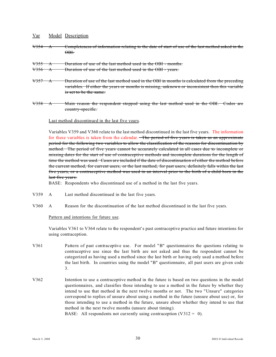- V354 A Completeness of information relating to the date of start of use of the last method asked in the  $\overline{\Theta}$ BH
- V355 A Duration of use of the last method used in the OBI months.

V356 A Duration of use of the last method used in the OBI - years.

- $V357 \text{ A}$  Duration of use of the last method used in the OBI in months is calculated from the preceding variables. If either the years or months is missing, unknown or inconsistent then this variable is set to be the same.
- V358 A Main reason the respondent stopped using the last method used in the OBI. Codes are country-specific.

### Last method discontinued in the last five years.

Variables V359 and V360 relate to the last method discontinued in the last five years. The information for these variables is taken from the calendar. The period of five years is taken as an approximate period for the following two variables to allow the classification of the reasons for discontinuation by method. The period of five years cannot be accurately calculated in all cases due to incomplete or missing dates for the start of use of contraceptive methods and incomplete durations for the length of time the method was used. Cases are included if the date of discontinuation of either the method before the current method, for current users, or the last method, for past users, definitely falls within the last five years, or a contraceptive method was used in an interval prior to the birth of a child born in the last five years.

BASE: Respondents who discontinued use of a method in the last five years.

- V359 A Last method discontinued in the last five years.
- V360 A Reason for the discontinuation of the last method discontinued in the last five years.

### Pattern and intentions for future use.

Variables V361 to V364 relate to the respondent's past contraceptive practice and future intentions for using contraception.

- V361 Pattern of past contraceptive use. For model "B" questionnaires the questions relating to contraceptive use since the last birth are not asked and thus the respondent cannot be categorized as having used a method since the last birth or having only used a method before the last birth. In countries using the model "B" questionnaire, all past users are given code 3.
- V362 Intention to use a contraceptive method in the future is based on two questions in the model questionnaires, and classifies those intending to use a method in the future by whether they intend to use that method in the next twelve months or not. The two "Unsure" categories correspond to replies of unsure about using a method in the future (unsure about use) or, for those intending to use a method in the future, unsure about whether they intend to use that method in the next twelve months (unsure about timing). BASE: All respondents not currently using contraception  $(V312 = 0)$ .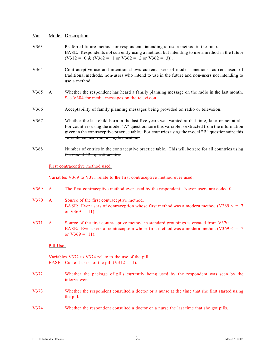| V363 |              | Preferred future method for respondents intending to use a method in the future.<br>BASE: Respondents not currently using a method, but intending to use a method in the future<br>$(V312 = 0 \& (V362 = 1 \text{ or } V362 = 2 \text{ or } V362 = 3)).$                                                                                         |  |  |  |  |  |  |
|------|--------------|--------------------------------------------------------------------------------------------------------------------------------------------------------------------------------------------------------------------------------------------------------------------------------------------------------------------------------------------------|--|--|--|--|--|--|
| V364 |              | Contraceptive use and intention shows current users of modern methods, current users of<br>traditional methods, non-users who intend to use in the future and non-users not intending to<br>use a method.                                                                                                                                        |  |  |  |  |  |  |
| V365 | $\mathbf{A}$ | Whether the respondent has heard a family planning message on the radio in the last month.<br>See V384 for media messages on the television.                                                                                                                                                                                                     |  |  |  |  |  |  |
| V366 |              | Acceptability of family planning messages being provided on radio or television.                                                                                                                                                                                                                                                                 |  |  |  |  |  |  |
| V367 |              | Whether the last child born in the last five years was wanted at that time, later or not at all.<br>For countries using the model "A" questionnaire this variable is extracted from the information<br>given in the contraceptive practice table. For countries using the model "B" questionnaire this<br>variable comes from a single question. |  |  |  |  |  |  |
| V368 |              | Number of entries in the contraceptive practice table. This will be zero for all countries using<br>the model "B" questionnaire.                                                                                                                                                                                                                 |  |  |  |  |  |  |
|      |              | First contraceptive method used.                                                                                                                                                                                                                                                                                                                 |  |  |  |  |  |  |
|      |              | Variables V369 to V371 relate to the first contraceptive method ever used.                                                                                                                                                                                                                                                                       |  |  |  |  |  |  |
| V369 | A            | The first contraceptive method ever used by the respondent. Never users are coded 0.                                                                                                                                                                                                                                                             |  |  |  |  |  |  |
| V370 | $\mathbf{A}$ | Source of the first contraceptive method.<br>BASE: Ever users of contraception whose first method was a modern method (V369 $\le$ = 7<br>or $V369 = 11$ ).                                                                                                                                                                                       |  |  |  |  |  |  |
| V371 | $\mathbf{A}$ | Source of the first contraceptive method in standard groupings is created from V370.<br>BASE: Ever users of contraception whose first method was a modern method ( $V369 \leq 7$ )<br>or $V369 = 11$ ).                                                                                                                                          |  |  |  |  |  |  |
|      | Pill Use.    |                                                                                                                                                                                                                                                                                                                                                  |  |  |  |  |  |  |
|      |              | Variables V372 to V374 relate to the use of the pill.<br>BASE: Current users of the pill $(V312 = 1)$ .                                                                                                                                                                                                                                          |  |  |  |  |  |  |
| V372 |              | Whether the package of pills currently being used by the respondent was seen by the<br>interviewer.                                                                                                                                                                                                                                              |  |  |  |  |  |  |
| V373 |              | Whether the respondent consulted a doctor or a nurse at the time that she first started using<br>the pill.                                                                                                                                                                                                                                       |  |  |  |  |  |  |
| V374 |              | Whether the respondent consulted a doctor or a nurse the last time that she got pills.                                                                                                                                                                                                                                                           |  |  |  |  |  |  |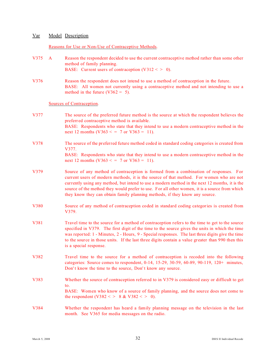### Reasons for Use or Non-Use of Contraceptive Methods.

| V375 | $\mathbf{A}$ | Reason the respondent decided to use the current contraceptive method rather than some other<br>method of family planning.<br>BASE: Current users of contraception $(V312 < > 0)$ .                                                                                                                                                                                                                                                                               |
|------|--------------|-------------------------------------------------------------------------------------------------------------------------------------------------------------------------------------------------------------------------------------------------------------------------------------------------------------------------------------------------------------------------------------------------------------------------------------------------------------------|
| V376 |              | Reason the respondent does not intend to use a method of contraception in the future.<br>BASE: All women not currently using a contraceptive method and not intending to use a<br>method in the future ( $V362 = 5$ ).                                                                                                                                                                                                                                            |
|      |              | Sources of Contraception.                                                                                                                                                                                                                                                                                                                                                                                                                                         |
| V377 |              | The source of the preferred future method is the source at which the respondent believes the<br>preferred contraceptive method is available.<br>BASE: Respondents who state that they intend to use a modern contraceptive method in the<br>next 12 months (V363 < = 7 or V363 = 11).                                                                                                                                                                             |
| V378 |              | The source of the preferred future method coded in standard coding categories is created from                                                                                                                                                                                                                                                                                                                                                                     |
|      |              | V377.<br>BASE: Respondents who state that they intend to use a modern contraceptive method in the<br>next 12 months (V363 < = 7 or V363 = 11).                                                                                                                                                                                                                                                                                                                    |
| V379 |              | Source of any method of contraception is formed from a combination of responses. For<br>current users of modern methods, it is the source of that method. For women who are not<br>currently using any method, but intend to use a modern method in the next 12 months, it is the<br>source of the method they would prefer to use. For all other women, it is a source from which<br>they know they can obtain family planning methods, if they know any source. |
| V380 |              | Source of any method of contraception coded in standard coding categories is created from<br>V379.                                                                                                                                                                                                                                                                                                                                                                |
| V381 |              | Travel time to the source for a method of contraception refers to the time to get to the source<br>specified in V379. The first digit of the time to the source gives the units in which the time<br>was reported: 1 - Minutes, 2 - Hours, 9 - Special responses. The last three digits give the time<br>to the source in those units. If the last three digits contain a value greater than 990 then this<br>is a special response.                              |
| V382 |              | Travel time to the source for a method of contraception is recoded into the following<br>categories: Source comes to respondent, 0-14, 15-29, 30-59, 60-89, 90-119, 120+ minutes,<br>Don't know the time to the source, Don't know any source.                                                                                                                                                                                                                    |
| V383 |              | Whether the source of contraception referred to in V379 is considered easy or difficult to get<br>to.<br>BASE: Women who know of a source of family planning, and the source does not come to<br>the respondent (V382 < > 8 & V382 < > 0).                                                                                                                                                                                                                        |
| V384 |              | Whether the respondent has heard a family planning message on the television in the last<br>month. See V365 for media messages on the radio.                                                                                                                                                                                                                                                                                                                      |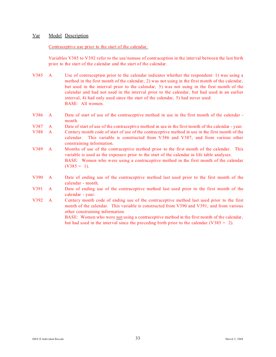#### Contraceptive use prior to the start of the calendar.

Variables V385 to V392 refer to the use/nonuse of contraception in the interval between the last birth prior to the start of the calendar and the start of the calendar.

- V385 A Use of contraception prior to the calendar indicates whether the respondent: 1) was using a method in the first month of the calendar; 2) was not using in the first month of the calendar, but used in the interval prior to the calendar, 3) was not using in the first month of the calendar and had not used in the interval prior to the calendar, but had used in an earlier interval, 4) had only used since the start of the calendar, 5) had never used. BASE: All women.
- V386 A Date of start of use of the contraceptive method in use in the first month of the calendar month.
- V387 A Date of start of use of the contraceptive method in use in the first month of the calendar year.
- V388 A Century month code of start of use of the contraceptive method in use in the first month of the calendar. This variable is constructed from V386 and V387, and from various other constraining information.
- V389 A Months of use of the contraceptive method prior to the first month of the calendar. This variable is used as the exposure prior to the start of the calendar in life table analyses. BASE: Women who were using a contraceptive method in the first month of the calendar  $(V385 = 1)$ .
- V390 A Date of ending use of the contraceptive method last used prior to the first month of the calendar - month.
- V391 A Date of ending use of the contraceptive method last used prior to the first month of the calendar - year.
- V392 A Century month code of ending use of the contraceptive method last used prior to the first month of the calendar. This variable is constructed from V390 and V391, and from various other constraining information.

BASE: Women who were not using a contraceptive method in the first month of the calendar, but had used in the interval since the preceding birth prior to the calendar (V385 =  $2$ ).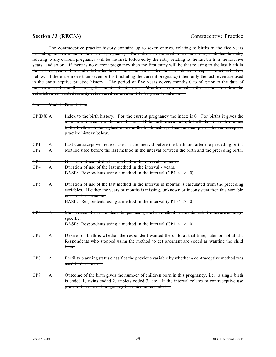The contraceptive practice history contains up to seven entries, relating to births in the five years preceding interview and to the current pregnancy. The entries are ordered in reverse order, such that the entry relating to any current pregnancy will be the first, followed by the entry relating to the last birth in the last five years, and so on. If there is no current pregnancy then the first entry will be that relating to the last birth in the last five years. For multiple births there is only one entry. See the example contraceptive practice history below. If there are more than seven births (including the current pregnancy) then only the last seven are used in the contraceptive practice history. The period of five years covers months 0 to 60 prior to the date of interview, with month 0 being the month of interview. Month 60 is included in this section to allow the calculation of wanted fertility rates based on months 1 to 60 prior to interview.

#### Var Model Description

| CPIDX A                |                                     | Index to the birth history. For the current pregnancy the index is $\theta$ . For births it gives the<br>number of the entry in the birth history. If the birth was a multiple birth then the index points<br>to the birth with the highest index in the birth history. See the example of the contraceptive<br>practice history below. |
|------------------------|-------------------------------------|-----------------------------------------------------------------------------------------------------------------------------------------------------------------------------------------------------------------------------------------------------------------------------------------------------------------------------------------|
| CPI<br>CP <sub>2</sub> | $\bm{\lambda}$<br>$\bm{\lambda}$    | Last contraceptive method used in the interval before the birth and after the preceding birth.<br>Method used before the last method in the interval between the birth and the preceding birth.                                                                                                                                         |
| CP3<br>CP4             | $\bm{\mathsf{A}}$<br>$\bm{\lambda}$ | Duration of use of the last method in the interval - months.<br>Duration of use of the last method in the interval - years.<br>BASE: Respondents using a method in the interval $(CP1 \leq \geq 0)$ .                                                                                                                                   |
| CP5                    | $\bm{\lambda}$                      | Duration of use of the last method in the interval in months is calculated from the preceding<br>variables. If either the years or months is missing, unknown or inconsistent then this variable<br>is set to be the same.<br>BASE: Respondents using a method in the interval $(CP1 \leq P)$ .                                         |
| C P6                   | $\bm{\Lambda}$                      | Main reason the respondent stopped using the last method in the interval. Codes are country-<br>specific.<br>BASE: Respondents using a method in the interval $(CP1 \leq 0)$ .                                                                                                                                                          |
| CP7                    | $\bm{\lambda}$                      | Desire for birth is whether the respondent wanted the child at that time, later or not at all.<br>Respondents who stopped using the method to get pregnant are coded as wanting the child<br>then.                                                                                                                                      |
| CP8                    | $\bm{\lambda}$                      | Fertility planning status classifies the previous variable by whether a contraceptive method was<br>used in the interval.                                                                                                                                                                                                               |
| CP9                    | $\bm{\lambda}$                      | Outcome of the birth gives the number of children born in this pregnancy, i.e., a single birth<br>is coded 1, twins coded 2, triplets coded 3, etc. If the interval relates to contraceptive use<br>prior to the current pregnancy the outcome is coded $\theta$ .                                                                      |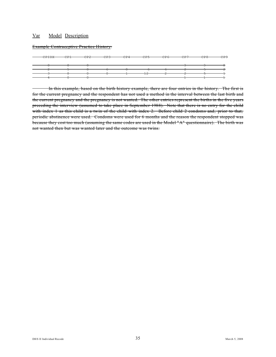Example Contraceptive Practice History:

| $C$ $D$ $T$ $D$ $V$<br>UF I DA | $\cap$ $\cap$ <sup>1</sup> | $\cap$ $\cap$ $\cap$ | CDD | $\cap$ $\cap$ $\cap$<br>ਹਸ | CDE<br>ਹ | CDC<br>ᠸᢧ᠊ᠣ | CDZ  | $\cap$ $\cap$ $\cap$<br>ᠸᢧ᠐ | $\Omega$ |
|--------------------------------|----------------------------|----------------------|-----|----------------------------|----------|-------------|------|-----------------------------|----------|
|                                | ◡┎⊥                        | UF Z                 | ਦਾ  |                            |          |             | U.E. |                             | ◡┎ヮ      |
|                                |                            |                      |     |                            |          |             |      |                             |          |
|                                |                            |                      |     |                            |          |             |      |                             |          |
|                                |                            |                      |     |                            |          |             |      |                             |          |
|                                |                            |                      |     |                            |          |             |      |                             |          |
|                                |                            |                      |     |                            | $\sim$   |             |      |                             |          |
|                                |                            |                      |     |                            | ⊥∠       |             |      |                             |          |
|                                |                            |                      |     |                            |          |             |      |                             |          |
|                                |                            |                      |     |                            |          |             |      |                             |          |

In this example, based on the birth history example, there are four entries in the history. The first is for the current pregnancy and the respondent has not used a method in the interval between the last birth and the current pregnancy and the pregnancy is not wanted. The other entries represent the births in the five years preceding the interview (assumed to take place in September 1988). Note that there is no entry for the child with index 1 as this child is a twin of the child with index 2. Before child 2 condoms and, prior to that, periodic abstinence were used. Condoms were used for 6 months and the reason the respondent stopped was because they cost too much (assuming the same codes are used in the Model "A" questionnaire). The birth was not wanted then but was wanted later and the outcome was twins.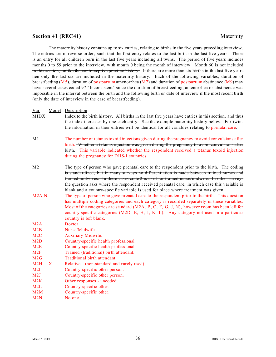### **Section 41 (REC41)** Maternity

The maternity history contains up to six entries, relating to births in the five years preceding interview. The entries are in reverse order, such that the first entry relates to the last birth in the last five years. There is an entry for all children born in the last five years including all twins. The period of five years includes months 0 to 59 prior to the interview, with month 0 being the month of interview. Month 60 is not included in this section, unlike the contraceptive practice history. If there are more than six births in the last five years hen only the last six are included in the maternity history. Each of the following variables, duration of breastfeeding (M5), duration of postpartum amenorrhea (M7) and duration of postpartum abstinence (M9) may have several cases coded 97 "Inconsistent" since the duration of breastfeeding, amenorrhea or abstinence was impossible in the interval between the birth and the following birth or date of interview if the most recent birth (only the date of interview in the case of breastfeeding).

Var Model Description MIDX Index to the birth history. All births in the last five years have entries in this section, and thus the index increases by one each entry. See the example maternity history below. For twins the information in their entries will be identical for all variables relating to prenatal care. M1 The number of tetanus toxoid injections given during the pregnancy to avoid convulsions after birth. Whether a tetanus injection was given during the pregnancy to avoid convulsions after birth. This variable indicated whether the respondent received a tetanus toxoid injection during the pregnancy for DHS-I countries. M2 The type of person who gave prenatal care to the respondent prior to the birth. The coding is standardized, but in many surveys no differentiation is made between trained nurses and trained midwives. In these cases code 2 is used for trained nurse/midwife. In other surveys the question asks where the respondent received pr enatal care, in which case this variable is blank and a country-specific variable is used for place where treatment was given. M2A-N The type of person who gave prenatal care to the respondent prior to the birth. This question has multiple coding categories and each category is recorded separately in these variables. Most of the categories are standard (M2A, B, C, F, G, J, N), however room has been left for country-specific categories (M2D, E, H, I, K, L). Any category not used in a particular country is left blank. M<sub>2</sub>A Doctor. M2B Nurse/Midwife. M2C Auxiliary Midwife. M2D Country-specific health professional. M2E Country-specific health professional. M<sub>2F</sub> Trained (traditional) birth attendant. M<sub>2G</sub> Traditional birth attendant. M2H X Relative. (non-standard and rarely used). M2I Country-specific other person. M2J Country-specific other person. M2K Other responses - uncoded. M2L Country-specific other. M2M Country-specific other. M2N No one.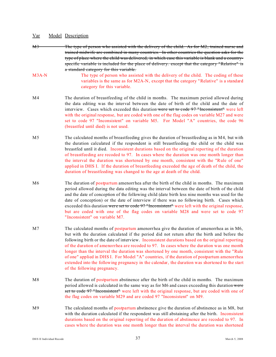- M3 The type of person who assisted with the delivery of the child. As for M2, trained nurse and trained midwife are combined in many countries. In other countries the question asks for the type of place where the child was delivered, in which case this variable is blank and a countryspecific variable is included for the place of delivery. except that the category "Relative" is a standard category for this variable.
- M3A-N The type of person who assisted with the delivery of the child. The coding of these variables is the same as for M2A-N, except that the category "Relative" is a standard category for this variable.
- M4 The duration of breastfeeding of the child in months. The maximum period allowed during the data editing was the interval between the date of birth of the child and the date of interview. Cases which exceeded this duration were set to code 97 "Inconsistent" were left with the original response, but are coded with one of the flag codes on variable M27 and were set to code 97 "Inconsistent" on variable M5. For Model "A" countries, the code 96 (breastfed until died) is not used.
- M5 The calculated months of breastfeeding gives the duration of breastfeeding as in M4, but with the duration calculated if the respondent is still breastfeeding the child or the child was breastfed until it died. Inconsistent durations based on the original reporting of the duration of breastfeeding are recoded to 97. In cases where the duration was one month longer than the interval the duration was shortened by one month, consistent with the "Rule of one" applied in DHS I. If the duration of breastfeeding exceeded the age of death of the child, the duration of breastfeeding was changed to the age at death of the child.
- M6 The duration of postpartum amenorrhea after the birth of the child in months. The maximum period allowed during the data editing was the interval between the date of birth of the child and the date of conception of the following child (date birth less nine months was used for the date of conception) or the date of interview if there was no following birth. Cases which exceeded this duration were set to code  $97$  "Inconsistent" were left with the original response, but are coded with one of the flag codes on variable M28 and were set to code 97 "Inconsistent" on variable M7.
- M7 The calculated months of postpartum amenorrhea give the duration of amenorrhea as in M6, but with the duration calculated if the period did not return after the birth and before the following birth or the date of interview. Inconsistent durations based on the original reporting of the duration of amenorrhea are recoded to 97. In cases where the duration was one month longer than the interval the duration was shortened by one month, consistent with the "Rule of one" applied in DHS I. For Model "A" countries, if the duration of postpartum amenorrhea extended into the following pregnancy in the calendar, the duration was shortened to the start of the following pregnancy.
- M8 The duration of postpartum abstinence after the birth of the child in months. The maximum period allowed is calculated in the same way as for M6 and cases exceeding this duration were set to code 97 "Inconsistent" were left with the original response, but are coded with one of the flag codes on variable M29 and are coded 97 "Inconsistent" on M9.
- M9 The calculated months of postpartum abstinence give the duration of abstinence as in M8, but with the duration calculated if the respondent was still abstaining after the birth. Inconsistent durations based on the original reporting of the dur ation of abstinence are recoded to 97. In cases where the duration was one month longer than the interval the duration was shortened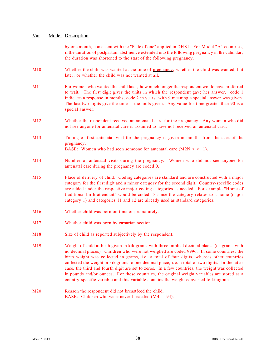by one month, consistent with the "Rule of one" applied in DHS I. For Model "A" countries, if the duration of postpartum abstinence extended into the following pregnancy in the calendar, the duration was shortened to the start of the following pregnancy.

- M10 Whether the child was wanted at the time of pregnancy, whether the child was wanted, but later, or whether the child was not wanted at all.
- M11 For women who wanted the child later, how much longer the respondent would have preferred to wait. The first digit gives the units in which the respondent gave her answer, code 1 indicates a response in months, code 2 in years, with 9 meaning a special answer was given. The last two digits give the time in the units given. Any value for time greater than 90 is a special answer.
- M12 Whether the respondent received an antenatal card for the pregnancy. Any woman who did not see anyone for antenatal care is assumed to have not received an antenatal card.
- M13 Timing of first antenatal visit for the pregnancy is given in months from the start of the pregnancy. BASE: Women who had seen someone for antenatal care  $(M2N \leq 1)$ .

M14 Number of antenatal visits during the pregnancy. Women who did not see anyone for antenatal care during the pregnancy are coded 0.

- M15 Place of delivery of child. Coding categories are standard and are constructed with a major category for the first digit and a minor category for the second digit. Country-specific codes are added under the respective major coding categories as needed. For example "Home of traditional birth attendant" would be coded 13 since the category relates to a home (major category 1) and categories 11 and 12 are already used as standard categories.
- M16 Whether child was born on time or prematurely.
- M17 Whether child was born by cæsarian section.
- M18 Size of child as reported subjectively by the respondent.
- M19 Weight of child at birth given in kilograms with three implied decimal places (or grams with no decimal places). Children who were not weighed are coded 9996. In some countries, the birth weight was collected in grams, i.e. a total of four digits, whereas other countries collected the weight in kilograms to one decimal place, i. e. a total of two digits. In the latter case, the third and fourth digit are set to zeros. In a few countries, the weight was collected in pounds and/or ounces. For these countries, the original weight variables are stored as a country-specific variable and this variable contains the weight converted to kilograms.
- M<sub>20</sub> Reason the respondent did not breastfeed the child. BASE: Children who were never breastfed  $(M4 = 94)$ .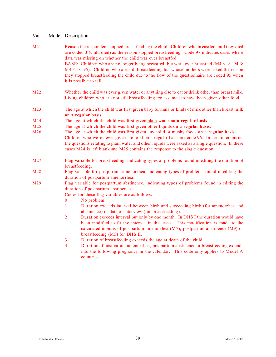| M21 |                | Reason the respondent stopped breastfeeding the child. Children who breastfed until they died<br>are coded 3 (child died) as the reason stopped breastfeeding. Code 97 indicates cases where<br>data was missing on whether the child was ever breastfed.                                                        |
|-----|----------------|------------------------------------------------------------------------------------------------------------------------------------------------------------------------------------------------------------------------------------------------------------------------------------------------------------------|
|     |                | BASE: Children who are no longer being breastfed, but were ever breastfed (M4 < > 94 &<br>$M4 \leq 95$ ). Children who are still breastfeeding but whose mothers were asked the reason<br>they stopped breastfeeding the child due to the flow of the questionnaire are coded 95 when<br>it is possible to tell. |
| M22 |                | Whether the child was ever given water or anything else to eat or drink other than breast milk.<br>Living children who are not still breastfeeding are assumed to have been given other food.                                                                                                                    |
| M23 |                | The age at which the child was first given baby formula or kinds of milk other than breast milk<br>on a regular basis.                                                                                                                                                                                           |
| M24 |                | The age at which the child was first given plain water on a regular basis.                                                                                                                                                                                                                                       |
| M25 |                | The age at which the child was first given other liquids on a regular basis.                                                                                                                                                                                                                                     |
| M26 |                | The age at which the child was first given any solid or mushy foods on a regular basis.<br>Children who were never given the food on a regular basis are code 96. In certain countries<br>the questions relating to plain water and other liquids were asked as a single question. In these                      |
|     |                | cases M24 is left blank and M25 contains the response to the single question.                                                                                                                                                                                                                                    |
| M27 |                | Flag variable for breastfeeding, indicating types of problems found in editing the duration of<br>breastfeeding.                                                                                                                                                                                                 |
| M28 |                | Flag variable for postpartum amenorrhea, indicating types of problems found in editing the<br>duration of postpartum amenorrhea.                                                                                                                                                                                 |
| M29 |                | Flag variable for postpartum abstinence, indicating types of problems found in editing the<br>duration of postpartum abstinence.                                                                                                                                                                                 |
|     |                | Codes for these flag variables are as follows:                                                                                                                                                                                                                                                                   |
|     | $\bf{0}$       | No problem.                                                                                                                                                                                                                                                                                                      |
|     | $\mathbf{1}$   | Duration exceeds interval between birth and succeeding birth (for amenorrhea and<br>abstinence) or date of interview (for breastfeeding).                                                                                                                                                                        |
|     | $\overline{2}$ | Duration exceeds interval but only by one month. In DHS I the duration would have<br>been modified to fit the interval in this case. This modification is made to the<br>calculated months of postpartum amenorrhea (M7), postpartum abstinence (M9) or<br>breastfeeding (M5) for DHS II.                        |
|     | 3              | Duration of breastfeeding exceeds the age at death of the child.                                                                                                                                                                                                                                                 |
|     | $\overline{4}$ | Duration of postpartum amenorrhea, postpartum abstinence or breastfeeding extends<br>into the following pregnancy in the calendar. This code only applies to Model A                                                                                                                                             |

countries.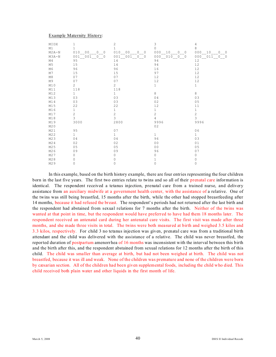#### Example Maternity History:

| MIDX           | 1                                    | 2                        | 3                                                    | 4                                       |
|----------------|--------------------------------------|--------------------------|------------------------------------------------------|-----------------------------------------|
| M1             | $\mathbf{1}$                         | $\mathbf{1}$             | 0                                                    | 8                                       |
| $M2A-N$        | 010 00<br>$\Omega$<br>$\overline{0}$ | $0\qquad 0$<br>010<br>00 | 000<br>10 <sup>°</sup><br>$\Omega$<br>$\overline{0}$ | 000<br>10<br>$\Omega$<br>$\overline{0}$ |
| $M3A-N$        | 001 001 0 0                          | 001 001 0 0              | 000 010 0 0                                          | 00000110000                             |
| M4             | 95                                   | 14                       | 94                                                   | 12                                      |
| M5             | 15                                   | 14                       | 94                                                   | $1\,2$                                  |
| M <sub>6</sub> | 96                                   | 96                       | 16                                                   | 12                                      |
| M7             | 15                                   | 15                       | 97                                                   | 12                                      |
| M8             | 07                                   | 07                       | 12                                                   | 12                                      |
| M9             | 07                                   | 07                       | 12                                                   | $1\,2$                                  |
| M10            | $\overline{2}$                       | $\overline{2}$           | $\mathbf{1}$                                         | $\mathbf{1}$                            |
| M11            | 118                                  | 118                      |                                                      |                                         |
| M12            | $\mathbf{1}$                         | $\mathbf{1}$             | 8                                                    | 8                                       |
| M13            | 03                                   | 03                       | 04                                                   | 03                                      |
| M14            | 03                                   | 03                       | 02                                                   | 05                                      |
| M15            | 22                                   | 22                       | 12                                                   | 11                                      |
| M16            | $\mathbf{1}$                         | $\mathbf 1$              | $\mathbf{1}$                                         | $\mathbf{1}$                            |
| M17            | $\overline{c}$                       | $\overline{c}$           | $\overline{c}$                                       | $\overline{c}$                          |
| M18            | 3                                    | 3                        | 4                                                    | $\overline{3}$                          |
| M19            | 3000                                 | 2800                     | 9996                                                 | 9996                                    |
| M20            |                                      |                          | 02                                                   |                                         |
| M21            | 95                                   | 07                       |                                                      | 06                                      |
| M22            | $\mathbf{1}$                         | $\mathbf{1}$             | $\mathbf{1}$                                         | $\mathbf{1}$                            |
| M23            | 04                                   | 04                       | 96                                                   | 03                                      |
| M24            | 02                                   | 02                       | 0 <sub>0</sub>                                       | 01                                      |
| M25            | 0 <sub>5</sub>                       | 05                       | 0 <sub>0</sub>                                       | 05                                      |
| M26            | 09                                   | 09                       | 96                                                   | 07                                      |
| M27            | $\Omega$                             | 0                        | 0                                                    | 0                                       |
| M28            | $\Omega$                             | 0                        | $\mathbf 1$                                          | 0                                       |
| M29            | 0                                    | 0                        | $\circ$                                              | 0                                       |

In this example, based on the birth history example, there are four entries representing the four children born in the last five years. The first two entries relate to twins and so all of their prenatal care information is identical. The respondent received a tetanus injection, prenatal care from a trained nurse, and delivery assistance from an auxiliary midwife at a government health center, with the assistance of a relative. One of the twins was still being breastfed, 15 months after the birth, while the other had stopped breastfeeding after 14 months, because it had refused the breast. The respondent's periods had not returned after the last birth and the respondent had abstained from sexual relations for 7 months after the birth. Neither of the twins was wanted at that point in time, but the respondent would have preferred to have had them 18 months later. The respondent received an antenatal card during her antenatal care visits. The first visit was made after three months, and she made three visits in total. The twins were both measured at birth and weighed 3.5 kilos and 3.3 kilos, respectively. For child 3 no tetanus injection was given, prenatal care was from a traditional birth attendant and the child was delivered with the assistance of a relative. The child was never breastfed, the reported duration of postpartum amenorrhea of 16 months was inconsistent with the interval between this birth and the birth after this, and the respondent abstained from sexual relations for 12 months after the birth of this child. The child was smaller than average at birth, but had not been weighed at birth. The child was not breastfed, because it was ill and weak. None of the children was premature and none of the children were born by cæsarian section. All of the children had been given supplemental foods, including the child who died. This child received both plain water and other liquids in the first month of life.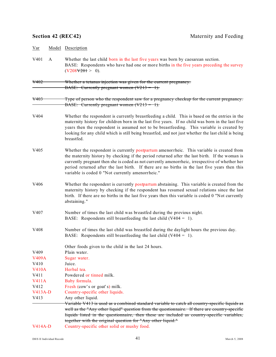| Var              |   | Model Description                                                                                                                                                                                                                                                                                                                                                                                                                                  |
|------------------|---|----------------------------------------------------------------------------------------------------------------------------------------------------------------------------------------------------------------------------------------------------------------------------------------------------------------------------------------------------------------------------------------------------------------------------------------------------|
| V <sub>401</sub> | A | Whether the last child born in the last five years was born by caesarean section.<br>BASE: Respondents who have had one or more births in the five years preceding the survey<br>(V208V201 > 0).                                                                                                                                                                                                                                                   |
| <del>V402</del>  |   | Whether a tetanus injection was given for the current pregnancy.                                                                                                                                                                                                                                                                                                                                                                                   |
|                  |   | BASE: Currently pregnant women $(V213 = 1)$ .                                                                                                                                                                                                                                                                                                                                                                                                      |
| <del>V403</del>  |   | Type of person who the respondent saw for a pregnancy checkup for the current pregnancy.<br>BASE: Currently pregnant women $(V213 = 1)$ .                                                                                                                                                                                                                                                                                                          |
| V404             |   | Whether the respondent is currently breastfeeding a child. This is based on the entries in the<br>maternity history for children born in the last five years. If no child was born in the last five<br>years then the respondent is assumed not to be breastfeeding. This variable is created by<br>looking for any child which is still being breastfed, and not just whether the last child is being<br>breastfed.                               |
| V <sub>405</sub> |   | Whether the respondent is currently postpartum amenorrheic. This variable is created from<br>the maternity history by checking if the period returned after the last birth. If the woman is<br>currently pregnant then she is coded as not currently amenorrheic, irrespective of whether her<br>period returned after the last birth. If there are no births in the last five years then this<br>variable is coded 0 "Not currently amenorrheic." |
| V406             |   | Whether the respondent is currently postpartum abstaining. This variable is created from the<br>maternity history by checking if the respondent has resumed sexual relations since the last<br>birth. If there are no births in the last five years then this variable is coded 0 "Not currently<br>abstaining."                                                                                                                                   |
| V407             |   | Number of times the last child was breastfed during the previous night.<br>BASE: Respondents still breastfeeding the last child $(V404 = 1)$ .                                                                                                                                                                                                                                                                                                     |
| V <sub>408</sub> |   | Number of times the last child was breastfed during the daylight hours the previous day.<br>BASE: Respondents still breastfeeding the last child $(V404 = 1)$ .                                                                                                                                                                                                                                                                                    |
|                  |   | Other foods given to the child in the last 24 hours.                                                                                                                                                                                                                                                                                                                                                                                               |
| V <sub>409</sub> |   | Plain water.                                                                                                                                                                                                                                                                                                                                                                                                                                       |
| <b>V409A</b>     |   | Sugar water.                                                                                                                                                                                                                                                                                                                                                                                                                                       |
| V410             |   | Juice.                                                                                                                                                                                                                                                                                                                                                                                                                                             |
| <b>V410A</b>     |   | Herbal tea.                                                                                                                                                                                                                                                                                                                                                                                                                                        |
| V411             |   | Powdered or tinned milk.                                                                                                                                                                                                                                                                                                                                                                                                                           |
| <b>V411A</b>     |   | Baby formula.                                                                                                                                                                                                                                                                                                                                                                                                                                      |
| V412             |   | Fresh (cow's or goat's) milk.                                                                                                                                                                                                                                                                                                                                                                                                                      |
| $V413A-D$        |   | Country-specific other liquids.                                                                                                                                                                                                                                                                                                                                                                                                                    |
| V413             |   | Any other liquid.                                                                                                                                                                                                                                                                                                                                                                                                                                  |
|                  |   | Variable V413 is used as a combined standard variable to catch all country-specific liquids as                                                                                                                                                                                                                                                                                                                                                     |
|                  |   | well as the "Any other liquid" question from the questionnaire. If there are country-specific                                                                                                                                                                                                                                                                                                                                                      |
|                  |   | liquids listed in the questionnaire, then these are included as country-specific variables,                                                                                                                                                                                                                                                                                                                                                        |
|                  |   | together with the original question for "Any other liquid."                                                                                                                                                                                                                                                                                                                                                                                        |
| $V414A-D$        |   | Country-specific other solid or mushy food.                                                                                                                                                                                                                                                                                                                                                                                                        |
|                  |   |                                                                                                                                                                                                                                                                                                                                                                                                                                                    |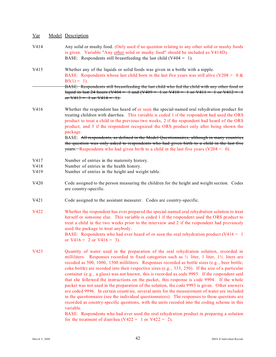| Var | Model Description |
|-----|-------------------|
|     |                   |

| V414         | Any solid or mushy food. (Only used if no question relating to any other solid or mushy foods<br>is given. Variable "Any other solid or mushy food" should be included as V414D).<br>BASE: Respondents still breastfeeding the last child $(V404 = 1)$ .                                                                                                                                                                                                                                                                                                                                                                                                                                                                                                                                                                                                                                                                                                                                                                                                                                                                |
|--------------|-------------------------------------------------------------------------------------------------------------------------------------------------------------------------------------------------------------------------------------------------------------------------------------------------------------------------------------------------------------------------------------------------------------------------------------------------------------------------------------------------------------------------------------------------------------------------------------------------------------------------------------------------------------------------------------------------------------------------------------------------------------------------------------------------------------------------------------------------------------------------------------------------------------------------------------------------------------------------------------------------------------------------------------------------------------------------------------------------------------------------|
| V415         | Whether any of the liquids or solid foods was given in a bottle with a nipple.<br>BASE: Respondents whose last child born in the last five years was still alive (V208 > 0 &<br>$B5(1) = 1$ ).<br>BASE: Respondents still breastfeeding the last child who fed the child with any other food or                                                                                                                                                                                                                                                                                                                                                                                                                                                                                                                                                                                                                                                                                                                                                                                                                         |
|              | liquid in last 24 hours (V404 = 1 and (V409 = 1 or V410 = 1 or V411 = 1 or V412 = 1<br>or $V413 = 1$ or $V414 = 1$ .                                                                                                                                                                                                                                                                                                                                                                                                                                                                                                                                                                                                                                                                                                                                                                                                                                                                                                                                                                                                    |
| V416         | Whether the respondent has heard of or seen the special-named oral rehydration product for<br>treating children with diarrhea. This variable is coded 1 if the respondent had used the ORS<br>product to treat a child in the previous two weeks, 2 if the respondent had heard of the ORS<br>product, and 3 if the respondent recognized the ORS product only after being shown the<br>package.<br>BASE: All respondents, as defined in the Model Questionnaires, although in many countries<br>the question was only asked to respondents who had given birth to a child in the last five<br><b>years.</b> Respondents who had given birth to a child in the last five years ( $V208 > 0$ ).                                                                                                                                                                                                                                                                                                                                                                                                                          |
|              |                                                                                                                                                                                                                                                                                                                                                                                                                                                                                                                                                                                                                                                                                                                                                                                                                                                                                                                                                                                                                                                                                                                         |
| V417         | Number of entries in the maternity history.                                                                                                                                                                                                                                                                                                                                                                                                                                                                                                                                                                                                                                                                                                                                                                                                                                                                                                                                                                                                                                                                             |
| V418<br>V419 | Number of entries in the health history.<br>Number of entries in the height and weight table.                                                                                                                                                                                                                                                                                                                                                                                                                                                                                                                                                                                                                                                                                                                                                                                                                                                                                                                                                                                                                           |
| V420         | Code assigned to the person measuring the children for the height and weight section. Codes<br>are country-specific.                                                                                                                                                                                                                                                                                                                                                                                                                                                                                                                                                                                                                                                                                                                                                                                                                                                                                                                                                                                                    |
| V421         | Code assigned to the assistant measurer. Codes are country-specific.                                                                                                                                                                                                                                                                                                                                                                                                                                                                                                                                                                                                                                                                                                                                                                                                                                                                                                                                                                                                                                                    |
| V422         | Whether the respondent has ever prepared the special-named oral rehydration solution to treat<br>herself or someone else. This variable is coded 1 if the respondent used the ORS product to<br>treat a child in the two weeks prior to the interview and 2 if the respondent had previously<br>used the package to treat anybody.<br>BASE: Respondents who had ever heard of or seen the oral rehydration product ( $V416 = 1$ )<br>or $V416 = 2$ or $V416 = 3$ ).                                                                                                                                                                                                                                                                                                                                                                                                                                                                                                                                                                                                                                                     |
| V423         | Quantity of water used in the preparation of the oral rehydration solution, recorded in<br>milliliters. Responses recorded in fixed categories such as $\frac{1}{2}$ liter, 1 liter, 1 liters are<br>recoded as 500, 1000, 1500 milliliters. Responses recorded as bottle sizes (e.g., beer bottle,<br>coke bottle) are recoded into their respective sizes (e.g., 333, 250). If the size of a particular<br>container (e.g., a glass) was not known, this is recorded as code 9995. If the respondent said<br>that she followed the instructions on the packet, this response is code 9994. If the whole<br>packet was not used in the preparation of the solution, the code 9993 is given. Other answers<br>are coded 9996. In certain countries, several units for the measurement of water are included<br>in the questionnaire (see the individual questionnaires). The responses to these questions are<br>recorded as country-specific questions, with the units recoded into the coding scheme in this<br>variable.<br>BASE: Respondents who had ever used the oral rehydration product in preparing a solution |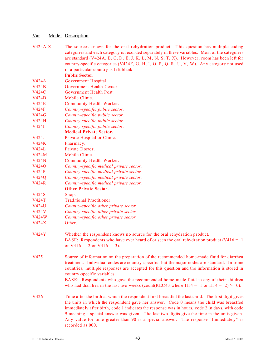| $V424A-X$    | The sources known for the oral rehydration product. This question has multiple coding<br>categories and each category is recorded separately in these variables. Most of the categories<br>are standard (V424A, B, C, D, E, J, K, L, M, N, S, T, X). However, room has been left for<br>country-specific categories (V424F, G, H, I, O, P, Q, R, U, V, W). Any category not used                                                                                                                            |
|--------------|-------------------------------------------------------------------------------------------------------------------------------------------------------------------------------------------------------------------------------------------------------------------------------------------------------------------------------------------------------------------------------------------------------------------------------------------------------------------------------------------------------------|
|              | in a particular country is left blank.                                                                                                                                                                                                                                                                                                                                                                                                                                                                      |
|              | <b>Public Sector.</b>                                                                                                                                                                                                                                                                                                                                                                                                                                                                                       |
| <b>V424A</b> | Government Hospital.                                                                                                                                                                                                                                                                                                                                                                                                                                                                                        |
| <b>V424B</b> | Government Health Center.                                                                                                                                                                                                                                                                                                                                                                                                                                                                                   |
| <b>V424C</b> | Government Health Post.                                                                                                                                                                                                                                                                                                                                                                                                                                                                                     |
| V424D        | Mobile Clinic.                                                                                                                                                                                                                                                                                                                                                                                                                                                                                              |
| <b>V424E</b> | Community Health Worker.                                                                                                                                                                                                                                                                                                                                                                                                                                                                                    |
| <b>V424F</b> | Country-specific public sector.                                                                                                                                                                                                                                                                                                                                                                                                                                                                             |
| <b>V424G</b> | Country-specific public sector.                                                                                                                                                                                                                                                                                                                                                                                                                                                                             |
| <b>V424H</b> | Country-specific public sector.                                                                                                                                                                                                                                                                                                                                                                                                                                                                             |
| V424I        | Country-specific public sector.                                                                                                                                                                                                                                                                                                                                                                                                                                                                             |
|              | <b>Medical Private Sector.</b>                                                                                                                                                                                                                                                                                                                                                                                                                                                                              |
| V424J        | Private Hospital or Clinic.                                                                                                                                                                                                                                                                                                                                                                                                                                                                                 |
| <b>V424K</b> | Pharmacy.                                                                                                                                                                                                                                                                                                                                                                                                                                                                                                   |
| <b>V424L</b> | Private Doctor.                                                                                                                                                                                                                                                                                                                                                                                                                                                                                             |
| V424M        | Mobile Clinic.                                                                                                                                                                                                                                                                                                                                                                                                                                                                                              |
| <b>V424N</b> | Community Health Worker.                                                                                                                                                                                                                                                                                                                                                                                                                                                                                    |
| V4240        | Country-specific medical private sector.                                                                                                                                                                                                                                                                                                                                                                                                                                                                    |
| <b>V424P</b> | Country-specific medical private sector.                                                                                                                                                                                                                                                                                                                                                                                                                                                                    |
| V424Q        | Country-specific medical private sector.                                                                                                                                                                                                                                                                                                                                                                                                                                                                    |
| <b>V424R</b> | Country-specific medical private sector.                                                                                                                                                                                                                                                                                                                                                                                                                                                                    |
|              | <b>Other Private Sector.</b>                                                                                                                                                                                                                                                                                                                                                                                                                                                                                |
| V424S        | Shop.                                                                                                                                                                                                                                                                                                                                                                                                                                                                                                       |
| <b>V424T</b> | <b>Traditional Practitioner.</b>                                                                                                                                                                                                                                                                                                                                                                                                                                                                            |
| <b>V424U</b> | Country-specific other private sector.                                                                                                                                                                                                                                                                                                                                                                                                                                                                      |
| V424V        | Country-specific other private sector.                                                                                                                                                                                                                                                                                                                                                                                                                                                                      |
| V424W        | Country-specific other private sector.                                                                                                                                                                                                                                                                                                                                                                                                                                                                      |
| <b>V424X</b> | Other.                                                                                                                                                                                                                                                                                                                                                                                                                                                                                                      |
| <b>V424Y</b> | Whether the respondent knows no source for the oral rehydration product.<br>BASE: Respondents who have ever heard of or seen the oral rehydration product ( $V416 = 1$ )<br>or $V416 = 2$ or $V416 = 3$ ).                                                                                                                                                                                                                                                                                                  |
| V425         | Source of information on the preparation of the recommended home-made fluid for diarrhea<br>treatment. Individual codes are country-specific, but the major codes are standard. In some<br>countries, multiple responses are accepted for this question and the information is stored in<br>country-specific variables.<br>BASE: Respondents who gave the recommended home-made fluid to any of their children<br>who had diarrhea in the last two weeks (count(REC43 where $H14 = 1$ or $H14 = 2$ ) > 0).  |
| V426         | Time after the birth at which the respondent first breastfed the last child. The first digit gives<br>the units in which the respondent gave her answer. Code 0 means the child was breastfed<br>immediately after birth, code 1 indicates the response was in hours, code 2 in days, with code<br>9 meaning a special answer was given. The last two digits give the time in the units given.<br>Any value for time greater than 90 is a special answer. The response "Immediately" is<br>recorded as 000. |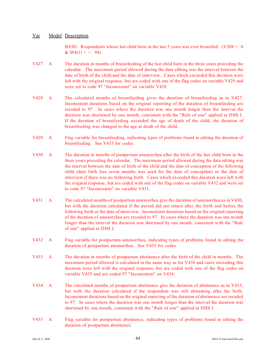BASE: Respondents whose last child born in the last 5 years was ever breastfed. (V208  $>$  0) &  $M4(1) < > 94$ ).

- V427 A The duration in months of breastfeeding of the last child born in the three years preceding the calendar. The maximum period allowed during the data editing was the interval between the date of birth of the child and the date of interview. Cases which exceeded this duration were left with the original response, but are coded with one of the flag codes on variable V429 and were set to code 97 "Inconsistent" on variable V428.
- V428 A The calculated months of breastfeeding gives the duration of breastfeeding as in V427. Inconsistent durations based on the original reporting of the duration of breastfeeding are recoded to 97. In cases where the duration was one month longer than the interval the duration was shortened by one month, consistent with the "Rule of one" applied in DHS I. If the duration of breastfeeding exceeded the age of death of the child, the duration of breastfeeding was changed to the age at death of the child.
- V429 A Flag variable for breastfeeding, indicating types of problems found in editing the duration of breastfeeding. See V435 for codes.
- V430 A The duration in months of postpartum amenorrhea after the birth of the last child born in the three years preceding the calendar. The maximum period allowed during the data editing was the interval between the date of birth of the child and the date of conception of the following child (date birth less seven months was used for the date of conception) or the date of interview if there was no following birth. Cases which exceeded this duration were left with the original response, but are coded with one of the flag codes on variable V432 and were set to code 97 "Inconsistent" on variable V431.
- V431 A The calculated months of postpartum amenorrhea give the dur ation of amenorrhea as in V430, but with the duration calculated if the period did not return after the birth and before the following birth or the date of interview. Inconsistent durations based on the original reporting of the duration of amenorrhea are recoded to 97. In cases where the duration was one month longer than the interval the duration was shortened by one month, consistent with the "Rule of one" applied in DHS I.
- V432 A Flag variable for postpartum amenorrhea, indicating types of problems found in editing the duration of postpartum amenorrhea. See V435 for codes.
- V433 A The dur ation in months of postpartum abstinence after the birth of the child in months. The maximum period allowed is calculated in the same way as for V430 and cases exceeding this duration were left with the original response, but are coded with one of the flag codes on variable V435 and are coded 97 "Inconsistent" on V434.
- V434 A The calculated months of postpartum abstinence give the duration of abstinence as in V433, but with the duration calculated if the respondent was still abstaining after the birth. Inconsistent durations based on the original reporting of the duration of abstinence are recoded to 97. In cases where the duration was one month longer than the interval the duration was shortened by one month, consistent with the "Rule of one" applied in DHS I.
- V435 A Flag variable for postpartum abstinence, indicating types of problems found in editing the duration of postpartum abstinence.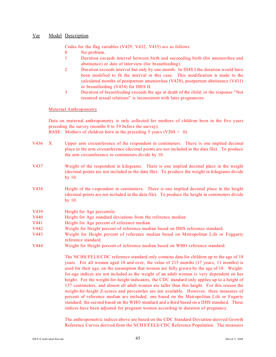Codes for the flag variables (V429, V432, V435) are as follows:

- 0 No problem.
- 1 Duration exceeds interval between birth and succeeding birth (for amenorrhea and abstinence) or date of interview (for breastfeeding).
- 2 Duration exceeds interval but only by one month. In DHS I the duration would have been modified to fit the interval in this case. This modification is made to the calculated months of postpartum amenorrhea (V428), postpartum abstinence (V431) or breastfeeding (V434) for DHS II.
- 3 Duration of breastfeeding exceeds the age at death of the child; or the response "Not resumed sexual relations" is inconsistent with later pregnancies.

#### Maternal Anthropometry

Data on maternal anthropometry is only collected for mothers of children born in the five years preceding the survey (months 0 to 59 before the survey).

BASE: Mothers of children born in the preceding 5 years ( $V208 > 0$ ).

- V436 X Upper arm circumference of the respondent in centimeters. There is one implied decimal place in the arm circumference (decimal points are not included in the data file). To produce the arm circumference in centimeters divide by 10.
- V437 Weight of the respondent in kilograms. There is one implied decimal place in the weight (decimal points are not included in the data file). To produce the weight in kilograms divide by 10.
- V438 Height of the respondent in centimeters. There is one implied decimal place in the height (decimal points are not included in the data file). To produce the height in centimeters divide by 10.
- V439 Height for Age percentile.
- V440 Height for Age standard deviations from the reference median.
- V441 Height for Age percent of reference median.
- V442 Weight for Height percent of reference median based on DHS reference standard.
- V443 Weight for Height percent of reference median based on Metropolitan Life or Foggarty reference standard.
- V444 Weight for Height percent of reference median based on WHO reference standard.

The NCHS/FELS/CDC reference standard only contains data for children up to the age of 18 years. For all women aged 18 and over, the value of 215 months (17 years, 11 months) is used for their age, on the assumption that women are fully grown by the age of 18. Weightfor-age indices are not included as the weight of an adult woman is very dependent on her height. For the weight-for-height indicators, the CDC standard only applies up to a height of 137 centimeters, and almost all adult women are taller than this height. For this reason the weight-for-height Z-scores and percentiles are not available. However, three measures of percent of reference median are included, one based on the Metropolitan Life or Fogarty standard, the second based on the WHO standard and a third based on a DHS standard. These indices have been adjusted for pregnant women according to duration of pregnancy.

The anthropometric indices above are based on the CDC Standard Deviation-derived Growth Reference Curves derived from the NCHS/FELS/CDC Reference Population. The measures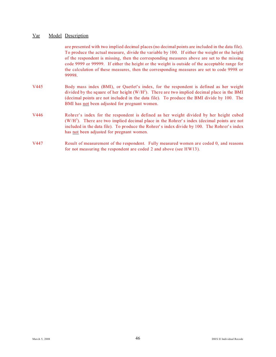are presented with two implied decimal places (no decimal points are included in the data file). To produce the actual measure, divide the variable by 100. If either the weight or the height of the respondent is missing, then the corresponding measures above are set to the missing code 9999 or 99999. If either the height or the weight is outside of the acceptable range for the calculation of these measures, then the corresponding measures are set to code 9998 or 99998.

- V445 Body mass index (BMI), or Quetlet's index, for the respondent is defined as her weight divided by the square of her height  $(W/H<sup>2</sup>)$ . There are two implied decimal place in the BMI (decimal points are not included in the data file). To produce the BMI divide by 100. The BMI has not been adjusted for pregnant women.
- V446 Rohrer's index for the respondent is defined as her weight divided by her height cubed  $(W/H<sup>3</sup>)$ . There are two implied decimal place in the Rohrer's index (decimal points are not included in the data file). To produce the Rohrer' s index divide by 100. The Rohrer' s index has not been adjusted for pregnant women.
- V447 Result of measurement of the respondent. Fully measured women are coded 0, and reasons for not measuring the respondent are coded 2 and above (see HW13).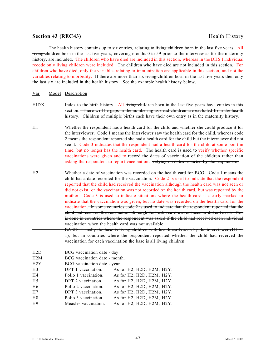### **Section 43 (REC43)** Health History

The health history contains up to six entries, relating to living children born in the last five years. All living children born in the last five years, covering months 0 to 59 prior to the interview as for the maternity history, are included. The children who have died are included in this section, whereas in the DHS I individual recode only living children were included. The children who have died are not included in this section. For children who have died, only the variables relating to immunization are applicable in this section, and not the variables relating to morbidity. If there are more than six living children born in the last five years then only the last six are included in the health history. See the example health history below.

#### Var Model Description

- HIDX Index to the birth history. All living children born in the last five years have entries in this section. There will be gaps in the numbering as dead children are excluded from the health history. Children of multiple births each have their own entry as in the maternity history.
- H1 Whether the respondent has a health card for the child and whether she could produce it for the interviewer. Code 1 means the interviewer saw the health card for the child, whereas code 2 means the respondent reported she had a health card for the child but the interviewer did not see it. Code 3 indicates that the respondent had a health card for the child at some point in time, but no longer has the health card. The health card is used to verify whether specific vaccinations were given and to record the dates of vaccination of the children rather than asking the respondent to report vaccinations. relying on dates reported by the respondent.
- H2 Whether a date of vaccination was recorded on the health card for BCG. Code 1 means the child has a date recorded for the vaccination. Code 2 is used to indicate that the respondent reported that the child had received the vaccination although the health card was not seen or did not exist, or the vaccination was not recorded on the health card, but was reported by the mother. Code 3 is used to indicate situations where the health card is clearly marked to indicate that the vaccination was given, but no date was recorded on the health card for the vaccination. In some countries code 2 is used to indicate that the respondent reported that the child had received the vaccination although the health card was not seen or did not exist. This is done in countries where the respondent was asked if the child had received each individual vaccination when the health card was not available.
	- BASE: Usually the base is living children with health cards seen by the interviewer (H1 = 1), but in countries where the respondent reported whether the child had received the vaccination for each vaccination the base is all living children.

| H2D | BCG vaccination date - day.   |                                       |
|-----|-------------------------------|---------------------------------------|
| H2M | BCG vaccination date - month. |                                       |
| H2Y | BCG vaccination date - year.  |                                       |
| H3  | DPT 1 vaccination.            | As for $H2$ , $H2D$ , $H2M$ , $H2Y$ . |
| H4  | Polio 1 vaccination.          | As for H2, H2D, H2M, H2Y.             |
| H5  | DPT 2 vaccination.            | As for H2, H2D, H2M, H2Y.             |
| Η6  | Polio 2 vaccination.          | As for H2, H2D, H2M, H2Y.             |
| Η7  | DPT 3 vaccination.            | As for H2, H2D, H2M, H2Y.             |
| H8  | Polio 3 vaccination.          | As for H2, H2D, H2M, H2Y.             |
| H9  | Measles vaccination.          | As for H2, H2D, H2M, H2Y.             |
|     |                               |                                       |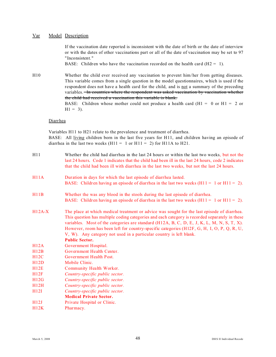If the vaccination date reported is inconsistent with the date of birth or the date of interview or with the dates of other vaccinations part or all of the date of vaccination may be set to 97 "Inconsistent."

BASE: Children who have the vaccination recorded on the health card  $(H2 = 1)$ .

H10 Whether the child ever received any vaccination to prevent him/her from getting diseases. This variable comes from a single question in the model questionnaires, which is used if the respondent does not have a health card for the child, and is not a summary of the preceding variables. **In countries where the respondent was asked vaccination by vaccination whether** the child had received a vaccination this variable is blank. BASE: Children whose mother could not produce a health card  $(H1 = 0 \text{ or } H1 = 2 \text{ or } H2 = 1 \text{ or } H1 = 2 \text{ or } H1 = 2 \text{ or } H1 = 2 \text{ or } H1 = 2 \text{ or } H1 = 2 \text{ or } H1 = 2 \text{ or } H1 = 2 \text{ or } H1 = 2 \text{ or } H1 = 2 \text{ or } H1 = 2 \text{ or } H1 = 2 \text{ or } H1 = 2 \text{ or } H1 = 2 \text{ or }$ 

 $H1 = 3$ ).

#### **Diarrhea**

Variables H11 to H21 relate to the prevalence and treatment of diarrhea.

BASE: All living children born in the last five years for H11, and children having an episode of diarrhea in the last two weeks  $(H11 = 1 \text{ or } H11 = 2)$  for H11A to H21.

| H11      | Whether the child had diarrhea in the last 24 hours or within the last two weeks, but not the<br>last 24 hours. Code 1 indicates that the child had been ill in the last 24 hours, code 2 indicates<br>that the child had been ill with diarrhea in the last two weeks, but not the last 24 hours.                                                                                                                                                                                        |
|----------|-------------------------------------------------------------------------------------------------------------------------------------------------------------------------------------------------------------------------------------------------------------------------------------------------------------------------------------------------------------------------------------------------------------------------------------------------------------------------------------------|
| H11A     | Duration in days for which the last episode of diarrhea lasted.<br>BASE: Children having an episode of diarrhea in the last two weeks $(H11 = 1 \text{ or } H11 = 2)$ .                                                                                                                                                                                                                                                                                                                   |
| H11B     | Whether the was any blood in the stools during the last episode of diarrhea.<br>BASE: Children having an episode of diarrhea in the last two weeks $(H11 = 1 \text{ or } H11 = 2)$ .                                                                                                                                                                                                                                                                                                      |
| $H12A-X$ | The place at which medical treatment or advice was sought for the last episode of diarrhea.<br>This question has multiple coding categories and each category is recorded separately in these<br>variables. Most of the categories are standard (H12A, B, C, D, E, J, K, L, M, N, S, T, X).<br>However, room has been left for country-specific categories (H12F, G, H, I, O, P, Q, R, U,<br>V, W). Any category not used in a particular country is left blank.<br><b>Public Sector.</b> |
| H12A     | Government Hospital.                                                                                                                                                                                                                                                                                                                                                                                                                                                                      |
| H12B     | Government Health Center.                                                                                                                                                                                                                                                                                                                                                                                                                                                                 |
| H12C     | Government Health Post.                                                                                                                                                                                                                                                                                                                                                                                                                                                                   |
| H12D     | Mobile Clinic.                                                                                                                                                                                                                                                                                                                                                                                                                                                                            |
| H12E     | Community Health Worker.                                                                                                                                                                                                                                                                                                                                                                                                                                                                  |
| H12F     | Country-specific public sector.                                                                                                                                                                                                                                                                                                                                                                                                                                                           |
| H12G     | Country-specific public sector.                                                                                                                                                                                                                                                                                                                                                                                                                                                           |
| H12H     | Country-specific public sector.                                                                                                                                                                                                                                                                                                                                                                                                                                                           |
| H12I     | Country-specific public sector.                                                                                                                                                                                                                                                                                                                                                                                                                                                           |
|          | <b>Medical Private Sector.</b>                                                                                                                                                                                                                                                                                                                                                                                                                                                            |
| H12J     | Private Hospital or Clinic.                                                                                                                                                                                                                                                                                                                                                                                                                                                               |
| H12K     | Pharmacy.                                                                                                                                                                                                                                                                                                                                                                                                                                                                                 |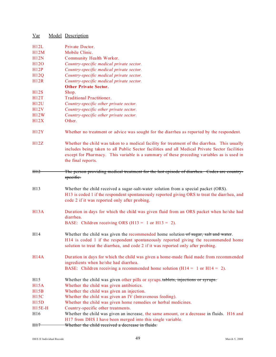| $\frac{Var}{\sqrt{2}}$ | Model Description                                                                                                                                                                                                                                                                                                   |
|------------------------|---------------------------------------------------------------------------------------------------------------------------------------------------------------------------------------------------------------------------------------------------------------------------------------------------------------------|
| H12L                   | Private Doctor.                                                                                                                                                                                                                                                                                                     |
| H12M                   | Mobile Clinic.                                                                                                                                                                                                                                                                                                      |
| H12N                   | Community Health Worker.                                                                                                                                                                                                                                                                                            |
| H <sub>120</sub>       | Country-specific medical private sector.                                                                                                                                                                                                                                                                            |
| H12P                   | Country-specific medical private sector.                                                                                                                                                                                                                                                                            |
| H12Q                   | Country-specific medical private sector.                                                                                                                                                                                                                                                                            |
| H12R                   | Country-specific medical private sector.                                                                                                                                                                                                                                                                            |
|                        | <b>Other Private Sector.</b>                                                                                                                                                                                                                                                                                        |
| H12S                   | Shop.                                                                                                                                                                                                                                                                                                               |
| H12T                   | <b>Traditional Practitioner.</b>                                                                                                                                                                                                                                                                                    |
| H12U                   | Country-specific other private sector.                                                                                                                                                                                                                                                                              |
| H12V                   | Country-specific other private sector.                                                                                                                                                                                                                                                                              |
| H12W                   | Country-specific other private sector.                                                                                                                                                                                                                                                                              |
| H12X                   | Other.                                                                                                                                                                                                                                                                                                              |
| H12Y                   | Whether no treatment or advice was sought for the diarrhea as reported by the respondent.                                                                                                                                                                                                                           |
| H12Z                   | Whether the child was taken to a medical facility for treatment of the diarrhea. This usually<br>includes being taken to all Public Sector facilities and all Medical Private Sector facilities<br>except for Pharmacy. This variable is a summary of these preceding variables as is used in<br>the final reports. |
| H12                    | The person providing medical treatment for the last episode of diarrhea. Codes are country-<br>specific.                                                                                                                                                                                                            |
| H13                    | Whether the child received a sugar-salt-water solution from a special packet (ORS).<br>H13 is coded 1 if the respondent spontaneously reported giving ORS to treat the diarrhea, and<br>code 2 if it was reported only after probing.                                                                               |
| <b>H13A</b>            | Duration in days for which the child was given fluid from an ORS packet when he/she had<br>diarrhea.                                                                                                                                                                                                                |
|                        | BASE: Children receiving ORS (H13 = 1 or H13 = 2).                                                                                                                                                                                                                                                                  |
| H14                    | Whether the child was given the recommended home solution of sugar, salt and water.<br>H14 is coded 1 if the respondent spontaneously reported giving the recommended home<br>solution to treat the diarrhea, and code 2 if it was reported only after probing.                                                     |
| H14A                   | Duration in days for which the child was given a home-made fluid made from recommended<br>ingredients when he/she had diarrhea.                                                                                                                                                                                     |
|                        | BASE: Children receiving a recommended home solution ( $H14 = 1$ or $H14 = 2$ ).                                                                                                                                                                                                                                    |
| H15                    | Whether the child was given other pills or syrups. tablets, injections or syrups.                                                                                                                                                                                                                                   |
| <b>H15A</b>            | Whether the child was given antibiotics.                                                                                                                                                                                                                                                                            |
| H15B                   | Whether the child was given an injection.                                                                                                                                                                                                                                                                           |
| <b>H15C</b>            | Whether the child was given an IV (Intravenous feeding).                                                                                                                                                                                                                                                            |
| H15D                   | Whether the child was given home remedies or herbal medicines.                                                                                                                                                                                                                                                      |
| <b>H15E-H</b>          | Country-specific other treatments.                                                                                                                                                                                                                                                                                  |
| H16                    | Whether the child was given an increase, the same amount, or a decrease in fluids. H16 and                                                                                                                                                                                                                          |
|                        | H17 from DHS I have been merged into this single variable.                                                                                                                                                                                                                                                          |
| H17                    | Whether the child received a decrease in fluids.                                                                                                                                                                                                                                                                    |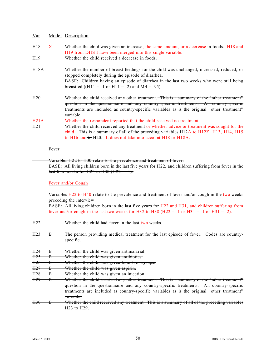# H18 X Whether the child was given an increase, the same amount, or a decrease in foods. H18 and H19 from DHS I have been merged into this single variable.

H19 Whether the child received a decrease in foods.

- H18A Whether the number of breast feedings for the child was unchanged, increased, reduced, or stopped completely during the episode of diarrhea. BASE: Children having an episode of diarrhea in the last two weeks who were still being
	- breastfed ((H11 = 1 or H11 = 2) and  $M4 = 95$ ).
- H20 Whether the child received any other treatment. This is a summary of the "other treatment" question in the questionnaire and any country-specific treatments. All country-specific treatments are included as country-specific variables as is the original " other treatment" variable
- H21A Whether the respondent reported that the child received no treatment.
- H21 Whether the child received any treatment or whether advice or treatment was sought for the child. This is a summary of all of the preceding variables  $H12A$  to  $H12Z$ ,  $H13$ ,  $H14$ ,  $H15$ to H16 and to H20. It does not take into account H18 or H18A.
- **Fever**

Variables H22 to H30 relate to the prevalence and treatment of fever.

BASE: All living children born in the last five years for H22, and children suffering from fever in the last four weeks for H23 to H30  $(H22 = 1)$ .

#### Fever and/or Cough

Variables H22 to H40 relate to the prevalence and treatment of fever and/or cough in the two weeks preceding the interview.

BASE: All living children born in the last five years for H22 and H31, and children suffering from fever and/or cough in the last two weeks for H32 to H38 (H22 = 1 or H31 = 1 or H31 = 2).

- H22 Whether the child had fever in the last two weeks.
- H23 B The person providing medical treatment for the last episode of fever. Codes are countryspecific.
- H24 B Whether the child was given antimalarial.
- H25 B Whether the child was given antibiotics.
- H<sub>26</sub> B Whether the child was given liquids or syrups.
- H27 B Whether the child was given aspirin.
- H28 B Whether the child was given an injection.
- H29 B Whether the child received any other treatment. This is a summary of the "other treatment" question in the questionnaire and any country-specific treatments. All country-specific treatments are included as country-specific variables as is the original " other treatment" variable.
- H30 B Whether the child received any treatment. This is a summary of all of the preceding variables H<sub>23</sub> to H<sub>29</sub>.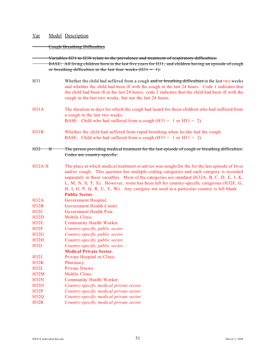#### Cough/Breathing Difficulties

Variables H31 to H38 relate to the prevalence and treatment of respiratory difficulties. BASE: All living children born in the last five years for H31, and children having an episode of cough or breathing difficulties in the last four weeks  $(H31 = 1)$ . H31 Whether the child had suffered from a cough and/or breathing difficulties in the last two weeks and whether the child had been ill with the cough in the last 24 hours. Code 1 indicates that the child had been ill in the last 24 hours, code 2 indicates that the child had been ill with the cough in the last two weeks, but not the last 24 hours. H31A The duration in days for which the cough had lasted for those children who had suffered from a cough in the last two weeks. BASE: Child who had suffered from a cough  $(H31 = 1 \text{ or } H31 = 2)$ . H31B Whether the child had suffered from rapid breathing when he/she had the cough. BASE: Child who had suffered from a cough  $(H31 = 1 \text{ or } H31 = 2)$ . H32 B The person providing medical treatment for the last episode of cough or breathing difficulties. Codes are country-specific. H32A-X The place at which medical treatment or advice was sought for the for the last episode of fever and/or cough. This question has multiple coding categories and each category is recorded separately in these variables. Most of the categories are standard (H32A, B, C, D, E, J, K, L, M, N, S, T, X). However, room has been left for country-specific categories (H32F, G, H, I, O, P, Q, R, U, V, W). Any category not used in a particular country is left blank. **Public Sector.** H32A Government Hospital. H32B Government Health Center. H32C Government Health Post. H32D Mobile Clinic. H32E Community Health Worker. H32F *Country-specific public sector.* H32G *Country-specific public sector.* H32H *Country-specific public sector.* H32I *Country-specific public sector.* **Medical Private Sector.** H32J Private Hospital or Clinic. H32K Pharmacy. H32L Private Doctor. H32M Mobile Clinic. H32N Community Health Worker. H32O *Country-specific medical private sector.* H32P *Country-specific medical private sector.* H32Q *Country-specific medical private sector.* H32R *Country-specific medical private sector.*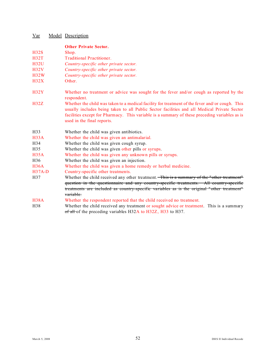| <u>Var</u>       | Model Description                                                                                                                                                                                                                                                                                                             |
|------------------|-------------------------------------------------------------------------------------------------------------------------------------------------------------------------------------------------------------------------------------------------------------------------------------------------------------------------------|
|                  | <b>Other Private Sector.</b>                                                                                                                                                                                                                                                                                                  |
| H32S             | Shop.                                                                                                                                                                                                                                                                                                                         |
| H32T             | <b>Traditional Practitioner.</b>                                                                                                                                                                                                                                                                                              |
| H32U             | Country-specific other private sector.                                                                                                                                                                                                                                                                                        |
| <b>H32V</b>      | Country-specific other private sector.                                                                                                                                                                                                                                                                                        |
| H32W             | Country-specific other private sector.                                                                                                                                                                                                                                                                                        |
| H32X             | Other.                                                                                                                                                                                                                                                                                                                        |
| H32Y             | Whether no treatment or advice was sought for the fever and/or cough as reported by the<br>respondent.                                                                                                                                                                                                                        |
| H32Z             | Whether the child was taken to a medical facility for treatment of the fever and/or cough. This<br>usually includes being taken to all Public Sector facilities and all Medical Private Sector<br>facilities except for Pharmacy. This variable is a summary of these preceding variables as is<br>used in the final reports. |
| H <sub>3</sub> 3 | Whether the child was given antibiotics.                                                                                                                                                                                                                                                                                      |
| H33A             | Whether the child was given an antimalarial.                                                                                                                                                                                                                                                                                  |
| H34              | Whether the child was given cough syrup.                                                                                                                                                                                                                                                                                      |
| H <sub>35</sub>  | Whether the child was given other pills or syrups.                                                                                                                                                                                                                                                                            |
| H35A             | Whether the child was given any unknown pills or syrups.                                                                                                                                                                                                                                                                      |
| H <sub>36</sub>  | Whether the child was given an injection.                                                                                                                                                                                                                                                                                     |
| H36A             | Whether the child was given a home remedy or herbal medicine.                                                                                                                                                                                                                                                                 |
| $H37A-D$         | Country-specific other treatments.                                                                                                                                                                                                                                                                                            |
| H37              | Whether the child received any other treatment. This is a summary of the "other treatment"<br>question in the questionnaire and any country-specific treatments. All country-specific<br>treatments are included as country-specific variables as is the original "other treatment"                                           |
|                  | variable.                                                                                                                                                                                                                                                                                                                     |
| H38A             | Whether the respondent reported that the child received no treatment.                                                                                                                                                                                                                                                         |
| H38              | Whether the child received any treatment or sought advice or treatment. This is a summary<br>of all of the preceding variables H32A to H32Z, H33 to H37.                                                                                                                                                                      |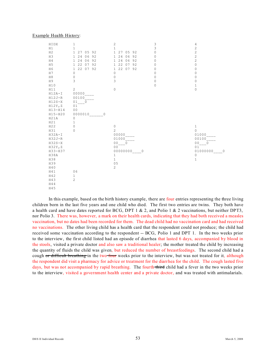#### Example Health History:

| HIDX<br>H1<br>H <sub>2</sub><br>H <sub>3</sub><br>H <sub>4</sub><br>H <sub>5</sub><br>H <sub>6</sub><br>H7<br>H8<br>H9<br>H10<br>H11<br>$H12A-I$<br>$H12J-R$<br>$H12S-X$<br>H12Y, Z<br>$H13 - H14$<br>$H15 - H20$<br>H21A | $\,1\,$<br>$1\,$<br>27 05 92<br>$\mathbf{1}$<br>24<br>06<br>92<br>$\mathbf{1}$<br>24<br>06<br>92<br>$\mathbf{1}$<br>22<br>07<br>92<br>1<br>22<br>07 92<br>$\mathbf{1}$<br>$\mathbb O$<br>$\mathbf 0$<br>3<br>2<br>00000<br>00100<br>01<br>$\circ$<br>01<br>0 <sub>0</sub><br>0000010<br>0<br>$\mathsf{O}\xspace$ | $\mathbf{2}$<br>$\mathbf 1$<br>27 05 92<br>$\mathbf{1}$<br>1 24<br>06<br>92<br>1 24<br>06<br>92<br>22<br>07<br>92<br>$\mathbf{1}$<br>22<br>07<br>92<br>$\mathbf{1}$<br>$\circ$<br>$\mathbb O$<br>3<br>$\mathbf 0$ | 3<br>3<br>0<br>0<br>0<br>0<br>0<br>0<br>0<br>0<br>0 | 4<br>$\overline{c}$<br>$\overline{c}$<br>$\overline{c}$<br>$\overline{c}$<br>$\mathbf 0$<br>0<br>0<br>0<br>0<br>$\mathbf 1$<br>$\overline{0}$ |
|---------------------------------------------------------------------------------------------------------------------------------------------------------------------------------------------------------------------------|------------------------------------------------------------------------------------------------------------------------------------------------------------------------------------------------------------------------------------------------------------------------------------------------------------------|-------------------------------------------------------------------------------------------------------------------------------------------------------------------------------------------------------------------|-----------------------------------------------------|-----------------------------------------------------------------------------------------------------------------------------------------------|
| H21<br>H22<br>H31<br>$H32A-I$<br>$H32J-R$<br>$H32S-X$<br>H32Y, Z<br>H33-H37<br>H38A<br>H38<br>H39<br>H40<br>H41<br>H42<br>H43<br>H44<br>H45                                                                               | 1<br>$\circ$<br>$\Omega$<br>06<br>$\mathbf{1}$<br>$\overline{c}$                                                                                                                                                                                                                                                 | $\mathbb O$<br>$\overline{c}$<br>00000<br>01000<br>0 <sub>0</sub><br>$\overline{0}$<br>00<br>00000000<br>0<br>$1\,$<br>$\mathbf{1}$<br>0 <sub>5</sub><br>$\overline{c}$                                           |                                                     | $\,1$<br>$\Omega$<br>01000<br>00100<br>00<br>$\circ$<br>01<br>01000000<br>0<br>$\mathbb O$<br>$1\,$                                           |

In this example, based on the birth history example, there are four entries representing the three living children born in the last five years and one child who died. The first two entries are twins. They both have a health card and have dates reported for BCG, DPT 1 & 2, and Polio 1 & 2 vaccinations, but neither DPT3, nor Polio 3. There was, however, a mark on their health cards, indicating that they had both received a measles vaccination, but no dates had been recorded for them. The dead child had no vaccination card and had received no vaccinations. The other living child has a health card that the respondent could not produce; the child had received some vaccination according to the respondent -- BCG, Polio 1 and DPT 1. In the two weeks prior to the interview, the first child listed had an episode of diarrhea that lasted 6 days, accompanied by blood in the stools, visited a private doctor and also saw a traditional healer; the mother treated the child by increasing the quantity of fluids the child was given, but reduced the number of breastfeedings. The second child had a cough or difficult breathing in the two four weeks prior to the interview, but was not treated for it, although the respondent did visit a pharmacy for advice or treatment for the diarrhea for the child. The cough lasted five days, but was not accompanied by rapid breathing. The fourth third child had a fever in the two weeks prior to the interview, visited a government health center and a private doctor, and was treated with antimalarials.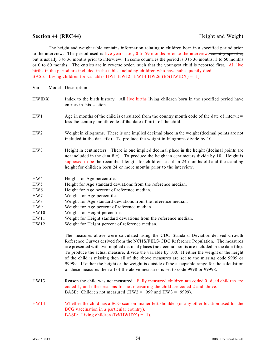### **Section 44 (REC44)** Height and Weight

The height and weight table contains information relating to children born in a specified period prior to the interview. The period used is five years, i.e., 0 to 59 months prior to the interview. country-specific, but is usually 3 to 36 months prior to interview. In some countries the period is 0 to 36 months, 3 to 60 months  $\sigma$  0 to 60 months. The entries are in reverse order, such that the youngest child is reported first. All live births in the period are included in the table, including children who have subsequently died. BASE: Living children for variables  $HW1-HW12$ ,  $HW14-HW26$  (B5(HWIDX) = 1).

#### Var Model Description

- HWIDX Index to the birth history. All live births living children born in the specified period have entries in this section. HW1 Age in months of the child is calculated from the country month code of the date of interview
- HW2 Weight in kilograms. There is one implied decimal place in the weight (decimal points are not included in the data file). To produce the weight in kilograms divide by 10.

less the century month code of the date of birth of the child.

- HW3 Height in centimeters. There is one implied decimal place in the height (decimal points are not included in the data file). To produce the height in centimeters divide by 10. Height is supposed to be the recumbent length for children less than 24 months old and the standing height for children born 24 or more months prior to the interview.
- HW4 Height for Age percentile.
- HW5 Height for Age standard deviations from the reference median.
- HW6 Height for Age percent of reference median.
- HW7 Weight for Age percentile.
- HW8 Weight for Age standard deviations from the reference median.
- HW9 Weight for Age percent of reference median.
- HW10 Weight for Height percentile.
- HW11 Weight for Height standard deviations from the reference median.
- HW12 Weight for Height percent of reference median.

The measures above were calculated using the CDC Standard Deviation-derived Growth Reference Curves derived from the NCHS/FELS/CDC Reference Population. The measures are presented with two implied decimal places (no decimal points are included in the data file). To produce the actual measure, divide the variable by 100. If either the weight or the height of the child is missing then all of the above measures are set to the missing code 9999 or 99999. If either the height or the weight is outside of the acceptable range for the calculation of these measures then all of the above measures is set to code 9998 or 99998.

- HW13 Reason the child was not measured. Fully measured children are coded 0, dead children are coded 1, and other reasons for not measuring the child are coded 2 and above. BASE: Children not measured  $(HW2 = 999$  and  $HW3 = 9999)$ .
- HW14 Whether the child has a BCG scar on his/her left shoulder (or any other location used for the BCG vaccination in a particular country). BASE: Living children (B5(HWIDX) = 1).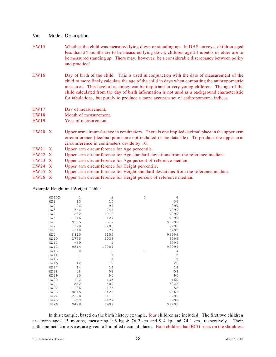- HW15 Whether the child was measured lying down or standing up. In DHS surveys, children aged less than 24 months are to be measured lying down, children age 24 months or older are to be measured standing up. There may, however, be a considerable discrepancy between policy and practice!
- HW16 Day of birth of the child. This is used in conjunction with the date of measurement of the child to more finely calculate the age of the child in days when computing the anthropometric measures. This level of accuracy can be important in very young children. The age of the child calculated from the day of birth information is not used as a background characteristic for tabulations, but purely to produce a more accurate set of anthropometric indices.
- HW17 Day of measurement.
- HW18 Month of measurement.
- HW19 Year of measurement.
- HW20 X Upper arm circumference in centimeters. There is one implied decimal place in the upper arm circumference (decimal points are not included in the data file). To produce the upper arm circumference in centimeters divide by 10.
- HW21 X Upper arm circumference for Age percentile.
- HW22 X Upper arm circumference for Age standard deviations from the reference median.
- HW23 X Upper arm circumference for Age percent of reference median.
- HW24 X Upper arm circumference for Height percentile.
- HW25 X Upper arm circumference for Height standard deviations from the reference median.
- HW26 X Upper arm circumference for Height percent of reference median.

Example Height and Weight Table:

| HWIDX           | 1            | $\overline{2}$ | 3 | 4              |
|-----------------|--------------|----------------|---|----------------|
| HW1             | 15           | 15             |   | 56             |
| HW2             | 96           | 94             |   | 999            |
| HW3             | 762          | 741            |   | 9999           |
| HW4             | 1232         | 1012           |   | 9999           |
| HW <sub>5</sub> | $-116$       | $-127$         |   | 9999           |
| HW6             | 9585         | 9517           |   | 99999          |
| HW7             | 1190         | 2203           |   | 9999           |
| HW8             | $-118$       | $-77$          |   | 9999           |
| HW9             | 8815         | 9159           |   | 99999          |
| HW10            | 2735         | 5033           |   | 9999           |
| HW11            | $-60$        | $\mathbf{1}$   |   | 9999           |
| <b>HW12</b>     | 9514         | 10007          |   | 99999          |
| HW13            | 0            | 0              | 1 | 4              |
| HW14            | 1            | 1              |   | $\overline{c}$ |
| <b>HW15</b>     | $\mathbf{1}$ | $\mathbf{1}$   |   | 9              |
| <b>HW16</b>     | 12           | 12             |   | 25             |
| <b>HW17</b>     | 14           | 14             |   | 14             |
| <b>HW18</b>     | 08           | 08             |   | 08             |
| <b>HW19</b>     | 90           | 90             |   | 90             |
| HW20            | 142          | 135            |   | 160            |
| HW21            | 862          | 400            |   | 3022           |
| <b>HW22</b>     | $-136$       | $-175$         |   | $-52$          |
| <b>HW23</b>     | 8815         | 8426           |   | 9566           |
| <b>HW24</b>     | 2670         | 1116           |   | 9999           |
| <b>HW25</b>     | $-62$        | $-122$         |   | 9999           |
| <b>HW26</b>     | 9498         | 8909           |   | 99999          |

In this example, based on the birth history example, four children are included. The first two children are twins aged 15 months, measuring 9.6 kg  $\&$  76.2 cm and 9.4 kg and 74.1 cm, respectively. Their anthropometric measures are given to 2 implied decimal places. Both children had BCG scars on the shoulders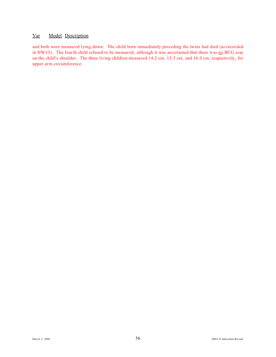and both were measured lying down. The child born immediately preceding the twins had died (as recorded in HW13). The fourth child refused to be measured, although it was ascertained that there was no BCG scar on the child's shoulder. The three living children measured 14.2 cm, 13.5 cm, and 16.0 cm, respectively, for upper arm circumference.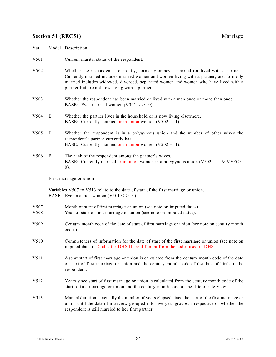# **Section 51 (REC51)** Marriage

| Var              |    | Model Description                                                                                                                                                                                                                                                                                                            |
|------------------|----|------------------------------------------------------------------------------------------------------------------------------------------------------------------------------------------------------------------------------------------------------------------------------------------------------------------------------|
| V501             |    | Current marital status of the respondent.                                                                                                                                                                                                                                                                                    |
| V502             |    | Whether the respondent is currently, formerly or never married (or lived with a partner).<br>Currently married includes married women and women living with a partner, and formerly<br>married includes widowed, divorced, separated women and women who have lived with a<br>partner but are not now living with a partner. |
| V503             |    | Whether the respondent has been married or lived with a man once or more than once.<br>BASE: Ever-married women $(V501 < > 0)$ .                                                                                                                                                                                             |
| V504             | B. | Whether the partner lives in the household or is now living elsewhere.<br>BASE: Currently married or in union women $(V502 = 1)$ .                                                                                                                                                                                           |
| V <sub>505</sub> | B  | Whether the respondent is in a polygynous union and the number of other wives the<br>respondent's partner currently has.<br>BASE: Currently married or in union women $(V502 = 1)$ .                                                                                                                                         |
| V506             | B  | The rank of the respondent among the partner's wives.<br>BASE: Currently married or in union women in a polygynous union ( $V502 = 1$ & $V505 >$<br>(0).                                                                                                                                                                     |
|                  |    | First marriage or union                                                                                                                                                                                                                                                                                                      |
|                  |    | Variables V507 to V513 relate to the date of start of the first marriage or union.<br>BASE: Ever-married women $(V501 < > 0)$ .                                                                                                                                                                                              |
| V507<br>V508     |    | Month of start of first marriage or union (see note on imputed dates).<br>Year of start of first marriage or union (see note on imputed dates).                                                                                                                                                                              |
| V509             |    | Century month code of the date of start of first marriage or union (see note on century month<br>codes).                                                                                                                                                                                                                     |
| V510             |    | Completeness of information for the date of start of the first marriage or union (see note on<br>imputed dates). Codes for DHS II are different from the codes used in DHS I.                                                                                                                                                |
| V511             |    | Age at start of first marriage or union is calculated from the century month code of the date<br>of start of first marriage or union and the century month code of the date of birth of the<br>respondent.                                                                                                                   |
| V512             |    | Years since start of first marriage or union is calculated from the century month code of the<br>start of first marriage or union and the century month code of the date of interview.                                                                                                                                       |
| V513             |    | Marital duration is actually the number of years elapsed since the start of the first marriage or<br>union until the date of interview grouped into five-year groups, irrespective of whether the<br>respondent is still married to her first partner.                                                                       |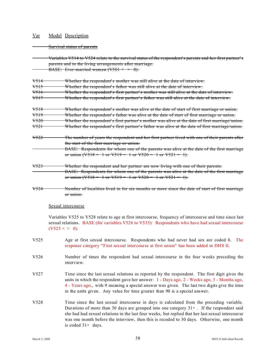#### Survival status of parents

Variables V514 to V524 relate to the survival status of the respondent's parents and her first partner's parents and to the living arrangements after marriage. BASE: Ever-married women  $(V501 \leq P.0)$ .

## V514 Whether the respondent's mother was still alive at the date of interview.

V515 Whether the respondent's father was still alive at the date of interview.

V516 Whether the respondent's first partner's mother was still alive at the date of interview.

V517 Whether the respondent's first partner's father was still alive at the date of interview.

V518 Whether the respondent's mother was alive at the date of start of first marriage or union. V519 Whether the respondent's father was alive at the date of start of first marriage or union. V520 Whether the respondent's first partner's mother was alive at the date of first marriage/union. V521 Whether the respondent's first partner's father was alive at the date of first marriage/union.

- V522 The number of years the respondent and her first partner lived with one of their parents after the start of the first marriage or union.
- BASE: Respondents for whom one of the parents was alive at the date of the first marriage or union  $(\sqrt{518} = 1 \text{ or } \sqrt{519} = 1 \text{ or } \sqrt{520} = 1 \text{ or } \sqrt{521} = 1)$ .
- V523 Whether the respondent and her partner are now living with one of their parents. BASE: Respondents for whom one of the parents was alive at the date of the first marriage or union  $(\sqrt{518} = 1 \text{ or } \sqrt{519} = 1 \text{ or } \sqrt{520} = 1 \text{ or } \sqrt{521} = 1)$ .
- V524 Number of localities lived in for six months or more since the date of start of first marriage or union.

#### Sexual intercourse

Variables V525 to V528 relate to age at first intercourse, frequency of intercourse and time since last sexual relations. BASE (for variables V526 to V533): Respondents who have had sexual intercourse  $(V525 < > 0)$ .

- V525 Age at first sexual intercourse. Respondents who had never had sex are coded 0. The response category "First sexual intercourse at first union" has been added in DHS II.
- V526 Number of times the respondent had sexual intercourse in the four weeks preceding the interview.
- V527 Time since the last sexual relations as reported by the respondent. The first digit gives the units in which the respondent gave her answer: 1 - Days ago, 2 - Weeks ago, 3 - Months ago, 4 - Years ago,, with 9 meaning a special answer was given. The last two digits give the time in the units given. Any value for time greater than 90 is a special answer.
- V528 Time since the last sexual intercourse in days is calculated from the preceding variable. Durations of more than 30 days are grouped into one category  $31+$ . If the respondent said she had had sexual relations in the last four weeks, but replied that her last sexual intercourse was one month before the interview, then this is recoded to 30 days. Otherwise, one month is coded 31+ days.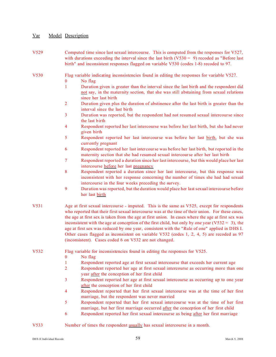- V529 Computed time since last sexual intercourse. This is computed from the responses for V527, with durations exceeding the interval since the last birth  $(V530 = 9)$  recoded as "Before last birth" and inconsistent responses flagged on variable V530 (codes 1-8) recoded to 97.
- V530 Flag variable indicating inconsistencies found in editing the responses for variable V527.
	- 0 No flag
	- 1 Duration given is greater than the interval since the last birth and the respondent did not say, in the maternity section, that she was still abstaining from sexual relations since her last birth
	- 2 Duration given plus the duration of abstinence after the last birth is greater than the interval since the last birth
	- 3 Duration was reported, but the respondent had not resumed sexual intercourse since the last birth
	- 4 Respondent reported her last intercourse was before her last birth, but she had never given birth
	- 5 Respondent reported her last intercourse was before her last birth, but she was currently pregnant
	- 6 Respondent reported her last intercourse was before her last birth, but reported in the maternity section that she had resumed sexual intercourse after her last birth
	- 7 Respondent reported a duration since her last intercourse, but this would place her last intercourse before her last pregnancy
	- 8 Respondent reported a duration since her last intercourse, but this response was inconsistent with her response concerning the number of times she had had sexual intercourse in the four weeks preceding the survey.
	- 9 Duration was reported, but the duration would place her last sexual intercourse before her last birth
- V531 Age at first sexual intercourse imputed. This is the same as V525, except for respondents who reported that their first sexual intercourse was at the time of their union. For these cases, the age at first sex is taken from the age at first union. In cases where the age at first sex was inconsistent with the age at conception of the first child, but only by one year ( $V532 = 3$ ), the age at first sex was reduced by one year, consistent with the "Rule of one" applied in DHS I. Other cases flagged as inconsistent on variable V532 (codes 1, 2, 4, 5) are recoded as 97 (inconsistent). Cases coded 6 on V532 are not changed.
- V532 Flag variable for inconsistencies found in editing the responses for V525.
	- 0 No flag
	- 1 Respondent reported age at first sexual intercourse that exceeds her current age
	- 2 Respondent reported her age at first sexual intercourse as occurring more than one year after the conception of her first child
	- 3 Respondent reported her age at first sexual intercourse as occurring up to one year after the conception of her first child
	- 4 Respondent reported that her first sexual intercourse was at the time of her first marriage, but the respondent was never married
	- 5 Respondent reported that her first sexual intercourse was at the time of her first marriage, but her first marriage occurred after the conception of her first child
	- 6 Respondent reported her first sexual intercourse as being after her first marriage

#### V533 Number of times the respondent usually has sexual intercourse in a month.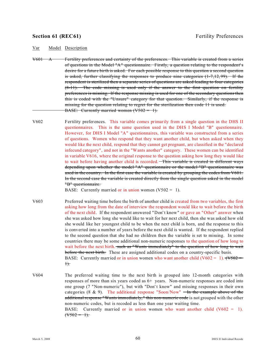#### **Section 61 (REC61)** Fertility Preferences

Var Model Description

- V601 A Fertility preferences and certainty of the preferences. This variable is created from a series of questions in the Model "A" questionnaire. Firstly, a question relating to the respondent's desire for a future birth is asked. For each possible response to this question a second question is asked, further classifying the responses to produce nine categories (1-7,12,99). If the respondent is sterilized then a separate series of questions are asked leading to four categories  $(8-11)$ . The code missing is used only if the answer to the first question on fertility preferences is missing. If the response missing is used for one of the secondary questions then this is coded with the "Unsure" category for that question. Similarly, if the response is missing for the question relating to regret for the sterilization then code 11 is used. BASE: Currently married women  $(V502 = 1)$ .
- V602 Fertility preferences. This variable comes primarily from a single question in the DHS II questionnaires. This is the same question used in the DHS I Model "B" questionnaire. However, for DHS I Model "A" questionnaires, this variable was constructed from a series of questions. Women who respond that they want another child, but when asked when they would like the next child, respond that they cannot get pregnant, are classified in the "declared infecund category", and not in the "Wants another" category. These women can be identified in variable V616, where the original response to the question asking how long they would like to wait before having another child is recorded. This variable is created in different ways depending upon whether the model "A" questionnaire or the model "B" questionnaire was used in the country. In the first case the variable is created by grouping the codes from V601. In the second case the variable is created directly from the single question asked in the model "B" questionnaire.

BASE: Currently married or in union women  $(V502 = 1)$ .

- V603 Preferred waiting time before the birth of another child is created from two variables, the first asking how long from the date of interview the respondent would like to wait before the birth of the next child. If the respondent answered "Don' t know" or gave an "Other" answer when she was asked how long she would like to wait for her next child, then she was asked how old she would like her youngest child to be when the next child is born, and the response to this is converted into a number of years before the next child is wanted. If the respondent replied to the second question that she had no children then the variable is set to missing. In some countries there may be some additional non-numeric responses to the question of how long to wait before the next birth. such as "Wants immediately" to the question of how long to wait before the next birth. These are assigned additional codes on a country-specific basis. BASE: Currently married or in union women who want another child (V602 = 1).  $(\sqrt{V502})$  $+$ .
- V604 The preferred waiting time to the next birth is grouped into 12-month categories with responses of more than six years coded as 6+ years. Non-numeric responses are coded into one group (7 "Non-numeric"), but with "Don' t know" and missing responses in their own categories (8 & 9). The additional response "Soon/Now"  $\overline{\phantom{a}}$  In the example above of the additional response "Wants immediately," this non-numeric code is not grouped with the other non-numeric codes, but is recoded as less than one year waiting time. BASE: Currently married or in union women who want another child  $(V602 = 1)$ .  $(\sqrt{502} - 1)$ .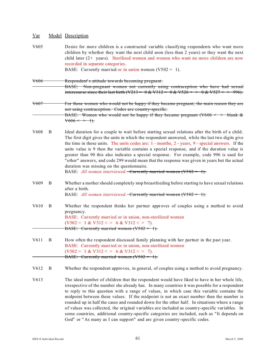| $\frac{Var}{Var}$ |   | Model Description                                                                                                                                                                                                                                                                                                                                                                                                                                                                                                                                                                                                                                                                                                                                                      |
|-------------------|---|------------------------------------------------------------------------------------------------------------------------------------------------------------------------------------------------------------------------------------------------------------------------------------------------------------------------------------------------------------------------------------------------------------------------------------------------------------------------------------------------------------------------------------------------------------------------------------------------------------------------------------------------------------------------------------------------------------------------------------------------------------------------|
| V <sub>6</sub> 05 |   | Desire for more children is a constructed variable classifying respondents who want more<br>children by whether they want the next child soon (less than 2 years) or they want the next<br>child later $(2+)$ years). Sterilized women and women who want no more children are now<br>recorded in separate categories.<br>BASE: Currently married or in union women $(V502 = 1)$ .                                                                                                                                                                                                                                                                                                                                                                                     |
|                   |   |                                                                                                                                                                                                                                                                                                                                                                                                                                                                                                                                                                                                                                                                                                                                                                        |
| <del>V606</del>   |   | Respondent's attitude towards becoming pregnant.<br>BASE: Non-pregnant women not currently using contraception who have had sexual                                                                                                                                                                                                                                                                                                                                                                                                                                                                                                                                                                                                                                     |
| <del>V607</del>   |   | For those women who would not be happy if they became pregnant, the main reason they are<br>not using contraception. Codes are country-specific.<br>BASE: Women who would not be happy if they became pregnant ( $V606 \leq P$ blank &<br>$\sqrt{606} \leq 1$ .                                                                                                                                                                                                                                                                                                                                                                                                                                                                                                        |
| V <sub>608</sub>  | B | Ideal duration for a couple to wait before starting sexual relations after the birth of a child.<br>The first digit gives the units in which the respondent answered, while the last two digits give<br>the time in those units. The units codes are: 1 - months, 2 - years, 9 - special answers. If the<br>units value is 9 then the variable contains a special response, and if the duration value is<br>greater than 90 this also indicates a special response. For example, code 996 is used for<br>"other" answers, and code 299 would mean that the response was given in years but the actual<br>duration was missing on the questionnaire.<br>BASE: All women interviewed. Currently married women $(V502 = 1)$ .                                             |
| V <sub>609</sub>  | B | Whether a mother should completely stop breastfeeding before starting to have sexual relations<br>after a birth.<br>BASE: All women interviewed. Currently married women $(V502 = 1)$ .                                                                                                                                                                                                                                                                                                                                                                                                                                                                                                                                                                                |
| V <sub>6</sub> 10 | B | Whether the respondent thinks her partner approves of couples using a method to avoid<br>pregnancy.<br>BASE: Currently married or in union, non-sterilized women<br>$(V502 = 1 & V312 \lt 5 & 6 & V312 \lt 5 & 7).$<br>BASE: Currently married women $(V502 = 1)$ .                                                                                                                                                                                                                                                                                                                                                                                                                                                                                                    |
| V611              | B | How often the respondent discussed family planning with her partner in the past year.<br>BASE: Currently married or in union, non-sterilized women<br>$(V502 = 1 & V312 \lt 5 & 6 & V312 \lt 5 & 7).$<br>BASE: Currently married women $(V502 = 1)$ .                                                                                                                                                                                                                                                                                                                                                                                                                                                                                                                  |
| V <sub>6</sub> 12 | B | Whether the respondent approves, in general, of couples using a method to avoid pregnancy.                                                                                                                                                                                                                                                                                                                                                                                                                                                                                                                                                                                                                                                                             |
| V613              |   | The ideal number of children that the respondent would have liked to have in her whole life,<br>irrespective of the number she already has. In many countries it was possible for a respondent<br>to reply to this question with a range of values, in which case this variable contains the<br>midpoint between these values. If the midpoint is not an exact number then the number is<br>rounded up in half the cases and rounded down for the other half. In situations where a range<br>of values was collected, the original variables are included as country-specific variables. In<br>some countries, additional country-specific categories are included, such as "It depends on<br>God" or "As many as I can support" and are given country-specific codes. |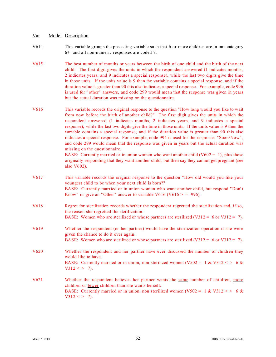- V614 This variable groups the preceding variable such that 6 or more children are in one category 6+ and all non-numeric responses are coded 7.
- V615 The best number of months or years between the birth of one child and the birth of the next child. The first digit gives the units in which the respondent answered (1 indicates months, 2 indicates years, and 9 indicates a special response), while the last two digits give the time in those units. If the units value is 9 then the variable contains a special response, and if the duration value is greater than 90 this also indicates a special response. For example, code 996 is used for "other" answers, and code 299 would mean that the response was given in years but the actual duration was missing on the questionnaire.
- V616 This variable records the original response to the question "How long would you like to wait from now before the birth of another child?" The first digit gives the units in which the respondent answered (1 indicates months, 2 indicates years, and 9 indicates a special response), while the last two digits give the time in those units. If the units value is 9 then the variable contains a special response, and if the duration value is greater than 90 this also indicates a special response. For example, code 994 is used for the responses "Soon/Now", and code 299 would mean that the response was given in years but the actual duration was missing on the questionnaire.

BASE: Currently married or in union women who want another child  $(V602 = 1)$ , plus those originally responding that they want another child, but then say they cannot get pregnant (see also V602).

- V617 This variable records the original response to the question "How old would you like your youngest child to be when your next child is born?" BASE: Currently married or in union women who want another child, but respond "Don' t Know" or give an "Other" answer to variable V616 (V616  $>$  = 996).
- V618 Regret for sterilization records whether the respondent regretted the sterilization and, if so, the reason she regretted the sterilization. BASE: Women who are sterilized or whose partners are sterilized  $(V312 = 6$  or  $V312 = 7)$ .
- V619 Whether the respondent (or her partner) would have the sterilization operation if she were given the chance to do it over again.
- BASE: Women who are sterilized or whose partners are sterilized (V312 = 6 or V312 = 7).
- V620 Whether the respondent and her partner have ever discussed the number of children they would like to have. BASE: Currently married or in union, non-sterilized women (V502 = 1 & V312 < > 6 &
- V621 Whether the respondent believes her partner wants the same number of children, more children or fewer children than she wants herself. BASE: Currently married or in union, non sterilized women (V502 = 1 & V312 < > 6 &  $V312 \leq 7$ .

 $V312 \leq 7$ .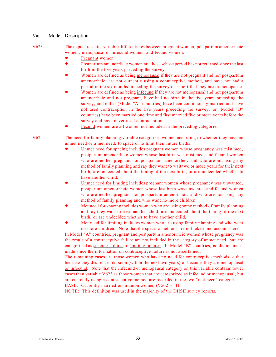V623 The exposure status variable differentiates between pregnant women, postpartum amenorrheic women, menopausal or infecund women, and fecund women:

- Pregnant women.
- ! Postpartum amenorrheic women are those whose period has not returned since the last birth in the five years preceding the survey.
- Women are defined as being menopausal if they are not pregnant and not postpartum amenorrheic, are not currently using a contraceptive method, and have not had a period in the six months preceding the survey or report that they are in menopause.
- Women are defined as being infecund if they are not menopausal and not postpartum amenorrheic and not pregnant, have had no birth in the five years preceding the survey, and either (Model "A" countries) have been continuously married and have not used contraception in the five years preceding the survey, or (Model "B" countries) have been married one time and first married five or more years before the survey and have never used contraception.
- Fecund women are all women not included in the preceding categories.

V624 The need for family planning variable categorizes women according to whether they have an unmet need or a met need, to space or to limit their future births:

- Unmet need for spacing includes pregnant women whose pregnancy was mistimed, postpartum amenorrheic women whose last birth was mistimed, and fecund women who are neither pregnant nor postpartum amenorrheic and who are not using any method of family planning and say they want to wait two or more years for their next birth, are undecided about the timing of the next birth, or are undecided whether to have another child.
- ! Unmet need for limiting includes pregnant women whose pregnancy was unwanted, postpartum amenorrheic women whose last birth was unwanted and fecund women who are neither pregnant nor postpartum amenorrheic and who are not using any method of family planning and who want no more children.
- ! Met need for spacing includes women who are using some method of family planning and say they want to have another child, are undecided about the timing of the next birth, or are undecided whether to have another child.
- Met need for limiting includes women who are using family planning and who want no more children. Note that the specific methods are not taken into account here.

In Model "A" countries, pregnant and postpartum amenorrheic women whose pregnancy was the result of a contraceptive failure are not included in the category of unmet need, but are categorized as spacing failures or limiting failures. In Model "B" countries, no distinction is made since the information on contraceptive failure is not ascertained.

The remaining cases are those women who have no need for contraceptive methods, either because they desire a child soon (within the next two years) or because they are menopausal or infecund. Note that the infecund or menopausal category on this variable contains fewer cases than variable V623 as those women that are categorized as infecund or menopausal, but are currently using a contraceptive method are recorded in the two "met need" categories.

BASE: Currently married or in union women  $(V502 = 1)$ .

NOTE: This definition was used in the majority of the DHSII survey reports.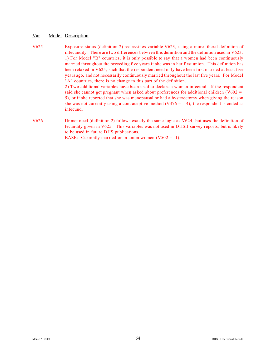V625 Exposure status (definition 2) reclassifies variable V623, using a more liberal definition of infecundity. There are two differences between this definition and the definition used in V623: 1) For Model "B" countries, it is only possible to say that a women had been continuously married throughout the preceding five years if she was in her first union. This definition has been relaxed in V625, such that the respondent need only have been first married at least five years ago, and not necessarily continuously married throughout the last five years. For Model "A" countries, there is no change to this part of the definition. 2) Two additional variables have been used to declare a woman infecund. If the respondent said she cannot get pregnant when asked about preferences for additional children (V602 = 5), or if she reported that she was menopausal or had a hysterectomy when giving the reason she was not currently using a contraceptive method  $(V376 = 14)$ , the respondent is coded as infecund. V626 Unmet need (definition 2) follows exactly the same logic as V624, but uses the definition of fecundity given in V625. This variables was not used in DHSII survey reports, but is likely to be used in future DHS publications.

BASE: Currently married or in union women  $(V502 = 1)$ .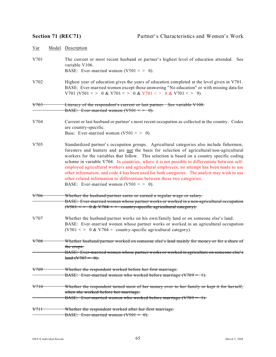| $\frac{Var}{Var}$ | Model Description                                                                                                                                                                                                                                                                                                                                                                                                                                                                                                                                                                                                                                                                                           |  |
|-------------------|-------------------------------------------------------------------------------------------------------------------------------------------------------------------------------------------------------------------------------------------------------------------------------------------------------------------------------------------------------------------------------------------------------------------------------------------------------------------------------------------------------------------------------------------------------------------------------------------------------------------------------------------------------------------------------------------------------------|--|
| V701              | The current or most recent husband or partner's highest level of education attended. See<br>variable V106.<br>BASE: Ever-married women (V501 < > 0).                                                                                                                                                                                                                                                                                                                                                                                                                                                                                                                                                        |  |
| V702              | Highest year of education gives the years of education completed at the level given in V701.<br>BASE: Ever-married women except those answering "No education" or with missing data for<br>V701 (V501 < > 0 & V701 < > 0 & V701 < > 8 & V701 < > 9).                                                                                                                                                                                                                                                                                                                                                                                                                                                        |  |
| <del>V703</del>   | Literacy of the respondent's current or last partner. See variable V108.<br>BASE: Ever-married women $(V501 \leq P 0)$ .                                                                                                                                                                                                                                                                                                                                                                                                                                                                                                                                                                                    |  |
| V704              | Current or last husband or partner's most recent occupation as collected in the country. Codes<br>are country-specific.<br>Base: Ever-married women (V501 < > 0).                                                                                                                                                                                                                                                                                                                                                                                                                                                                                                                                           |  |
| V705              | Standardized partner's occupation groups. Agricultural categories also include fishermen,<br>foresters and hunters and are not the basis for selection of agricultural/non-agricultural<br>workers for the variables that follow. This selection is based on a country specific coding<br>scheme in variable V704. In countries, where it is not possible to differentiate between self-<br>employed agricultural workers and agricultural employees, no attempt has been made to use<br>other information, and code 4 has been used for both categories. The analyst may wish to use<br>other related information to differentiate between these two categories.<br>BASE: Ever-married women (V501 < > 0). |  |
| V706              | Whether the husband/partner earns or earned a regular wage or salary.<br>BASE: Ever-married women whose partner works or worked in a non-agricultural occupation<br>$(\sqrt{501} \leq 0 \& \sqrt{704} \leq 0 \leq \sqrt{501})$ country-specific agricultural category).                                                                                                                                                                                                                                                                                                                                                                                                                                     |  |
| V707              | Whether the husband/partner works on his own/family land or on someone else's land.<br>BASE: Ever-married women whose partner works or worked in an agricultural occupation<br>$(V501 \leq > 0 \& V704 = \text{country-specific agricultural category}.$                                                                                                                                                                                                                                                                                                                                                                                                                                                    |  |
| V708              | Whether husband/partner worked on someone else's land mainly for money or for a share of<br>the crops.<br><b>BASE:</b> Ever-married women whose partner works or worked in agriculture on someone else's<br>$\tan{\theta}$ (V707 = 0).                                                                                                                                                                                                                                                                                                                                                                                                                                                                      |  |
| <del>V709</del>   | Whether the respondent worked before her first marriage.<br>BASE: Ever-married women who worked before marriage $(V709 = 1)$ .                                                                                                                                                                                                                                                                                                                                                                                                                                                                                                                                                                              |  |
| <del>V710</del>   | Whether the respondent turned most of her money over to her family or kept it for herself,<br>when she worked before her marriage.<br>BASE: Ever-married women who worked before marriage $(V709 = 1)$ .                                                                                                                                                                                                                                                                                                                                                                                                                                                                                                    |  |
| <del>V7H</del>    | Whether the respondent worked after her first marriage.<br>BASE: Ever-married women $(\sqrt{501} = 0)$ .                                                                                                                                                                                                                                                                                                                                                                                                                                                                                                                                                                                                    |  |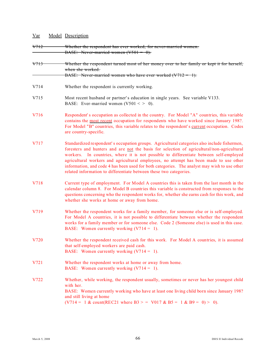| <u>Var</u>      | Model Description                                                                                                                                                                                                                                                                                                                                                                                                                                                                                                                                    |
|-----------------|------------------------------------------------------------------------------------------------------------------------------------------------------------------------------------------------------------------------------------------------------------------------------------------------------------------------------------------------------------------------------------------------------------------------------------------------------------------------------------------------------------------------------------------------------|
| <del>V712</del> | Whether the respondent has ever worked, for never-married women.<br>BASE: Never-married women $(V501 = 0)$ .                                                                                                                                                                                                                                                                                                                                                                                                                                         |
| <del>V713</del> | Whether the respondent turned most of her money over to her family or kept it for herself,<br>when she worked.<br>BASE: Never-married women who have ever worked $(V712 = 1)$ .                                                                                                                                                                                                                                                                                                                                                                      |
| V714            | Whether the respondent is currently working.                                                                                                                                                                                                                                                                                                                                                                                                                                                                                                         |
| V715            | Most recent husband or partner's education in single years. See variable V133.<br>BASE: Ever-married women $(V501 < > 0)$ .                                                                                                                                                                                                                                                                                                                                                                                                                          |
| V716            | Respondent's occupation as collected in the country. For Model "A" countries, this variable<br>contains the most recent occupation for respondents who have worked since January 198?.<br>For Model "B" countries, this variable relates to the respondent's current occupation. Codes<br>are country-specific.                                                                                                                                                                                                                                      |
| V717            | Standardized respondent's occupation groups. Agricultural categories also include fishermen,<br>foresters and hunters and are not the basis for selection of agricultural/non-agricultural<br>workers. In countries, where it is not possible to differentiate between self-employed<br>agricultural workers and agricultural employees, no attempt has been made to use other<br>information, and code 4 has been used for both categories. The analyst may wish to use other<br>related information to differentiate between these two categories. |
| V718            | Current type of employment. For Model A countries this is taken from the last month in the<br>calendar column 8. For Model B countries this variable is constructed from responses to the<br>questions concerning who the respondent works for, whether she earns cash for this work, and<br>whether she works at home or away from home.                                                                                                                                                                                                            |
| V719            | Whether the respondent works for a family member, for someone else or is self-employed.<br>For Model A countries, it is not possible to differentiate between whether the respondent<br>works for a family member or for someone else. Code 2 (Someone else) is used in this case.<br>BASE: Women currently working $(V714 = 1)$ .                                                                                                                                                                                                                   |
| V720            | Whether the respondent received cash for this work. For Model A countries, it is assumed<br>that self-employed workers are paid cash.<br>BASE: Women currently working $(V714 = 1)$ .                                                                                                                                                                                                                                                                                                                                                                |
| V721            | Whether the respondent works at home or away from home.<br>BASE: Women currently working $(V714 = 1)$ .                                                                                                                                                                                                                                                                                                                                                                                                                                              |
| V722            | Whether, while working, the respondent usually, sometimes or never has her youngest child<br>with her.<br>BASE: Women currently working who have at least one living child born since January 198?<br>and still living at home<br>$(V714 = 1 \& count(REC21 where B3 > = V017 \& B5 = 1 \& B9 = 0) > 0$ .                                                                                                                                                                                                                                            |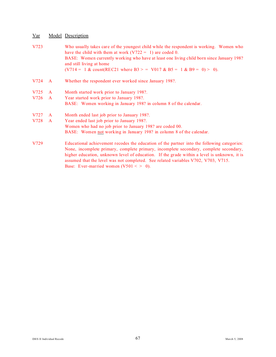| V723 |                | Who usually takes care of the youngest child while the respondent is working. Women who<br>have the child with them at work $(V722 = 1)$ are coded 0.<br>BASE: Women currently working who have at least one living child born since January 198?<br>and still living at home<br>$(V714 = 1 \& count(REC21 where B3 > = V017 \& B5 = 1 \& B9 = 0) > 0$ .                                                              |
|------|----------------|-----------------------------------------------------------------------------------------------------------------------------------------------------------------------------------------------------------------------------------------------------------------------------------------------------------------------------------------------------------------------------------------------------------------------|
| V724 | $\overline{A}$ | Whether the respondent ever worked since January 198?.                                                                                                                                                                                                                                                                                                                                                                |
| V725 | $\mathbf{A}$   | Month started work prior to January 198?.                                                                                                                                                                                                                                                                                                                                                                             |
| V726 | $\mathbf{A}$   | Year started work prior to January 198?.                                                                                                                                                                                                                                                                                                                                                                              |
|      |                | BASE: Women working in January 198? in column 8 of the calendar.                                                                                                                                                                                                                                                                                                                                                      |
| V727 | $\mathsf{A}$   | Month ended last job prior to January 198?.                                                                                                                                                                                                                                                                                                                                                                           |
| V728 | $\mathbf{A}$   | Year ended last job prior to January 198?.                                                                                                                                                                                                                                                                                                                                                                            |
|      |                | Women who had no job prior to January 198? are coded 00.                                                                                                                                                                                                                                                                                                                                                              |
|      |                | BASE: Women not working in January 198? in column 8 of the calendar.                                                                                                                                                                                                                                                                                                                                                  |
| V729 |                | Educational achievement recodes the education of the partner into the following categories:<br>None, incomplete primary, complete primary, incomplete secondary, complete secondary,<br>higher education, unknown level of education. If the grade within a level is unknown, it is<br>assumed that the level was not completed. See related variables V702, V703, V715.<br>Base: Ever-married women $(V501 < > 0)$ . |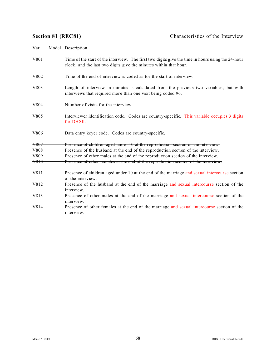| Var  | Model Description                                                                                                                                                      |
|------|------------------------------------------------------------------------------------------------------------------------------------------------------------------------|
| V801 | Time of the start of the interview. The first two digits give the time in hours using the 24-hour<br>clock, and the last two digits give the minutes within that hour. |
| V802 | Time of the end of interview is coded as for the start of interview.                                                                                                   |
| V803 | Length of interview in minutes is calculated from the previous two variables, but with<br>interviews that required more than one visit being coded 96.                 |
| V804 | Number of visits for the interview.                                                                                                                                    |
| V805 | Interviewer identification code. Codes are country-specific. This variable occupies 3 digits<br>for DHSII.                                                             |
| V806 | Data entry keyer code. Codes are country-specific.                                                                                                                     |
| V807 | Presence of children aged under 10 at the reproduction section of the interview.                                                                                       |
| V808 | Presence of the husband at the end of the reproduction section of the interview.                                                                                       |
| V809 | Presence of other males at the end of the reproduction section of the interview.                                                                                       |
| V810 | Presence of other females at the end of the reproduction section of the interview.                                                                                     |
| V811 | Presence of children aged under 10 at the end of the marriage and sexual intercourse section<br>of the interview.                                                      |
| V812 | Presence of the husband at the end of the marriage and sexual intercourse section of the<br>interview.                                                                 |
| V813 | Presence of other males at the end of the marriage and sexual intercourse section of the<br>interview.                                                                 |
| V814 | Presence of other females at the end of the marriage and sexual intercourse section of the<br>interview.                                                               |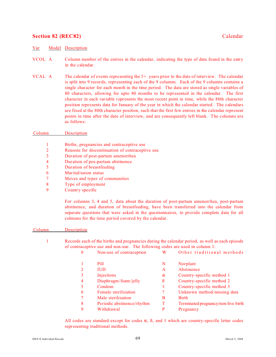## **Section 82 (REC82)** Calendar

## Var Model Description

- VCOL A Column number of the entries in the calendar, indicating the type of data found in the entry in the calendar.
- VCAL A The calendar of events representing the 5+ years prior to the date of interview. The calendar is split into 9 records, representing each of the 9 columns. Each of the 9 columns contains a single character for each month in the time period. The data are stored as single variables of 80 characters, allowing for upto 80 months to be represented in the calendar. The first character in each variable represents the most recent point in time, while the 80th character position represents data for January of the year in which the calendar started. The calendars are fixed at the 80th character position, such that the first few entries in the calendar represent points in time after the date of interview, and are consequently left blank. The columns are as follows:

## Column Description

- 1 Births, pregnancies and contraceptive use
- 2 Reasons for discontinuation of contraceptive use
- 3 Duration of post-partum amenorrhea
- 4 Duration of pos-partum abstinence
- 5 Duration of breastfeeding
- 6 Marital/union status
- 7 Moves and types of communities
- 8 Type of employment
- 9 Country specific

For columns 3, 4 and 5, data about the duration of post-partum amenorrhea, post-partum abstinence, and duration of breastfeeding, have been transferred into the calendar from separate questions that were asked in the questionnaires, to provide complete data for all colmuns for the time period covered by the calendar.

### Column Description

1 Records each of the births and pregnancies during the calendar period, as well as each episode of contraceptive use and non-use. The following codes are used in column 1:

| $\Omega$       | Non-use of contraception   | W        | Other traditional methods           |
|----------------|----------------------------|----------|-------------------------------------|
|                | Pill                       | N        | Norplant                            |
|                | <b>IUD</b>                 | A        | Abstinence                          |
|                | Injections                 | $\alpha$ | Country-specific method 1           |
| $\overline{4}$ | Diaphragm/foam/jelly       | ß        | Country-specific method 2           |
|                | Condom                     | τ        | Country-specific method 3           |
| 6              | Female sterilization       | ?        | Unknown method/missing data         |
|                | Male sterilization         | B        | <b>Birth</b>                        |
| 8              | Periodic abstinence/rhythm | T        | Terminated pregnancy/non-live birth |
| $\mathbf Q$    | Withdrawal                 | P        | Pregnancy                           |

All codes are standard except for codes  $\alpha$ ,  $\beta$ , and  $\tau$  which are country-specific letter codes repr esenting traditional methods.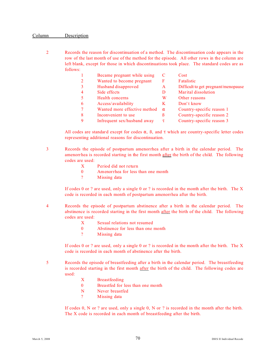## Column Description

2 Records the reason for discontinuation of a method. The discontinuation code appears in the row of the last month of use of the method for the episode. All other rows in the column are left blank, except for those in which discontinuations took place. The standard codes are as follows:

|   | Became pregnant while using  | C        | Cost                                |
|---|------------------------------|----------|-------------------------------------|
|   | Wanted to become pregnant    | F        | Fatalistic                          |
| 3 | Husband disapproved          | A        | Difficult to get pregnant/menopause |
|   | Side effects                 | D        | Marital dissolution                 |
|   | Health concerns              | W        | Other reasons                       |
| 6 | Access/availability          | K        | Don't know                          |
|   | Wanted more effective method | $\alpha$ | Country-specific reason 1           |
| 8 | Inconvenient to use          | ß        | Country-specific reason 2           |
| 9 | Infrequent sex/husband away  | τ        | Country-specific reason 3           |

All codes are standard except for codes  $\alpha$ ,  $\beta$ , and  $\tau$  which are country-specific letter codes representing additional reasons for discontinuation.

- 3 Records the episode of postpartum amenorrhea after a birth in the calendar period. The amenorrhea is recorded starting in the first month after the birth of the child. The following codes are used:
	- X Period did not return
	- 0 Amenorrhea for less than one month
	- ? Missing data

If codes 0 or ? are used, only a single 0 or ? is recorded in the month after the birth. The  $X$ code is recorded in each month of postpartum amenorrhea after the birth.

- 4 Records the episode of postpartum abstinence after a birth in the calendar period. The abstinence is recorded starting in the first month after the birth of the child. The following codes are used:
	- X Sexual relations not resumed
	- 0 Abstinence for less than one month
	- ? Missing data

If codes 0 or ? are used, only a single 0 or ? is recorded in the month after the birth. The  $X$ code is recorded in each month of abstinence after the birth.

- 5 Records the episode of breastfeeding after a birth in the calendar period. The breastfeeding is recorded starting in the first month after the birth of the child. The following codes are used:
	- X Breastfeeding
	- 0 Breastfed for less than one month
	- N Never breastfed
	- ? Missing data

If codes 0, N or ? are used, only a single 0, N or ? is recorded in the month after the birth. The X code is recorded in each month of breastfeeding after the birth.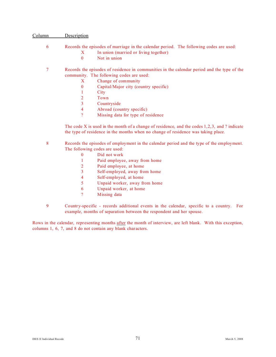## Column Description

## 6 Records the episodes of marriage in the calendar period. The following codes are used:

- X In union (married or living together)
- 0 Not in union

## 7 Records the episodes of residence in communities in the calendar period and the type of the community. The following codes are used:

- X Change of community
- 0 Capital/Major city (country specific)
- 1 City
- 2 Town
- 3 Countryside
- 4 Abroad (country specific)
- ? Missing data for type of residence

The code X is used in the month of a change of residence, and the codes  $1,2,3$ , and ? indicate the type of residence in the months when no change of residence was taking place.

8 Records the episodes of employment in the calendar period and the type of the employment. The following codes are used:

- 0 Did not work
- 1 Paid employee, away from home
- 2 Paid employee, at home
- 3 Self-employed, away from home
- 4 Self-employed, at home
- 5 Unpaid worker, away from home
- 6 Unpaid worker, at home
- ? Missing data
- 9 Country-specific records additional events in the calendar, specific to a country. For example, months of separation between the respondent and her spouse.

Rows in the calendar, representing months after the month of interview, are left blank. With this exception, columns 1, 6, 7, and 8 do not contain any blank characters.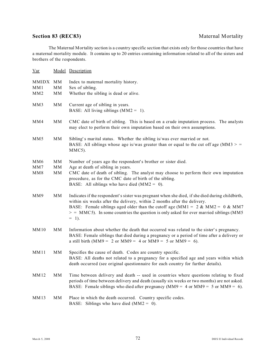# **Section 83 (REC83)** Maternal Mortality

The Maternal Mortality section is a country specific section that exists only for those countries that have a maternal mortality module. It contains up to 20 entries containing information related to all of the sisters and brothers of the respondents.

| $Var$                  |          | Model Description                                                                                                                                                                                                                                                                                                                                                         |
|------------------------|----------|---------------------------------------------------------------------------------------------------------------------------------------------------------------------------------------------------------------------------------------------------------------------------------------------------------------------------------------------------------------------------|
| MMIDX MM<br>MM1<br>MM2 | MM<br>MM | Index to maternal mortality history.<br>Sex of sibling.<br>Whether the sibling is dead or alive.                                                                                                                                                                                                                                                                          |
| MM3                    | MM       | Current age of sibling in years.<br>BASE: All living siblings $(MM2 = 1)$ .                                                                                                                                                                                                                                                                                               |
| MM4                    | MM       | CMC date of birth of sibling. This is based on a crude imputation process. The analysts<br>may elect to perform their own imputation based on their own assumptions.                                                                                                                                                                                                      |
| MM <sub>5</sub>        | MM       | Sibling's marital status. Whether the sibling is/was ever married or not.<br>BASE: All siblings whose age is/was greater than or equal to the cut off age ( $MM3$ ) =<br>MMC5).                                                                                                                                                                                           |
| MM <sub>6</sub>        | MM       | Number of years ago the respondent's brother or sister died.                                                                                                                                                                                                                                                                                                              |
| MM7                    | MM       | Age at death of sibling in years.                                                                                                                                                                                                                                                                                                                                         |
| MM8                    | MM       | CMC date of death of sibling. The analyst may choose to perform their own imputation<br>procedure, as for the CMC date of birth of the sibling.<br>BASE: All siblings who have died $(MM2 = 0)$ .                                                                                                                                                                         |
| MM9                    | MM       | Indicates if the respondent's sister was pregnant when she died, if she died during childbirth,<br>within six weeks after the delivery, within 2 months after the delivery.<br>BASE: Female siblings aged older than the cutoff age (MM1 = $2 \& MM2 = 0 \& MM7$<br>$>$ = MMC5). In some countries the question is only asked for ever married siblings (MM5)<br>$= 1$ ). |
| <b>MM10</b>            | MM       | Information about whether the death that occurred was related to the sister's pregnancy.<br>BASE: Female siblings that died during a pregnancy or a period of time after a delivery or<br>a still birth (MM9 = 2 or MM9 = 4 or MM9 = 5 or MM9 = 6).                                                                                                                       |
| <b>MM11</b>            | MM       | Specifies the cause of death. Codes are country specific.<br>BASE: All deaths not related to a pregnancy for a specified age and years within which<br>death occurred (see original questionnaire for each country for further details).                                                                                                                                  |
| MM12                   | MM       | Time between delivery and death -- used in countries where questions relating to fixed<br>periods of time between delivery and death (usually six weeks or two months) are not asked.<br>BASE: Female siblings who died after pregnancy ( $M M 9 = 4$ or $M M 9 = 5$ or $M M 9 = 6$ ).                                                                                    |
| MM13                   | MM       | Place in which the death occurred. Country specific codes.<br>BASE: Siblings who have died $(MM2 = 0)$ .                                                                                                                                                                                                                                                                  |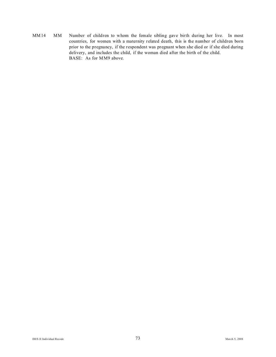MM14 MM Number of children to whom the female sibling gave birth during her live. In most countries, for women with a maternity related death, this is the number of children born prior to the pregnancy, if the respondent was pregnant when she died or if she died during delivery, and includes the child, if the woman died after the birth of the child. BASE: As for MM9 above.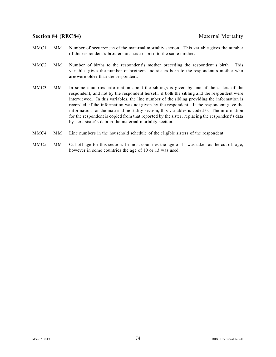## **Section 84 (REC84)** Maternal Mortality

- MMC1 MM Number of occurrences of the maternal mortality section. This variable gives the number of the respondent's brothers and sisters born to the same mother.
- MMC2 MM Number of births to the respondent's mother preceding the respondent's birth. This variables gives the number of brothers and sisters born to the respondent's mother who are/were older than the respondent.
- MMC3 MM In some countries information about the siblings is given by one of the sisters of the respondent, and not by the respondent herself, if both the sibling and the respondent were interviewed. In this variables, the line number of the sibling providing the information is recorded, if the information was not given by the respondent. If the respondent gave the information for the maternal mortality section, this variables is coded 0. The information for the respondent is copied from that reported by the sister, replacing the respondent's data by here sister's data in the maternal mortality section.
- MMC4 MM Line numbers in the household schedule of the eligible sisters of the respondent.
- MMC5 MM Cut off age for this section. In most countries the age of 15 was taken as the cut off age, however in some countries the age of 10 or 13 was used.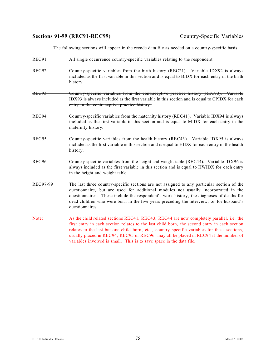## Sections 91-99 (REC91-REC99) Country-Specific Variables

The following sections will appear in the recode data file as needed on a country-specific basis.

- REC91 All single occurrence country-specific variables relating to the respondent.
- REC92 Country-specific variables from the birth history (REC21). Variable IDX92 is always included as the first variable in this section and is equal to BIDX for each entry in the birth history.
- REC93 Country-specific variables from the contraceptive practice history (REC93). Variable IDX93 is always included as the first variable in this section and is equal to CPIDX for each entry in the contraceptive practice history.
- REC94 Country-specific variables from the maternity history (REC41). Variable IDX94 is always included as the first variable in this section and is equal to MIDX for each entry in the maternity history.
- REC95 Country-specific variables from the health history (REC43). Variable IDX95 is always included as the first variable in this section and is equal to HIDX for each entry in the health history.
- REC96 Country-specific variables from the height and weight table (REC44). Variable IDX96 is always included as the first variable in this section and is equal to HWIDX for each entry in the height and weight table.
- REC97-99 The last three country-specific sections are not assigned to any particular section of the questionnaire, but are used for additional modules not usually incorporated in the questionnaires. These include the respondent's work history, the diagnoses of deaths for dead children who were born in the five years preceding the interview, or for husband's questionnaires.
- Note: As the child related sections REC41, REC43, REC44 are now completely parallel, i.e. the first entry in each section relates to the last child born, the second entry in each section relates to the last but one child born, etc., country specific variables for these sections, usually placed in REC94, REC95 or REC96, may all be placed in REC94 if the number of variables involved is small. This is to save space in the data file.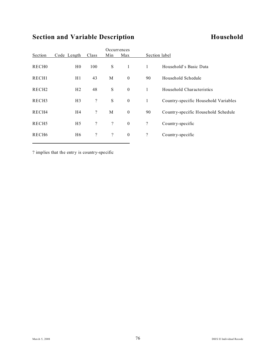# **Section and Variable Description Household**

|                   |                |                          |                          | Occurrences      |                          |                                      |
|-------------------|----------------|--------------------------|--------------------------|------------------|--------------------------|--------------------------------------|
| Section           | Code Length    | Class                    | Min                      | Max              |                          | Section label                        |
| RECH <sub>0</sub> | H <sub>0</sub> | 100                      | S                        | $\mathbf{1}$     | $\mathbf{1}$             | Household's Basic Data               |
| RECH1             | H1             | 43                       | M                        | $\mathbf{0}$     | 90                       | Household Schedule                   |
| RECH <sub>2</sub> | H <sub>2</sub> | 48                       | S                        | $\mathbf{0}$     | $\mathbf{1}$             | Household Characteristics            |
| RECH <sub>3</sub> | H <sub>3</sub> | $\boldsymbol{?}$         | S                        | $\boldsymbol{0}$ | $\mathbf{1}$             | Country-specific Household Variables |
| RECH4             | H4             | $\overline{\mathcal{L}}$ | M                        | $\boldsymbol{0}$ | 90                       | Country-specific Household Schedule  |
| RECH <sub>5</sub> | H <sub>5</sub> | $\overline{?}$           | $\overline{\mathcal{L}}$ | $\boldsymbol{0}$ | $\overline{\mathcal{L}}$ | Country-specific                     |
| RECH <sub>6</sub> | H <sub>6</sub> | $\boldsymbol{?}$         | $\ddot{?}$               | $\boldsymbol{0}$ | $\overline{\mathcal{L}}$ | Country-specific                     |
|                   |                |                          |                          |                  |                          |                                      |

? implies that the entry is country-specific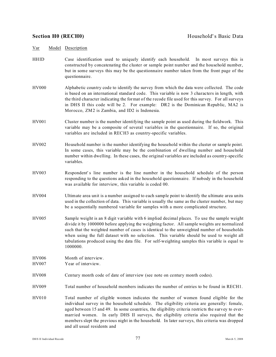- HHID Case identification used to uniquely identify each household. In most surveys this is constructed by concatenating the cluster or sample point number and the household number, but in some surveys this may be the questionnaire number taken from the front page of the questionnaire.
- HV000 Alphabetic country code to identify the survey from which the data were collected. The code is based on an international standard code. This variable is now 3 characters in length, with the third character indicating the format of the recode file used for this survey. For all surveys in DHS II this code will be 2. For example: DR2 is the Dominican Republic, MA2 is Morocco, ZM2 is Zambia, and ID2 is Indonesia.
- HV001 Cluster number is the number identifying the sample point as used during the fieldwork. This variable may be a composite of several variables in the questionnaire. If so, the original variables are included in RECH3 as country-specific variables.
- HV002 Household number is the number identifying the household within the cluster or sample point. In some cases, this variable may be the combination of dwelling number and household number within dwelling. In these cases, the original variables are included as country-specific variables.
- HV003 Respondent' s line number is the line number in the household schedule of the person responding to the questions asked in the household questionnaire. If nobody in the household was available for interview, this variable is coded 00.
- HV004 Ultimate area unit is a number assigned to each sample point to identify the ultimate area units used in the collection of data. This variable is usually the same as the cluster number, but may be a sequentially numbered variable for samples with a more complicated structure.
- HV005 Sample weight is an 8 digit variable with 6 implied decimal places. To use the sample weight divide it by 1000000 before applying the weighting factor. All sample weights are normalized such that the weighted number of cases is identical to the unweighted number of households when using the full dataset with no selection. This variable should be used to weight all tabulations produced using the data file. For self-weighting samples this variable is equal to 1000000.

HV006 Month of interview.

- HV007 Year of interview.
- HV008 Century month code of date of interview (see note on century month codes).

HV009 Total number of household members indicates the number of entries to be found in RECH1.

HV010 Total number of eligible women indicates the number of women found eligible for the individual survey in the household schedule. The eligibility criteria are generally: female, aged between 15 and 49. In some countries, the eligibility criteria restricts the survey to evermarried women. In early DHS II surveys, the eligibility criteria also required that the members slept the previous night in the household. In later surveys, this criteria was dropped and all usual residents and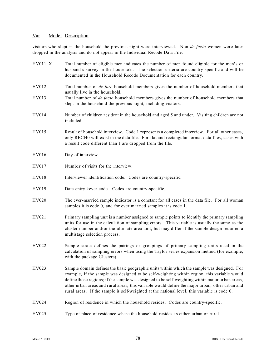visitors who slept in the household the previous night were interviewed. Non *de facto* women were later dropped in the analysis and do not appear in the Individual Recode Data File.

| <b>HV011 X</b> | Total number of eligible men indicates the number of men found eligible for the men's or<br>husband's survey in the household. The selection criteria are country-specific and will be<br>documented in the Household Recode Documentation for each country.                                                                                                                                                                                                                                  |
|----------------|-----------------------------------------------------------------------------------------------------------------------------------------------------------------------------------------------------------------------------------------------------------------------------------------------------------------------------------------------------------------------------------------------------------------------------------------------------------------------------------------------|
| HV012          | Total number of <i>de jure</i> household members gives the number of household members that<br>usually live in the household.                                                                                                                                                                                                                                                                                                                                                                 |
| HV013          | Total number of <i>de facto</i> household members gives the number of household members that<br>slept in the household the previous night, including visitors.                                                                                                                                                                                                                                                                                                                                |
| HV014          | Number of children resident in the household and aged 5 and under. Visiting children are not<br>included.                                                                                                                                                                                                                                                                                                                                                                                     |
| HV015          | Result of household interview. Code 1 represents a completed interview. For all other cases,<br>only RECH0 will exist in the data file. For flat and rectangular format data files, cases with<br>a result code different than 1 are dropped from the file.                                                                                                                                                                                                                                   |
| HV016          | Day of interview.                                                                                                                                                                                                                                                                                                                                                                                                                                                                             |
| HV017          | Number of visits for the interview.                                                                                                                                                                                                                                                                                                                                                                                                                                                           |
| HV018          | Interviewer identification code. Codes are country-specific.                                                                                                                                                                                                                                                                                                                                                                                                                                  |
| HV019          | Data entry keyer code. Codes are country-specific.                                                                                                                                                                                                                                                                                                                                                                                                                                            |
| HV020          | The ever-married sample indicator is a constant for all cases in the data file. For all woman<br>samples it is code 0, and for ever married samples it is code 1.                                                                                                                                                                                                                                                                                                                             |
| HV021          | Primary sampling unit is a number assigned to sample points to identify the primary sampling<br>units for use in the calculation of sampling errors. This variable is usually the same as the<br>cluster number and/or the ultimate area unit, but may differ if the sample design required a<br>multistage selection process.                                                                                                                                                                |
| HV022          | Sample strata defines the pairings or groupings of primary sampling units used in the<br>calculation of sampling errors when using the Taylor series expansion method (for example,<br>with the package Clusters).                                                                                                                                                                                                                                                                            |
| HV023          | Sample domain defines the basic geographic units within which the sample was designed. For<br>example, if the sample was designed to be self-weighting within region, this variable would<br>define those regions; if the sample was designed to be self-weighting within major urban areas,<br>other urban areas and rural areas, this variable would define the major urban, other urban and<br>rural areas. If the sample is self-weighted at the national level, this variable is code 0. |
| HV024          | Region of residence in which the household resides. Codes are country-specific.                                                                                                                                                                                                                                                                                                                                                                                                               |
| HV025          | Type of place of residence where the household resides as either urban or rural.                                                                                                                                                                                                                                                                                                                                                                                                              |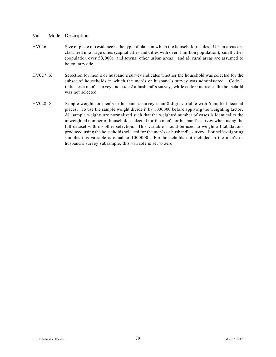- HV026 Size of place of residence is the type of place in which the household resides. Urban areas are classified into large cities (capital cities and cities with over 1 million population), small cities (population over 50,000), and towns (other urban areas), and all rural areas are assumed to be countryside.
- HV027 X Selection for men's or husband's survey indicates whether the household was selected for the subset of households in which the men's or husband's survey was administered. Code 1 indicates a men's survey and code 2 a husband' s survey, while code 0 indicates the household was not selected.
- HV028 X Sample weight for men's or husband's survey is an 8 digit variable with 6 implied decimal places. To use the sample weight divide it by 1000000 before applying the weighting factor. All sample weights are normalized such that the weighted number of cases is identical to the unweighted number of households selected for the men's or husband's survey when using the full dataset with no other selection. This variable should be used to weight all tabulations produced using the households selected for the men's or husband's survey. For self-weighting samples this variable is equal to 1000000. For households not included in the men's or husband's survey subsample, this variable is set to zero.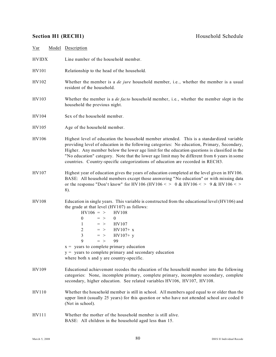# **Section H1 (RECH1)** Household Schedule

| $Var$        | Model Description                                                                                                                                                                                                                                                                                                                                                                                                                                                                                                      |
|--------------|------------------------------------------------------------------------------------------------------------------------------------------------------------------------------------------------------------------------------------------------------------------------------------------------------------------------------------------------------------------------------------------------------------------------------------------------------------------------------------------------------------------------|
| <b>HVIDX</b> | Line number of the household member.                                                                                                                                                                                                                                                                                                                                                                                                                                                                                   |
| HV101        | Relationship to the head of the household.                                                                                                                                                                                                                                                                                                                                                                                                                                                                             |
| HV102        | Whether the member is a <i>de jure</i> household member, i.e., whether the member is a usual<br>resident of the household.                                                                                                                                                                                                                                                                                                                                                                                             |
| HV103        | Whether the member is a <i>de facto</i> household member, i.e., whether the member slept in the<br>household the previous night.                                                                                                                                                                                                                                                                                                                                                                                       |
| HV104        | Sex of the household member.                                                                                                                                                                                                                                                                                                                                                                                                                                                                                           |
| HV105        | Age of the household member.                                                                                                                                                                                                                                                                                                                                                                                                                                                                                           |
| <b>HV106</b> | Highest level of education the household member attended. This is a standardized variable<br>providing level of education in the following categories: No education, Primary, Secondary,<br>Higher. Any member below the lower age limit for the education questions is classified in the<br>"No education" category. Note that the lower age limit may be different from 6 years in some<br>countries. Country-specific categorizations of education are recorded in RECH3.                                           |
| HV107        | Highest year of education gives the years of education completed at the level given in HV106.<br>BASE: All household members except those answering "No education" or with missing data<br>or the response "Don't know" for HV106 (HV106 < > 0 & HV106 < > 9 & HV106 < ><br>8).                                                                                                                                                                                                                                        |
| <b>HV108</b> | Education in single years. This variable is constructed from the educational level (HV106) and<br>the grade at that level (HV107) as follows:<br>$HV106 = >$<br><b>HV108</b><br>$\boldsymbol{0}$<br>$\overline{0}$<br>$=$ ><br>HV107<br>$\mathbf{1}$<br>$=$ ><br>$\overline{2}$<br>$HV107+x$<br>$=$ ><br>$\overline{3}$<br>$HV107+ y$<br>$=$ ><br>9<br>99<br>$=$ ><br>$x =$ years to complete primary education<br>$y =$ years to complete primary and secondary education<br>where both x and y are country-specific. |
| HV109        | Educational achievement recodes the education of the household member into the following<br>categories: None, incomplete primary, complete primary, incomplete secondary, complete<br>secondary, higher education. See related variables HV106, HV107, HV108.                                                                                                                                                                                                                                                          |
| HV110        | Whether the household member is still in school. All members aged equal to or older than the<br>upper limit (usually 25 years) for this question or who have not attended school are coded 0<br>(Not in school).                                                                                                                                                                                                                                                                                                       |
| HV111        | Whether the mother of the household member is still alive.<br>BASE: All children in the household aged less than 15.                                                                                                                                                                                                                                                                                                                                                                                                   |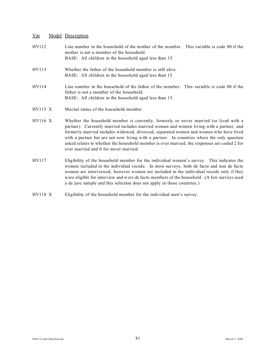| HV112          | Line number in the household of the mother of the member. This variable is code 00 if the<br>mother is not a member of the household.<br>BASE: All children in the household aged less than 15.                                                                                                                                                                                                                                                                                                                  |
|----------------|------------------------------------------------------------------------------------------------------------------------------------------------------------------------------------------------------------------------------------------------------------------------------------------------------------------------------------------------------------------------------------------------------------------------------------------------------------------------------------------------------------------|
| HV113          | Whether the father of the household member is still alive.<br>BASE: All children in the household aged less than 15.                                                                                                                                                                                                                                                                                                                                                                                             |
| HV114          | Line number in the household of the father of the member. This variable is code 00 if the<br>father is not a member of the household.<br>BASE: All children in the household aged less than 15.                                                                                                                                                                                                                                                                                                                  |
| $HV115$ X      | Marital status of the household member.                                                                                                                                                                                                                                                                                                                                                                                                                                                                          |
| <b>HV116 X</b> | Whether the household member is currently, formerly or never married (or lived with a<br>partner). Currently married includes married women and women living with a partner, and<br>formerly married includes widowed, divorced, separated women and women who have lived<br>with a partner but are not now living with a partner. In countries where the only question<br>asked relates to whether the household member is ever married, the responses are coded 2 for<br>ever married and 0 for never married. |
| HV117          | Eligibility of the household member for the individual women's survey. This indicates the<br>women included in the individual recode. In most surveys, both de facto and non de facto<br>women are interviewed, however women are included in the individual recode only if they                                                                                                                                                                                                                                 |

were eligible for interview and were de facto members of the household. (A few surveys used

HV118 X Eligibility of the household member for the individual men's survey.

a de jure sample and this selection does not apply in those countries.)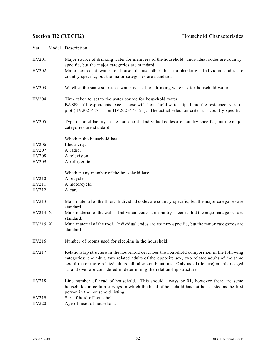| $Var$   | Model Description                                                                                                                                                                                                                                                                                                                                                      |
|---------|------------------------------------------------------------------------------------------------------------------------------------------------------------------------------------------------------------------------------------------------------------------------------------------------------------------------------------------------------------------------|
| HV201   | Major source of drinking water for members of the household. Individual codes are country-<br>specific, but the major categories are standard.                                                                                                                                                                                                                         |
| HV202   | Major source of water for household use other than for drinking. Individual codes are<br>country-specific, but the major categories are standard.                                                                                                                                                                                                                      |
| HV203   | Whether the same source of water is used for drinking water as for household water.                                                                                                                                                                                                                                                                                    |
| HV204   | Time taken to get to the water source for household water.<br>BASE: All respondents except those with household water piped into the residence, yard or<br>plot $(HV202 \leq 11 \& HV202 \leq 21)$ . The actual selection criteria is country-specific.                                                                                                                |
| HV205   | Type of toilet facility in the household. Individual codes are country-specific, but the major<br>categories are standard.                                                                                                                                                                                                                                             |
|         | Whether the household has:                                                                                                                                                                                                                                                                                                                                             |
| HV206   | Electricity.                                                                                                                                                                                                                                                                                                                                                           |
| HV207   | A radio.                                                                                                                                                                                                                                                                                                                                                               |
| HV208   | A television.                                                                                                                                                                                                                                                                                                                                                          |
| HV209   | A refrigerator.                                                                                                                                                                                                                                                                                                                                                        |
|         | Whether any member of the household has:                                                                                                                                                                                                                                                                                                                               |
| HV210   | A bicycle.                                                                                                                                                                                                                                                                                                                                                             |
| HV211   | A motorcycle.                                                                                                                                                                                                                                                                                                                                                          |
| HV212   | A car.                                                                                                                                                                                                                                                                                                                                                                 |
| HV213   | Main material of the floor. Individual codes are country-specific, but the major categories are<br>standard.                                                                                                                                                                                                                                                           |
| HV214 X | Main material of the walls. Individual codes are country-specific, but the major categories are<br>standard.                                                                                                                                                                                                                                                           |
| HV215 X | Main material of the roof. Individual codes are country-specific, but the major categories are<br>standard.                                                                                                                                                                                                                                                            |
| HV216   | Number of rooms used for sleeping in the household.                                                                                                                                                                                                                                                                                                                    |
| HV217   | Relationship structure in the household describes the household composition in the following<br>categories: one adult, two related adults of the opposite sex, two related adults of the same<br>sex, three or more related adults, all other combinations. Only usual (de jure) members aged<br>15 and over are considered in determining the relationship structure. |
| HV218   | Line number of head of household. This should always be 01, however there are some<br>households in certain surveys in which the head of household has not been listed as the first<br>person in the household listing.                                                                                                                                                |
| HV219   | Sex of head of household.                                                                                                                                                                                                                                                                                                                                              |
| HV220   | Age of head of household.                                                                                                                                                                                                                                                                                                                                              |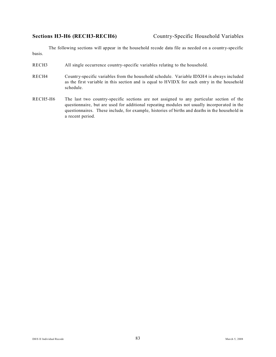The following sections will appear in the household recode data file as needed on a country-specific basis.

- RECH3 All single occurrence country-specific variables relating to the household.
- RECH4 Country-specific variables from the household schedule. Variable IDXH4 is always included as the first variable in this section and is equal to HVIDX for each entry in the household schedule.
- RECH5-H6 The last two country-specific sections are not assigned to any particular section of the questionnaire, but are used for additional repeating modules not usually incorporated in the questionnaires. These include, for example, histories of births and deaths in the household in a recent period.